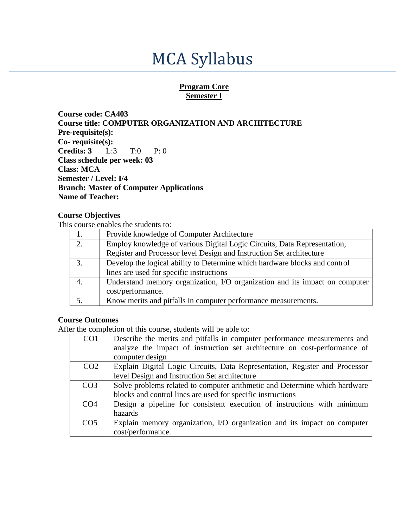# MCA Syllabus

#### **Program Core Semester I**

**Course code: CA403 Course title: COMPUTER ORGANIZATION AND ARCHITECTURE Pre-requisite(s): Co- requisite(s): Credits: 3** L:3 T:0 P: 0 **Class schedule per week: 03 Class: MCA Semester / Level: I/4 Branch: Master of Computer Applications Name of Teacher:**

#### **Course Objectives**

This course enables the students to:

|          | Provide knowledge of Computer Architecture                                  |
|----------|-----------------------------------------------------------------------------|
| $\gamma$ | Employ knowledge of various Digital Logic Circuits, Data Representation,    |
|          | Register and Processor level Design and Instruction Set architecture        |
|          | Develop the logical ability to Determine which hardware blocks and control  |
|          | lines are used for specific instructions                                    |
|          | Understand memory organization, I/O organization and its impact on computer |
|          | cost/performance.                                                           |
|          | Know merits and pitfalls in computer performance measurements.              |

#### **Course Outcomes**

After the completion of this course, students will be able to:

| CO <sub>1</sub> | Describe the merits and pitfalls in computer performance measurements and<br>analyze the impact of instruction set architecture on cost-performance of<br>computer design |
|-----------------|---------------------------------------------------------------------------------------------------------------------------------------------------------------------------|
| CO <sub>2</sub> | Explain Digital Logic Circuits, Data Representation, Register and Processor                                                                                               |
|                 | level Design and Instruction Set architecture                                                                                                                             |
| CO <sub>3</sub> | Solve problems related to computer arithmetic and Determine which hardware                                                                                                |
|                 | blocks and control lines are used for specific instructions                                                                                                               |
| CO <sub>4</sub> | Design a pipeline for consistent execution of instructions with minimum<br>hazards                                                                                        |
| CO <sub>5</sub> | Explain memory organization, I/O organization and its impact on computer<br>cost/performance.                                                                             |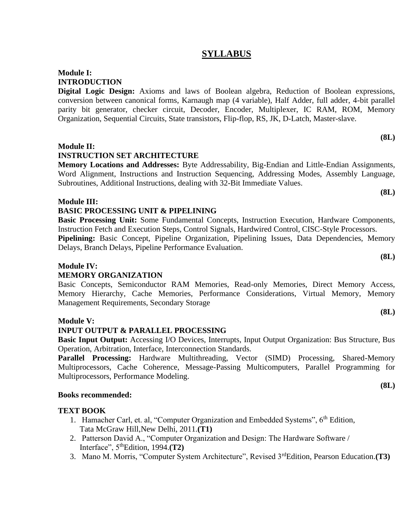### **SYLLABUS**

#### **Module I: INTRODUCTION**

**Digital Logic Design:** Axioms and laws of Boolean algebra, Reduction of Boolean expressions, conversion between canonical forms, Karnaugh map (4 variable), Half Adder, full adder, 4-bit parallel parity bit generator, checker circuit, Decoder, Encoder, Multiplexer, IC RAM, ROM, Memory Organization, Sequential Circuits, State transistors, Flip-flop, RS, JK, D-Latch, Master-slave.

#### **Module II:**

#### **INSTRUCTION SET ARCHITECTURE**

**Memory Locations and Addresses:** Byte Addressability, Big-Endian and Little-Endian Assignments, Word Alignment, Instructions and Instruction Sequencing, Addressing Modes, Assembly Language, Subroutines, Additional Instructions, dealing with 32-Bit Immediate Values.

#### **Module III:**

#### **BASIC PROCESSING UNIT & PIPELINING**

**Basic Processing Unit:** Some Fundamental Concepts, Instruction Execution, Hardware Components, Instruction Fetch and Execution Steps, Control Signals, Hardwired Control, CISC-Style Processors. Pipelining: Basic Concept, Pipeline Organization, Pipelining Issues, Data Dependencies, Memory Delays, Branch Delays, Pipeline Performance Evaluation.

#### **Module IV:**

#### **MEMORY ORGANIZATION**

Basic Concepts, Semiconductor RAM Memories, Read-only Memories, Direct Memory Access, Memory Hierarchy, Cache Memories, Performance Considerations, Virtual Memory, Memory Management Requirements, Secondary Storage

#### **Module V:**

#### **INPUT OUTPUT & PARALLEL PROCESSING**

**Basic Input Output:** Accessing I/O Devices, Interrupts, Input Output Organization: Bus Structure, Bus Operation, Arbitration, Interface, Interconnection Standards.

Parallel Processing: Hardware Multithreading, Vector (SIMD) Processing, Shared-Memory Multiprocessors, Cache Coherence, Message-Passing Multicomputers, Parallel Programming for Multiprocessors, Performance Modeling.

#### **Books recommended:**

#### **TEXT BOOK**

- 1. Hamacher Carl, et. al, "Computer Organization and Embedded Systems", 6<sup>th</sup> Edition, Tata McGraw Hill,New Delhi, 2011.**(T1)**
- 2. Patterson David A., "Computer Organization and Design: The Hardware Software / Interface", 5thEdition, 1994.**(T2)**
- 3. Mano M. Morris, "Computer System Architecture", Revised 3rdEdition, Pearson Education.**(T3)**

**(8L)**

**(8L)**

**(8L)**

**(8L)**

**(8L)**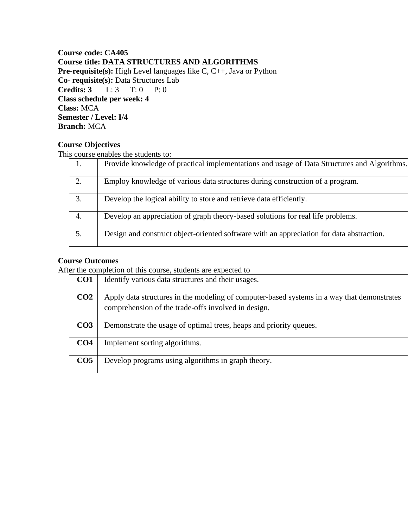#### **Course code: CA405 Course title: DATA STRUCTURES AND ALGORITHMS Pre-requisite(s):** High Level languages like C, C++, Java or Python **Co- requisite(s):** Data Structures Lab **Credits: 3** L: 3 T: 0 P: 0 **Class schedule per week: 4 Class:** MCA **Semester / Level: I/4 Branch:** MCA

#### **Course Objectives**

This course enables the students to:

| 1. | Provide knowledge of practical implementations and usage of Data Structures and Algorithms. |
|----|---------------------------------------------------------------------------------------------|
| 2. | Employ knowledge of various data structures during construction of a program.               |
| 3. | Develop the logical ability to store and retrieve data efficiently.                         |
| 4. | Develop an appreciation of graph theory-based solutions for real life problems.             |
| 5. | Design and construct object-oriented software with an appreciation for data abstraction.    |

#### **Course Outcomes**

After the completion of this course, students are expected to

| CO <sub>1</sub> | Identify various data structures and their usages.                                                                                                |
|-----------------|---------------------------------------------------------------------------------------------------------------------------------------------------|
| CO <sub>2</sub> | Apply data structures in the modeling of computer-based systems in a way that demonstrates<br>comprehension of the trade-offs involved in design. |
| CO <sub>3</sub> | Demonstrate the usage of optimal trees, heaps and priority queues.                                                                                |
| CO <sub>4</sub> | Implement sorting algorithms.                                                                                                                     |
| CO <sub>5</sub> | Develop programs using algorithms in graph theory.                                                                                                |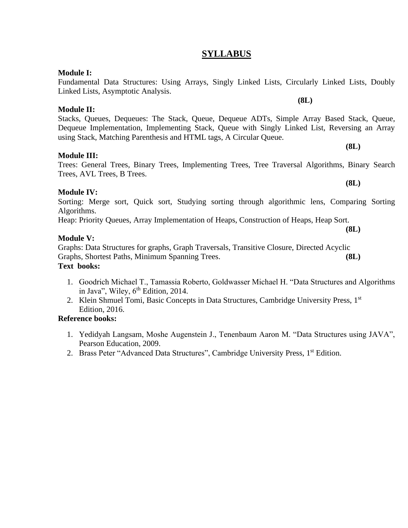#### **SYLLABUS**

#### **Module I:**

Fundamental Data Structures: Using Arrays, Singly Linked Lists, Circularly Linked Lists, Doubly Linked Lists, Asymptotic Analysis.

**Module II:**

Stacks, Queues, Dequeues: The Stack, Queue, Dequeue ADTs, Simple Array Based Stack, Queue, Dequeue Implementation, Implementing Stack, Queue with Singly Linked List, Reversing an Array using Stack, Matching Parenthesis and HTML tags, A Circular Queue.

#### **Module III:**

Trees: General Trees, Binary Trees, Implementing Trees, Tree Traversal Algorithms, Binary Search Trees, AVL Trees, B Trees.

#### **Module IV:**

Sorting: Merge sort, Quick sort, Studying sorting through algorithmic lens, Comparing Sorting Algorithms.

Heap: Priority Queues, Array Implementation of Heaps, Construction of Heaps, Heap Sort.

#### **Module V:**

Graphs: Data Structures for graphs, Graph Traversals, Transitive Closure, Directed Acyclic Graphs, Shortest Paths, Minimum Spanning Trees. **(8L) Text books:**

- 1. Goodrich Michael T., Tamassia Roberto, Goldwasser Michael H. "Data Structures and Algorithms in Java", Wiley,  $6<sup>th</sup>$  Edition, 2014.
- 2. Klein Shmuel Tomi, Basic Concepts in Data Structures, Cambridge University Press, 1st Edition, 2016.

#### **Reference books:**

- 1. Yedidyah Langsam, Moshe Augenstein J., Tenenbaum Aaron M. "Data Structures using JAVA", Pearson Education, 2009.
- 2. Brass Peter "Advanced Data Structures", Cambridge University Press, 1<sup>st</sup> Edition.

**(8L)**

**(8L)**

**(8L)**

**(8L)**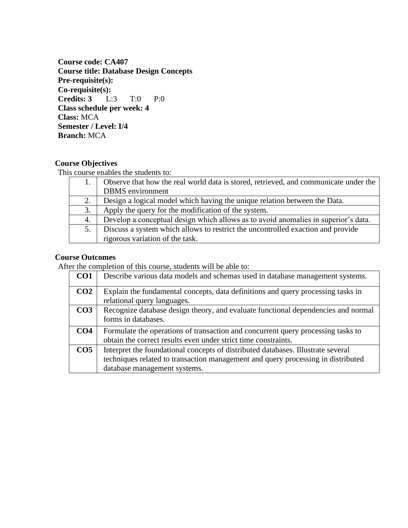**Course code: CA407 Course title: Database Design Concepts Pre-requisite(s): Co-requisite(s): Credits: 3** L:3 T:0 P:0 **Class schedule per week: 4 Class:** MCA **Semester / Level: I/4 Branch:** MCA

#### **Course Objectives**

This course enables the students to:

|    | Observe that how the real world data is stored, retrieved, and communicate under the |
|----|--------------------------------------------------------------------------------------|
|    | <b>DBMS</b> environment                                                              |
|    | Design a logical model which having the unique relation between the Data.            |
| 3. | Apply the query for the modification of the system.                                  |
| 4. | Develop a conceptual design which allows as to avoid anomalies in superior's data.   |
|    | Discuss a system which allows to restrict the uncontrolled exaction and provide      |
|    | rigorous variation of the task.                                                      |

#### **Course Outcomes**

After the completion of this course, students will be able to:

| CO <sub>1</sub> | Describe various data models and schemas used in database management systems.                                                                                                                        |
|-----------------|------------------------------------------------------------------------------------------------------------------------------------------------------------------------------------------------------|
| CO <sub>2</sub> | Explain the fundamental concepts, data definitions and query processing tasks in<br>relational query languages.                                                                                      |
| CO <sub>3</sub> | Recognize database design theory, and evaluate functional dependencies and normal<br>forms in databases.                                                                                             |
| CO <sub>4</sub> | Formulate the operations of transaction and concurrent query processing tasks to<br>obtain the correct results even under strict time constraints.                                                   |
| CO <sub>5</sub> | Interpret the foundational concepts of distributed databases. Illustrate several<br>techniques related to transaction management and query processing in distributed<br>database management systems. |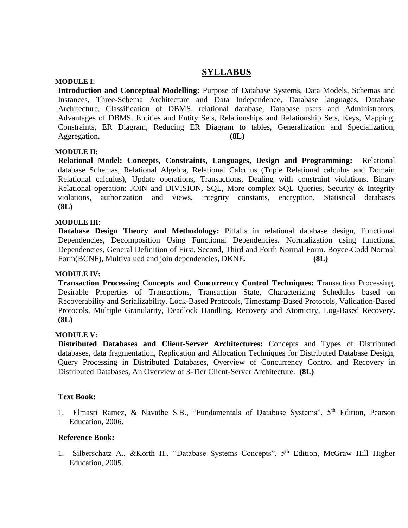### **SYLLABUS**

#### **MODULE I:**

**Introduction and Conceptual Modelling:** Purpose of Database Systems, Data Models, Schemas and Instances, Three-Schema Architecture and Data Independence, Database languages, Database Architecture, Classification of DBMS, relational database, Database users and Administrators, Advantages of DBMS. Entities and Entity Sets, Relationships and Relationship Sets, Keys, Mapping, Constraints, ER Diagram, Reducing ER Diagram to tables, Generalization and Specialization, Aggregation. **(8L)** 

#### **MODULE II:**

**Relational Model: Concepts, Constraints, Languages, Design and Programming:** Relational database Schemas, Relational Algebra, Relational Calculus (Tuple Relational calculus and Domain Relational calculus), Update operations, Transactions, Dealing with constraint violations. Binary Relational operation: JOIN and DIVISION, SQL, More complex SQL Queries, Security & Integrity violations, authorization and views, integrity constants, encryption, Statistical databases **(8L)**

#### **MODULE III:**

**Database Design Theory and Methodology:** Pitfalls in relational database design, Functional Dependencies, Decomposition Using Functional Dependencies. Normalization using functional Dependencies, General Definition of First, Second, Third and Forth Normal Form. Boyce-Codd Normal Form(BCNF), Multivalued and join dependencies, DKNF. (8L)

#### **MODULE IV:**

**Transaction Processing Concepts and Concurrency Control Techniques:** Transaction Processing, Desirable Properties of Transactions, Transaction State, Characterizing Schedules based on Recoverability and Serializability. Lock-Based Protocols, Timestamp-Based Protocols, Validation-Based Protocols, Multiple Granularity, Deadlock Handling, Recovery and Atomicity, Log-Based Recovery**. (8L)**

#### **MODULE V:**

**Distributed Databases and Client-Server Architectures:** Concepts and Types of Distributed databases, data fragmentation, Replication and Allocation Techniques for Distributed Database Design, Query Processing in Distributed Databases, Overview of Concurrency Control and Recovery in Distributed Databases, An Overview of 3-Tier Client-Server Architecture. **(8L)**

#### **Text Book:**

1. Elmasri Ramez, & Navathe S.B., "Fundamentals of Database Systems", 5th Edition, Pearson Education, 2006.

#### **Reference Book:**

1. Silberschatz A., &Korth H., "Database Systems Concepts", 5<sup>th</sup> Edition, McGraw Hill Higher Education, 2005.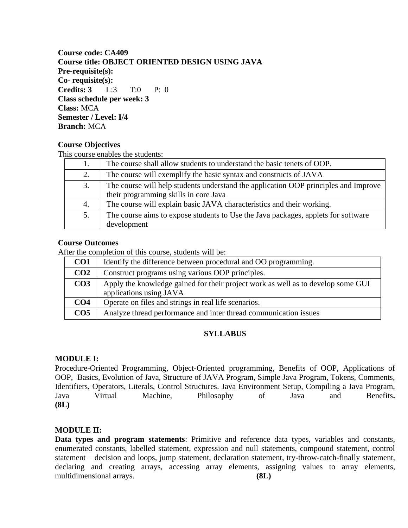**Course code: CA409 Course title: OBJECT ORIENTED DESIGN USING JAVA Pre-requisite(s): Co- requisite(s): Credits: 3** L:3 T:0 P: 0 **Class schedule per week: 3 Class:** MCA **Semester / Level: I/4 Branch:** MCA

#### **Course Objectives**

This course enables the students:

|    | The course shall allow students to understand the basic tenets of OOP.              |
|----|-------------------------------------------------------------------------------------|
| 2. | The course will exemplify the basic syntax and constructs of JAVA                   |
| 3. | The course will help students understand the application OOP principles and Improve |
|    | their programming skills in core Java                                               |
| 4. | The course will explain basic JAVA characteristics and their working.               |
| 5. | The course aims to expose students to Use the Java packages, applets for software   |
|    | development                                                                         |

#### **Course Outcomes**

After the completion of this course, students will be:

| CO <sub>1</sub> | Identify the difference between procedural and OO programming.                                              |
|-----------------|-------------------------------------------------------------------------------------------------------------|
| CO <sub>2</sub> | Construct programs using various OOP principles.                                                            |
| CO <sub>3</sub> | Apply the knowledge gained for their project work as well as to develop some GUI<br>applications using JAVA |
| CO <sub>4</sub> | Operate on files and strings in real life scenarios.                                                        |
| CO <sub>5</sub> | Analyze thread performance and inter thread communication issues                                            |

#### **SYLLABUS**

#### **MODULE I:**

Procedure-Oriented Programming, Object-Oriented programming, Benefits of OOP, Applications of OOP, Basics, Evolution of Java, Structure of JAVA Program, Simple Java Program, Tokens, Comments, Identifiers, Operators, Literals, Control Structures. Java Environment Setup, Compiling a Java Program, Java Virtual Machine, Philosophy of Java and Benefits**. (8L)**

#### **MODULE II:**

**Data types and program statements**: Primitive and reference data types, variables and constants, enumerated constants, labelled statement, expression and null statements, compound statement, control statement – decision and loops, jump statement, declaration statement, try-throw-catch-finally statement, declaring and creating arrays, accessing array elements, assigning values to array elements, multidimensional arrays. **(8L)**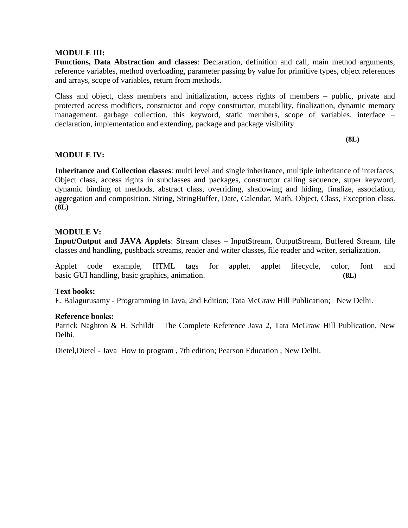#### **MODULE III:**

**Functions, Data Abstraction and classes**: Declaration, definition and call, main method arguments, reference variables, method overloading, parameter passing by value for primitive types, object references and arrays, scope of variables, return from methods.

Class and object, class members and initialization, access rights of members – public, private and protected access modifiers, constructor and copy constructor, mutability, finalization, dynamic memory management, garbage collection, this keyword, static members, scope of variables, interface – declaration, implementation and extending, package and package visibility.

**(8L)**

#### **MODULE IV:**

**Inheritance and Collection classes**: multi level and single inheritance, multiple inheritance of interfaces, Object class, access rights in subclasses and packages, constructor calling sequence, super keyword, dynamic binding of methods, abstract class, overriding, shadowing and hiding, finalize, association, aggregation and composition. String, StringBuffer, Date, Calendar, Math, Object, Class, Exception class. **(8L)**

#### **MODULE V:**

**Input/Output and JAVA Applets**: Stream clases – InputStream, OutputStream, Buffered Stream, file classes and handling, pushback streams, reader and writer classes, file reader and writer, serialization.

Applet code example, HTML tags for applet, applet lifecycle, color, font and basic GUI handling, basic graphics, animation. **(8L)**

#### **Text books:**

E. Balagurusamy - Programming in Java, 2nd Edition; Tata McGraw Hill Publication; New Delhi.

#### **Reference books:**

Patrick Naghton & H. Schildt – The Complete Reference Java 2, Tata McGraw Hill Publication, New Delhi.

Dietel,Dietel - Java How to program , 7th edition; Pearson Education , New Delhi.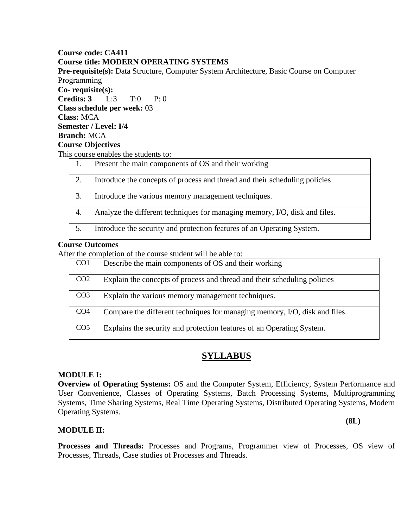#### **Course code: CA411 Course title: MODERN OPERATING SYSTEMS**

**Pre-requisite(s):** Data Structure, Computer System Architecture, Basic Course on Computer Programming **Co- requisite(s): Credits: 3** L:3 T:0 P: 0 **Class schedule per week:** 03 **Class:** MCA **Semester / Level: I/4 Branch:** MCA **Course Objectives**  This course enables the students to:  $\overline{1}$ . Present the main components of  $\overline{OS}$  and their working

| $\mathbf{1}$ . | Fresent the main components of OS and their working                        |
|----------------|----------------------------------------------------------------------------|
| 2.             | Introduce the concepts of process and thread and their scheduling policies |
| 3.             | Introduce the various memory management techniques.                        |
| 4.             | Analyze the different techniques for managing memory, I/O, disk and files. |
|                | Introduce the security and protection features of an Operating System.     |

#### **Course Outcomes**

After the completion of the course student will be able to:

| CO <sub>1</sub> | Describe the main components of OS and their working                       |
|-----------------|----------------------------------------------------------------------------|
| CO <sub>2</sub> | Explain the concepts of process and thread and their scheduling policies   |
| CO <sub>3</sub> | Explain the various memory management techniques.                          |
| CO <sub>4</sub> | Compare the different techniques for managing memory, I/O, disk and files. |
| CO <sub>5</sub> | Explains the security and protection features of an Operating System.      |

### **SYLLABUS**

#### **MODULE I:**

**Overview of Operating Systems:** OS and the Computer System, Efficiency, System Performance and User Convenience, Classes of Operating Systems, Batch Processing Systems, Multiprogramming Systems, Time Sharing Systems, Real Time Operating Systems, Distributed Operating Systems, Modern Operating Systems.

**(8L)**

#### **MODULE II:**

**Processes and Threads:** Processes and Programs, Programmer view of Processes, OS view of Processes, Threads, Case studies of Processes and Threads.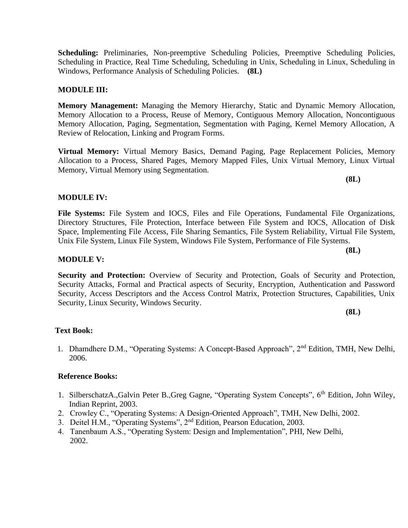**Scheduling:** Preliminaries, Non-preemptive Scheduling Policies, Preemptive Scheduling Policies, Scheduling in Practice, Real Time Scheduling, Scheduling in Unix, Scheduling in Linux, Scheduling in Windows, Performance Analysis of Scheduling Policies. **(8L)**

#### **MODULE III:**

**Memory Management:** Managing the Memory Hierarchy, Static and Dynamic Memory Allocation, Memory Allocation to a Process, Reuse of Memory, Contiguous Memory Allocation, Noncontiguous Memory Allocation, Paging, Segmentation, Segmentation with Paging, Kernel Memory Allocation, A Review of Relocation, Linking and Program Forms.

**Virtual Memory:** Virtual Memory Basics, Demand Paging, Page Replacement Policies, Memory Allocation to a Process, Shared Pages, Memory Mapped Files, Unix Virtual Memory, Linux Virtual Memory, Virtual Memory using Segmentation.

**MODULE IV:**

**File Systems:** File System and IOCS, Files and File Operations, Fundamental File Organizations, Directory Structures, File Protection, Interface between File System and IOCS, Allocation of Disk Space, Implementing File Access, File Sharing Semantics, File System Reliability, Virtual File System, Unix File System, Linux File System, Windows File System, Performance of File Systems.

**MODULE V:**

**Security and Protection:** Overview of Security and Protection, Goals of Security and Protection, Security Attacks, Formal and Practical aspects of Security, Encryption, Authentication and Password Security, Access Descriptors and the Access Control Matrix, Protection Structures, Capabilities, Unix Security, Linux Security, Windows Security.

**(8L)**

#### **Text Book:**

1. Dhamdhere D.M., "Operating Systems: A Concept-Based Approach", 2nd Edition, TMH, New Delhi, 2006.

#### **Reference Books:**

- 1. SilberschatzA.,Galvin Peter B.,Greg Gagne, "Operating System Concepts", 6<sup>th</sup> Edition, John Wiley, Indian Reprint, 2003.
- 2. Crowley C., "Operating Systems: A Design-Oriented Approach", TMH, New Delhi, 2002.
- 3. Deitel H.M., "Operating Systems", 2nd Edition, Pearson Education, 2003.
- 4. Tanenbaum A.S., "Operating System: Design and Implementation", PHI, New Delhi, 2002.

**(8L)**

**(8L)**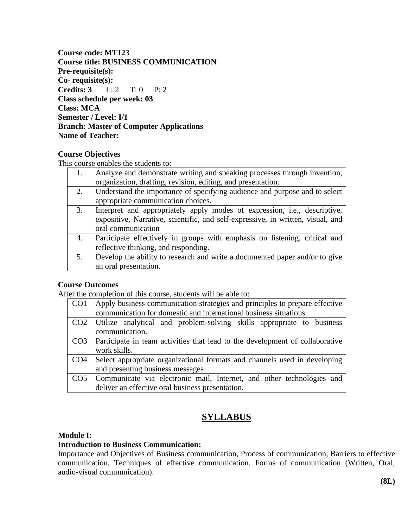**Course code: MT123 Course title: BUSINESS COMMUNICATION Pre-requisite(s): Co- requisite(s): Credits: 3** L: 2 T: 0 P: 2 **Class schedule per week: 03 Class: MCA Semester / Level: I/1 Branch: Master of Computer Applications Name of Teacher:**

#### **Course Objectives**

This course enables the students to:

|    | Analyze and demonstrate writing and speaking processes through invention,<br>organization, drafting, revision, editing, and presentation.                                                  |
|----|--------------------------------------------------------------------------------------------------------------------------------------------------------------------------------------------|
| 2. | Understand the importance of specifying audience and purpose and to select<br>appropriate communication choices.                                                                           |
| 3. | Interpret and appropriately apply modes of expression, <i>i.e.</i> , descriptive,<br>expositive, Narrative, scientific, and self-expressive, in written, visual, and<br>oral communication |
| 4. | Participate effectively in groups with emphasis on listening, critical and<br>reflective thinking, and responding.                                                                         |
| 5. | Develop the ability to research and write a documented paper and/or to give<br>an oral presentation.                                                                                       |

#### **Course Outcomes**

After the completion of this course, students will be able to:

| CO1             | Apply business communication strategies and principles to prepare effective<br>communication for domestic and international business situations. |
|-----------------|--------------------------------------------------------------------------------------------------------------------------------------------------|
| CO <sub>2</sub> | Utilize analytical and problem-solving skills appropriate to business<br>communication.                                                          |
| CO <sub>3</sub> | Participate in team activities that lead to the development of collaborative<br>work skills.                                                     |
|                 | CO4 Select appropriate organizational formats and channels used in developing<br>and presenting business messages                                |
| CO <sub>5</sub> | Communicate via electronic mail, Internet, and other technologies and<br>deliver an effective oral business presentation.                        |

## **SYLLABUS**

#### **Module I:**

### **Introduction to Business Communication:**

Importance and Objectives of Business communication, Process of communication, Barriers to effective communication, Techniques of effective communication. Forms of communication (Written, Oral, audio-visual communication).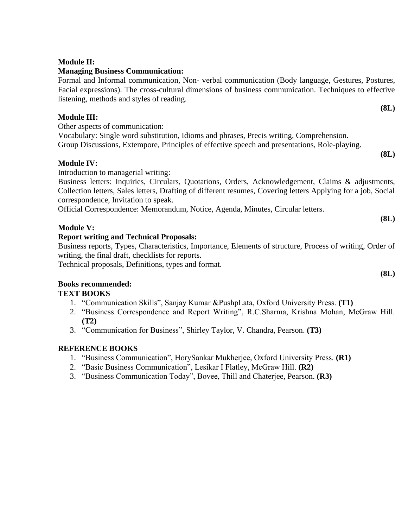### **Managing Business Communication:**

Formal and Informal communication, Non- verbal communication (Body language, Gestures, Postures, Facial expressions). The cross-cultural dimensions of business communication. Techniques to effective listening, methods and styles of reading. **(8L)**

### **Module III:**

Other aspects of communication:

Vocabulary: Single word substitution, Idioms and phrases, Precis writing, Comprehension. Group Discussions, Extempore, Principles of effective speech and presentations, Role-playing.

### **Module IV:**

Introduction to managerial writing:

Business letters: Inquiries, Circulars, Quotations, Orders, Acknowledgement, Claims & adjustments, Collection letters, Sales letters, Drafting of different resumes, Covering letters Applying for a job, Social correspondence, Invitation to speak.

Official Correspondence: Memorandum, Notice, Agenda, Minutes, Circular letters.

### **Module V:**

### **Report writing and Technical Proposals:**

Business reports, Types, Characteristics, Importance, Elements of structure, Process of writing, Order of writing, the final draft, checklists for reports.

Technical proposals, Definitions, types and format.

## **Books recommended:**

### **TEXT BOOKS**

- 1. "Communication Skills", Sanjay Kumar &PushpLata, Oxford University Press. **(T1)**
- 2. "Business Correspondence and Report Writing", R.C.Sharma, Krishna Mohan, McGraw Hill. **(T2)**
- 3. "Communication for Business", Shirley Taylor, V. Chandra, Pearson. **(T3)**

### **REFERENCE BOOKS**

- 1. "Business Communication", HorySankar Mukherjee, Oxford University Press. **(R1)**
- 2. "Basic Business Communication", Lesikar I Flatley, McGraw Hill. **(R2)**
- 3. "Business Communication Today", Bovee, Thill and Chaterjee, Pearson. **(R3)**

**(8L)**

**(8L)**

**(8L)**

**Module II:**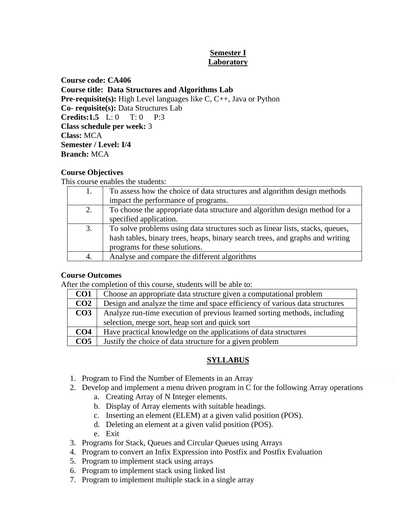#### **Semester I Laboratory**

**Course code: CA406 Course title: Data Structures and Algorithms Lab Pre-requisite(s):** High Level languages like C, C++, Java or Python **Co- requisite(s):** Data Structures Lab **Credits:1.5** L: 0 T: 0 P:3 **Class schedule per week:** 3 **Class:** MCA **Semester / Level: I/4 Branch:** MCA

### **Course Objectives**

This course enables the students:

|    | To assess how the choice of data structures and algorithm design methods      |  |
|----|-------------------------------------------------------------------------------|--|
|    | impact the performance of programs.                                           |  |
| 2. | To choose the appropriate data structure and algorithm design method for a    |  |
|    | specified application.                                                        |  |
| 3. | To solve problems using data structures such as linear lists, stacks, queues, |  |
|    | hash tables, binary trees, heaps, binary search trees, and graphs and writing |  |
|    | programs for these solutions.                                                 |  |
| 4. | Analyse and compare the different algorithms                                  |  |

#### **Course Outcomes**

After the completion of this course, students will be able to:

| CO <sub>1</sub> | Choose an appropriate data structure given a computational problem          |  |
|-----------------|-----------------------------------------------------------------------------|--|
| CO <sub>2</sub> | Design and analyze the time and space efficiency of various data structures |  |
| CO <sub>3</sub> | Analyze run-time execution of previous learned sorting methods, including   |  |
|                 | selection, merge sort, heap sort and quick sort                             |  |
| CO <sub>4</sub> | Have practical knowledge on the applications of data structures             |  |
| CO <sub>5</sub> | Justify the choice of data structure for a given problem                    |  |

### **SYLLABUS**

- 1. Program to Find the Number of Elements in an Array
- 2. Develop and implement a menu driven program in C for the following Array operations
	- a. Creating Array of N Integer elements.
	- b. Display of Array elements with suitable headings.
	- c. Inserting an element (ELEM) at a given valid position (POS).
	- d. Deleting an element at a given valid position (POS).
	- e. Exit
- 3. Programs for Stack, Queues and Circular Queues using Arrays
- 4. Program to convert an Infix Expression into Postfix and Postfix Evaluation
- 5. Program to implement stack using arrays
- 6. Program to implement stack using linked list
- 7. Program to implement multiple stack in a single array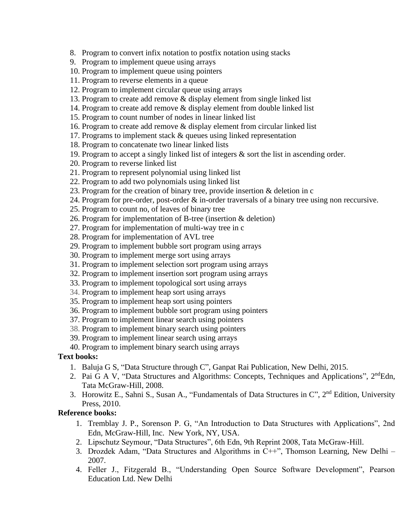8. Program to convert infix notation to postfix notation using stacks

- 9. Program to implement queue using arrays
- 10. Program to implement queue using pointers
- 11. Program to reverse elements in a queue
- 12. Program to implement circular queue using arrays
- 13. Program to create add remove & display element from single linked list
- 14. Program to create add remove & display element from double linked list
- 15. Program to count number of nodes in linear linked list
- 16. Program to create add remove & display element from circular linked list
- 17. Programs to implement stack & queues using linked representation
- 18. Program to concatenate two linear linked lists
- 19. Program to accept a singly linked list of integers & sort the list in ascending order.
- 20. Program to reverse linked list
- 21. Program to represent polynomial using linked list
- 22. Program to add two polynomials using linked list
- 23. Program for the creation of binary tree, provide insertion & deletion in c
- 24. Program for pre-order, post-order & in-order traversals of a binary tree using non reccursive.
- 25. Program to count no, of leaves of binary tree
- 26. Program for implementation of B-tree (insertion & deletion)
- 27. Program for implementation of multi-way tree in c
- 28. Program for implementation of AVL tree
- 29. Program to implement bubble sort program using arrays
- 30. Program to implement merge sort using arrays
- 31. Program to implement selection sort program using arrays
- 32. Program to implement insertion sort program using arrays
- 33. Program to implement topological sort using arrays
- 34. Program to implement heap sort using arrays
- 35. Program to implement heap sort using pointers
- 36. Program to implement bubble sort program using pointers
- 37. Program to implement linear search using pointers
- 38. Program to implement binary search using pointers
- 39. Program to implement linear search using arrays
- 40. Program to implement binary search using arrays

#### **Text books:**

- 1. Baluja G S, "Data Structure through C", Ganpat Rai Publication, New Delhi, 2015.
- 2. Pai G A V, "Data Structures and Algorithms: Concepts, Techniques and Applications", 2<sup>nd</sup>Edn, Tata McGraw-Hill, 2008.
- 3. Horowitz E., Sahni S., Susan A., "Fundamentals of Data Structures in C", 2<sup>nd</sup> Edition, University Press, 2010.

#### **Reference books:**

- 1. Tremblay J. P., Sorenson P. G, "An Introduction to Data Structures with Applications", 2nd Edn, McGraw-Hill, Inc. New York, NY, USA.
- 2. Lipschutz Seymour, "Data Structures", 6th Edn, 9th Reprint 2008, Tata McGraw-Hill.
- 3. Drozdek Adam, "Data Structures and Algorithms in C++", Thomson Learning, New Delhi 2007.
- 4. Feller J., Fitzgerald B., "Understanding Open Source Software Development", Pearson Education Ltd. New Delhi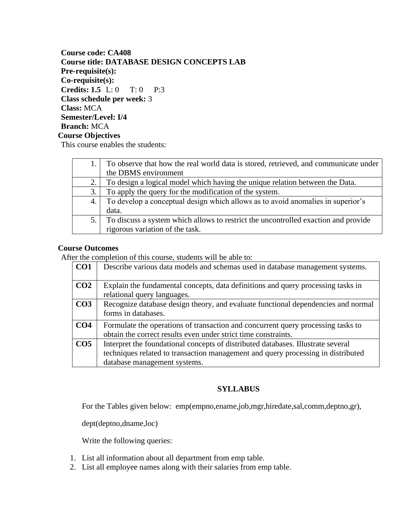**Course code: CA408 Course title: DATABASE DESIGN CONCEPTS LAB Pre-requisite(s): Co-requisite(s): Credits: 1.5** L: 0 T: 0 P:3 **Class schedule per week:** 3 **Class:** MCA **Semester/Level: I/4 Branch:** MCA **Course Objectives** 

This course enables the students:

|    | To observe that how the real world data is stored, retrieved, and communicate under |
|----|-------------------------------------------------------------------------------------|
|    | the DBMS environment                                                                |
| 2. | To design a logical model which having the unique relation between the Data.        |
| 3. | To apply the query for the modification of the system.                              |
| 4. | To develop a conceptual design which allows as to avoid anomalies in superior's     |
|    | data.                                                                               |
| 5. | To discuss a system which allows to restrict the uncontrolled exaction and provide  |
|    | rigorous variation of the task.                                                     |

#### **Course Outcomes**

After the completion of this course, students will be able to:

| CO <sub>1</sub> | Describe various data models and schemas used in database management systems.                                                                                                                        |
|-----------------|------------------------------------------------------------------------------------------------------------------------------------------------------------------------------------------------------|
| CO <sub>2</sub> | Explain the fundamental concepts, data definitions and query processing tasks in<br>relational query languages.                                                                                      |
| CO <sub>3</sub> | Recognize database design theory, and evaluate functional dependencies and normal<br>forms in databases.                                                                                             |
| CO <sub>4</sub> | Formulate the operations of transaction and concurrent query processing tasks to<br>obtain the correct results even under strict time constraints.                                                   |
| CO <sub>5</sub> | Interpret the foundational concepts of distributed databases. Illustrate several<br>techniques related to transaction management and query processing in distributed<br>database management systems. |

#### **SYLLABUS**

For the Tables given below: emp(empno,ename,job,mgr,hiredate,sal,comm,deptno,gr),

dept(deptno,dname,loc)

Write the following queries:

- 1. List all information about all department from emp table.
- 2. List all employee names along with their salaries from emp table.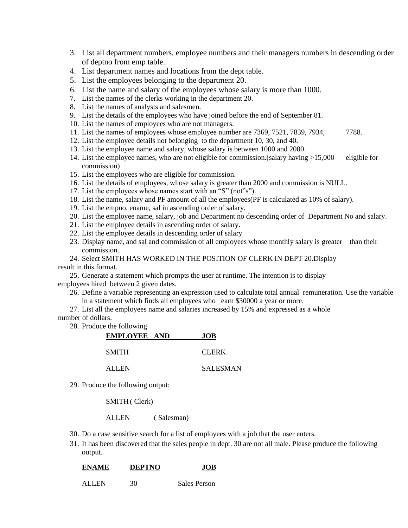- 3. List all department numbers, employee numbers and their managers numbers in descending order of deptno from emp table.
- 4. List department names and locations from the dept table.
- 5. List the employees belonging to the department 20.
- 6. List the name and salary of the employees whose salary is more than 1000.
- 7. List the names of the clerks working in the department 20.
- 8. List the names of analysts and salesmen.
- 9. List the details of the employees who have joined before the end of September 81.
- 10. List the names of employees who are not managers.
- 11. List the names of employees whose employee number are 7369, 7521, 7839, 7934, 7788.
- 12. List the employee details not belonging to the department 10, 30, and 40.
- 13. List the employee name and salary, whose salary is between 1000 and 2000.
- 14. List the employee names, who are not eligible for commission.(salary having >15,000 eligible for commission)
- 15. List the employees who are eligible for commission.
- 16. List the details of employees, whose salary is greater than 2000 and commission is NULL.
- 17. List the employees whose names start with an "S" (not"s").
- 18. List the name, salary and PF amount of all the employees(PF is calculated as 10% of salary).
- 19. List the empno, ename, sal in ascending order of salary.
- 20. List the employee name, salary, job and Department no descending order of Department No and salary.
- 21. List the employee details in ascending order of salary.
- 22. List the employee details in descending order of salary
- 23. Display name, and sal and commission of all employees whose monthly salary is greater than their commission.

24. Select SMITH HAS WORKED IN THE POSITION OF CLERK IN DEPT 20.Display result in this format.

25. Generate a statement which prompts the user at runtime. The intention is to display employees hired between 2 given dates.

- 26. Define a variable representing an expression used to calculate total annual remuneration. Use the variable in a statement which finds all employees who earn \$30000 a year or more.
- 27. List all the employees name and salaries increased by 15% and expressed as a whole

#### number of dollars.

28. Produce the following

| EMPLOYEE AND | <b>JOB</b>      |
|--------------|-----------------|
| <b>SMITH</b> | <b>CLERK</b>    |
| ALLEN        | <b>SALESMAN</b> |

29. Produce the following output:

SMITH ( Clerk)

ALLEN ( Salesman)

- 30. Do a case sensitive search for a list of employees with a job that the user enters.
- 31. It has been discovered that the sales people in dept. 30 are not all male. Please produce the following output.

| <b>ENAME</b> | <b>DEPTNO</b> | .IOB         |
|--------------|---------------|--------------|
| ALLEN        | 30.           | Sales Person |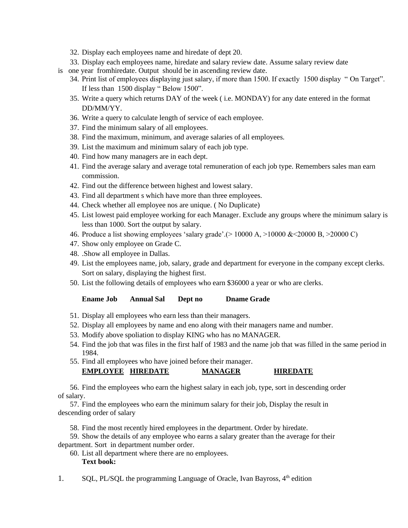- 32. Display each employees name and hiredate of dept 20.
- 33. Display each employees name, hiredate and salary review date. Assume salary review date
- is one year fromhiredate. Output should be in ascending review date.
	- 34. Print list of employees displaying just salary, if more than 1500. If exactly 1500 display " On Target". If less than 1500 display " Below 1500".
	- 35. Write a query which returns DAY of the week ( i.e. MONDAY) for any date entered in the format DD/MM/YY.
	- 36. Write a query to calculate length of service of each employee.
	- 37. Find the minimum salary of all employees.
	- 38. Find the maximum, minimum, and average salaries of all employees.
	- 39. List the maximum and minimum salary of each job type.
	- 40. Find how many managers are in each dept.
	- 41. Find the average salary and average total remuneration of each job type. Remembers sales man earn commission.
	- 42. Find out the difference between highest and lowest salary.
	- 43. Find all department s which have more than three employees.
	- 44. Check whether all employee nos are unique. ( No Duplicate)
	- 45. List lowest paid employee working for each Manager. Exclude any groups where the minimum salary is less than 1000. Sort the output by salary.
	- 46. Produce a list showing employees 'salary grade'.(> 10000 A, >10000 &<20000 B, >20000 C)
	- 47. Show only employee on Grade C.
	- 48. .Show all employee in Dallas.
	- 49. List the employees name, job, salary, grade and department for everyone in the company except clerks. Sort on salary, displaying the highest first.
	- 50. List the following details of employees who earn \$36000 a year or who are clerks.

#### **Ename Job Annual Sal Dept no Dname Grade**

- 51. Display all employees who earn less than their managers.
- 52. Display all employees by name and eno along with their managers name and number.
- 53. Modify above spoliation to display KING who has no MANAGER.
- 54. Find the job that was files in the first half of 1983 and the name job that was filled in the same period in 1984.
- 55. Find all employees who have joined before their manager.

### **EMPLOYEE HIREDATE MANAGER HIREDATE**

56. Find the employees who earn the highest salary in each job, type, sort in descending order of salary.

57. Find the employees who earn the minimum salary for their job, Display the result in descending order of salary

58. Find the most recently hired employees in the department. Order by hiredate.

59. Show the details of any employee who earns a salary greater than the average for their department. Sort in department number order.

60. List all department where there are no employees. **Text book:**

1. SQL, PL/SQL the programming Language of Oracle, Ivan Bayross,  $4<sup>th</sup>$  edition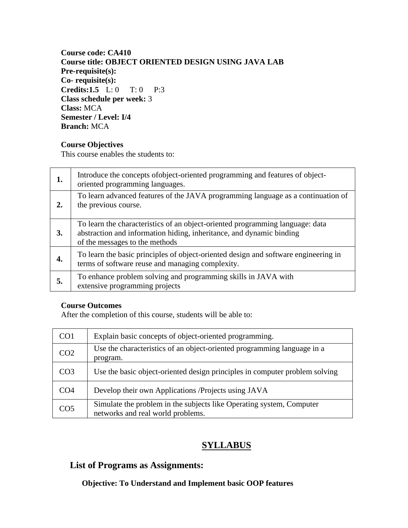#### **Course code: CA410 Course title: OBJECT ORIENTED DESIGN USING JAVA LAB Pre-requisite(s): Co- requisite(s): Credits:1.5** L: 0 T: 0 P:3 **Class schedule per week:** 3 **Class:** MCA **Semester / Level: I/4 Branch:** MCA

#### **Course Objectives**

This course enables the students to:

| 1. | Introduce the concepts of object-oriented programming and features of object-<br>oriented programming languages.                                                                        |
|----|-----------------------------------------------------------------------------------------------------------------------------------------------------------------------------------------|
| 2. | To learn advanced features of the JAVA programming language as a continuation of<br>the previous course.                                                                                |
| 3. | To learn the characteristics of an object-oriented programming language: data<br>abstraction and information hiding, inheritance, and dynamic binding<br>of the messages to the methods |
|    | To learn the basic principles of object-oriented design and software engineering in<br>terms of software reuse and managing complexity.                                                 |
| 5. | To enhance problem solving and programming skills in JAVA with<br>extensive programming projects                                                                                        |

#### **Course Outcomes**

After the completion of this course, students will be able to:

| CO <sub>1</sub> | Explain basic concepts of object-oriented programming.                                                    |  |
|-----------------|-----------------------------------------------------------------------------------------------------------|--|
| CO <sub>2</sub> | Use the characteristics of an object-oriented programming language in a<br>program.                       |  |
| CO <sub>3</sub> | Use the basic object-oriented design principles in computer problem solving                               |  |
| CO4             | Develop their own Applications / Projects using JAVA                                                      |  |
| CO <sub>5</sub> | Simulate the problem in the subjects like Operating system, Computer<br>networks and real world problems. |  |

### **SYLLABUS**

### **List of Programs as Assignments:**

#### **Objective: To Understand and Implement basic OOP features**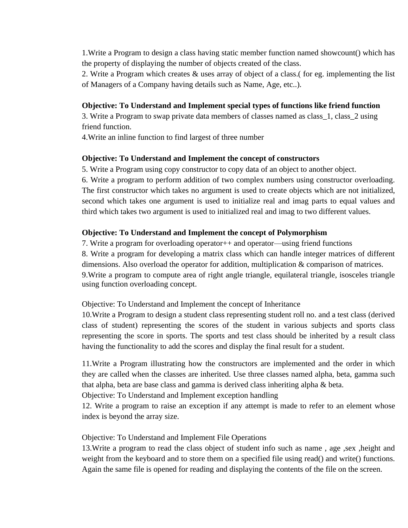1.Write a Program to design a class having static member function named showcount() which has the property of displaying the number of objects created of the class.

2. Write a Program which creates & uses array of object of a class.( for eg. implementing the list of Managers of a Company having details such as Name, Age, etc..).

#### **Objective: To Understand and Implement special types of functions like friend function**

3. Write a Program to swap private data members of classes named as class\_1, class\_2 using friend function.

4.Write an inline function to find largest of three number

#### **Objective: To Understand and Implement the concept of constructors**

5. Write a Program using copy constructor to copy data of an object to another object.

6. Write a program to perform addition of two complex numbers using constructor overloading. The first constructor which takes no argument is used to create objects which are not initialized, second which takes one argument is used to initialize real and imag parts to equal values and third which takes two argument is used to initialized real and imag to two different values.

#### **Objective: To Understand and Implement the concept of Polymorphism**

7. Write a program for overloading operator++ and operator—using friend functions 8. Write a program for developing a matrix class which can handle integer matrices of different dimensions. Also overload the operator for addition, multiplication & comparison of matrices. 9.Write a program to compute area of right angle triangle, equilateral triangle, isosceles triangle using function overloading concept.

Objective: To Understand and Implement the concept of Inheritance

10.Write a Program to design a student class representing student roll no. and a test class (derived class of student) representing the scores of the student in various subjects and sports class representing the score in sports. The sports and test class should be inherited by a result class having the functionality to add the scores and display the final result for a student.

11.Write a Program illustrating how the constructors are implemented and the order in which they are called when the classes are inherited. Use three classes named alpha, beta, gamma such that alpha, beta are base class and gamma is derived class inheriting alpha & beta.

Objective: To Understand and Implement exception handling

12. Write a program to raise an exception if any attempt is made to refer to an element whose index is beyond the array size.

#### Objective: To Understand and Implement File Operations

13.Write a program to read the class object of student info such as name , age ,sex ,height and weight from the keyboard and to store them on a specified file using read() and write() functions. Again the same file is opened for reading and displaying the contents of the file on the screen.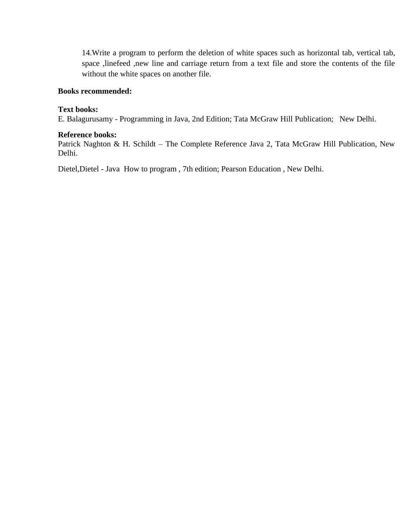14.Write a program to perform the deletion of white spaces such as horizontal tab, vertical tab, space ,linefeed ,new line and carriage return from a text file and store the contents of the file without the white spaces on another file.

#### **Books recommended:**

#### **Text books:**

E. Balagurusamy - Programming in Java, 2nd Edition; Tata McGraw Hill Publication; New Delhi.

#### **Reference books:**

Patrick Naghton & H. Schildt – The Complete Reference Java 2, Tata McGraw Hill Publication, New Delhi.

Dietel,Dietel - Java How to program , 7th edition; Pearson Education , New Delhi.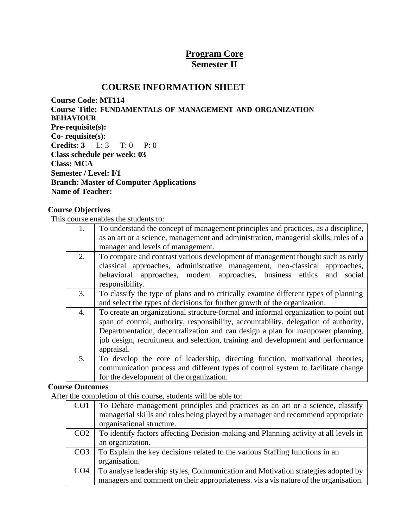### **Program Core Semester II**

### **COURSE INFORMATION SHEET**

**Course Code: MT114 Course Title: FUNDAMENTALS OF MANAGEMENT AND ORGANIZATION BEHAVIOUR Pre-requisite(s): Co- requisite(s): Credits: 3** L: 3 T: 0 P: 0 **Class schedule per week: 03 Class: MCA Semester / Level: I/1 Branch: Master of Computer Applications Name of Teacher:**

#### **Course Objectives**

This course enables the students to:

| 1. | To understand the concept of management principles and practices, as a discipline,   |  |  |
|----|--------------------------------------------------------------------------------------|--|--|
|    | as an art or a science, management and administration, managerial skills, roles of a |  |  |
|    | manager and levels of management.                                                    |  |  |
| 2. | To compare and contrast various development of management thought such as early      |  |  |
|    | classical approaches, administrative management, neo-classical approaches,           |  |  |
|    | behavioral approaches, modern approaches, business ethics<br>and<br>social           |  |  |
|    | responsibility.                                                                      |  |  |
| 3. | To classify the type of plans and to critically examine different types of planning  |  |  |
|    | and select the types of decisions for further growth of the organization.            |  |  |
| 4. | To create an organizational structure-formal and informal organization to point out  |  |  |
|    | span of control, authority, responsibility, accountability, delegation of authority, |  |  |
|    | Departmentation, decentralization and can design a plan for manpower planning,       |  |  |
|    | job design, recruitment and selection, training and development and performance      |  |  |
|    | appraisal.                                                                           |  |  |
| 5. | To develop the core of leadership, directing function, motivational theories,        |  |  |
|    | communication process and different types of control system to facilitate change     |  |  |
|    | for the development of the organization.                                             |  |  |

#### **Course Outcomes**

After the completion of this course, students will be able to:

| CO <sub>1</sub> | To Debate management principles and practices as an art or a science, classify       |
|-----------------|--------------------------------------------------------------------------------------|
|                 | managerial skills and roles being played by a manager and recommend appropriate      |
|                 | organisational structure.                                                            |
| CO <sub>2</sub> | To identify factors affecting Decision-making and Planning activity at all levels in |
|                 | an organization.                                                                     |
| CO <sub>3</sub> | To Explain the key decisions related to the various Staffing functions in an         |
|                 | organisation.                                                                        |
| CO <sub>4</sub> | To analyse leadership styles, Communication and Motivation strategies adopted by     |
|                 | managers and comment on their appropriateness. vis a vis nature of the organisation. |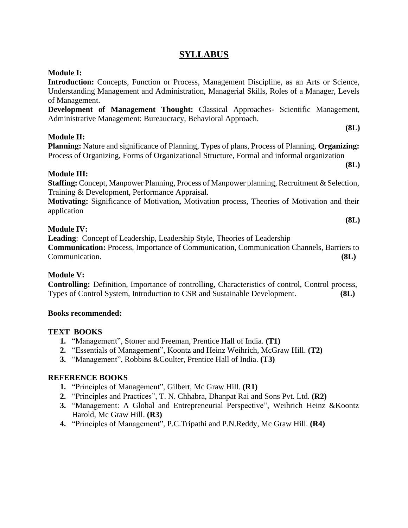### **SYLLABUS**

#### **Module I:**

**Introduction:** Concepts, Function or Process, Management Discipline, as an Arts or Science, Understanding Management and Administration, Managerial Skills, Roles of a Manager, Levels of Management.

**Development of Management Thought:** Classical Approaches- Scientific Management, Administrative Management: Bureaucracy, Behavioral Approach.

#### **Module II:**

**Planning:** Nature and significance of Planning, Types of plans, Process of Planning, **Organizing:** Process of Organizing, Forms of Organizational Structure, Formal and informal organization

#### **Module III:**

**Staffing:** Concept, Manpower Planning, Process of Manpower planning, Recruitment & Selection, Training & Development, Performance Appraisal.

**Motivating:** Significance of Motivation**,** Motivation process, Theories of Motivation and their application

#### **Module IV:**

**Leading**: Concept of Leadership, Leadership Style, Theories of Leadership **Communication:** Process, Importance of Communication, Communication Channels, Barriers to Communication. **(8L)**

#### **Module V:**

**Controlling:** Definition, Importance of controlling, Characteristics of control, Control process, Types of Control System, Introduction to CSR and Sustainable Development. **(8L)**

#### **Books recommended:**

#### **TEXT BOOKS**

- **1.** "Management", Stoner and Freeman, Prentice Hall of India. **(T1)**
- **2.** "Essentials of Management", Koontz and Heinz Weihrich, McGraw Hill. **(T2)**
- **3.** "Management", Robbins &Coulter, Prentice Hall of India. **(T3)**

#### **REFERENCE BOOKS**

- **1.** "Principles of Management", Gilbert, Mc Graw Hill. **(R1)**
- **2.** "Principles and Practices", T. N. Chhabra, Dhanpat Rai and Sons Pvt. Ltd. **(R2)**
- **3.** "Management: A Global and Entrepreneurial Perspective", Weihrich Heinz &Koontz Harold, Mc Graw Hill. **(R3)**
- **4.** "Principles of Management", P.C.Tripathi and P.N.Reddy, Mc Graw Hill. **(R4)**

**(8L)**

**(8L)**

**(8L)**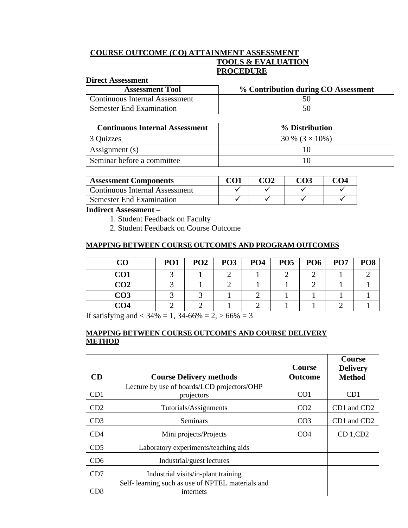#### **COURSE OUTCOME (CO) ATTAINMENT ASSESSMENT TOOLS & EVALUATION PROCEDURE**

#### **Direct Assessment**

| <b>Assessment Tool</b>          | % Contribution during CO Assessment |
|---------------------------------|-------------------------------------|
| Continuous Internal Assessment  |                                     |
| <b>Semester End Examination</b> |                                     |

| <b>Continuous Internal Assessment</b> | % Distribution         |
|---------------------------------------|------------------------|
| 3 Quizzes                             | 30 % $(3 \times 10\%)$ |
| Assignment (s)                        |                        |
| Seminar before a committee            | IO                     |

| <b>Assessment Components</b>   | <u>rω</u> | നാ | <u>CO4</u> |
|--------------------------------|-----------|----|------------|
| Continuous Internal Assessment |           |    |            |
| Semester End Examination       |           |    |            |

#### **Indirect Assessment –**

- 1. Student Feedback on Faculty
- 2. Student Feedback on Course Outcome

#### **MAPPING BETWEEN COURSE OUTCOMES AND PROGRAM OUTCOMES**

| CO              | PO <sub>1</sub> | PO <sub>2</sub> | PO <sub>3</sub> | PO <sub>4</sub> | PO <sub>5</sub> | PO <sub>6</sub> | PO <sub>7</sub> | PO <sub>8</sub> |
|-----------------|-----------------|-----------------|-----------------|-----------------|-----------------|-----------------|-----------------|-----------------|
| CO <sub>1</sub> |                 |                 |                 |                 |                 |                 |                 |                 |
| CO <sub>2</sub> |                 |                 |                 |                 |                 |                 |                 |                 |
| CO <sub>3</sub> |                 |                 |                 |                 |                 |                 |                 |                 |
| CO4             |                 |                 |                 |                 |                 |                 |                 |                 |

If satisfying and  $<$  34% = 1, 34-66% = 2,  $>$  66% = 3

#### **MAPPING BETWEEN COURSE OUTCOMES AND COURSE DELIVERY METHOD**

|                 |                                                                | <b>Course</b>   | <b>Course</b><br><b>Delivery</b> |
|-----------------|----------------------------------------------------------------|-----------------|----------------------------------|
| CD              | <b>Course Delivery methods</b>                                 | <b>Outcome</b>  | <b>Method</b>                    |
| CD1             | Lecture by use of boards/LCD projectors/OHP<br>projectors      | CO <sub>1</sub> | CD1                              |
| CD2             | Tutorials/Assignments                                          | CO <sub>2</sub> | CD1 and CD2                      |
| CD3             | Seminars                                                       | CO <sub>3</sub> | CD1 and CD2                      |
| CD4             | Mini projects/Projects                                         | CO <sub>4</sub> | CD 1, CD2                        |
| CD <sub>5</sub> | Laboratory experiments/teaching aids                           |                 |                                  |
| CD6             | Industrial/guest lectures                                      |                 |                                  |
| CD7             | Industrial visits/in-plant training                            |                 |                                  |
| CD8             | Self- learning such as use of NPTEL materials and<br>internets |                 |                                  |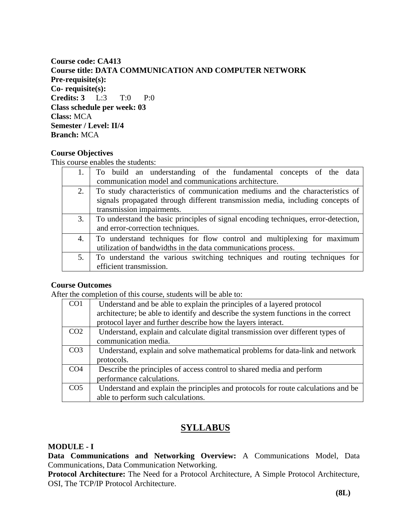**Course code: CA413 Course title: DATA COMMUNICATION AND COMPUTER NETWORK Pre-requisite(s): Co- requisite(s): Credits: 3** L:3 T:0 P:0 **Class schedule per week: 03 Class:** MCA **Semester / Level: II/4 Branch:** MCA

#### **Course Objectives**

This course enables the students:

|    | To build an understanding of the fundamental concepts of the data                  |
|----|------------------------------------------------------------------------------------|
|    | communication model and communications architecture.                               |
| 2. | To study characteristics of communication mediums and the characteristics of       |
|    | signals propagated through different transmission media, including concepts of     |
|    | transmission impairments.                                                          |
| 3. | To understand the basic principles of signal encoding techniques, error-detection, |
|    | and error-correction techniques.                                                   |
| 4. | To understand techniques for flow control and multiplexing for maximum             |
|    | utilization of bandwidths in the data communications process.                      |
| 5. | To understand the various switching techniques and routing techniques for          |
|    | efficient transmission.                                                            |

#### **Course Outcomes**

After the completion of this course, students will be able to:

| CO <sub>1</sub> | Understand and be able to explain the principles of a layered protocol             |
|-----------------|------------------------------------------------------------------------------------|
|                 | architecture; be able to identify and describe the system functions in the correct |
|                 | protocol layer and further describe how the layers interact.                       |
| CO <sub>2</sub> | Understand, explain and calculate digital transmission over different types of     |
|                 | communication media.                                                               |
| CO <sub>3</sub> | Understand, explain and solve mathematical problems for data-link and network      |
|                 | protocols.                                                                         |
| CO <sub>4</sub> | Describe the principles of access control to shared media and perform              |
|                 | performance calculations.                                                          |
| CO <sub>5</sub> | Understand and explain the principles and protocols for route calculations and be  |
|                 | able to perform such calculations.                                                 |

### **SYLLABUS**

#### **MODULE - I**

**Data Communications and Networking Overview:** A Communications Model, Data Communications, Data Communication Networking.

**Protocol Architecture:** The Need for a Protocol Architecture, A Simple Protocol Architecture, OSI, The TCP/IP Protocol Architecture.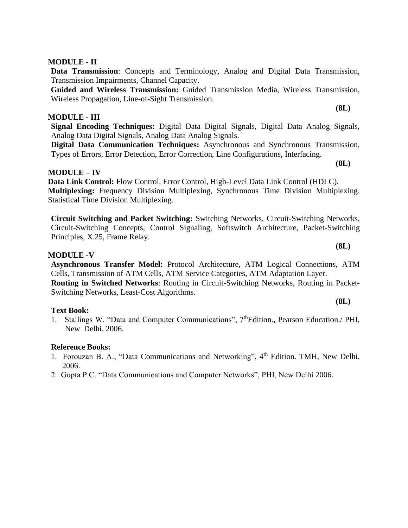### **MODULE - II**

**Data Transmission**: Concepts and Terminology, Analog and Digital Data Transmission, Transmission Impairments, Channel Capacity.

**Guided and Wireless Transmission:** Guided Transmission Media, Wireless Transmission, Wireless Propagation, Line-of-Sight Transmission.

#### **MODULE - III**

**Signal Encoding Techniques:** Digital Data Digital Signals, Digital Data Analog Signals, Analog Data Digital Signals, Analog Data Analog Signals.

**Digital Data Communication Techniques:** Asynchronous and Synchronous Transmission, Types of Errors, Error Detection, Error Correction, Line Configurations, Interfacing.

#### **MODULE – IV**

**Data Link Control:** Flow Control, Error Control, High-Level Data Link Control (HDLC). **Multiplexing:** Frequency Division Multiplexing, Synchronous Time Division Multiplexing, Statistical Time Division Multiplexing.

**Circuit Switching and Packet Switching:** Switching Networks, Circuit-Switching Networks, Circuit-Switching Concepts, Control Signaling, Softswitch Architecture, Packet-Switching Principles, X.25, Frame Relay.

#### **MODULE -V**

**Asynchronous Transfer Model:** Protocol Architecture, ATM Logical Connections, ATM Cells, Transmission of ATM Cells, ATM Service Categories, ATM Adaptation Layer. **Routing in Switched Networks**: Routing in Circuit-Switching Networks, Routing in Packet-Switching Networks, Least-Cost Algorithms.

#### **Text Book:**

1. Stallings W. "Data and Computer Communications", 7<sup>th</sup>Edition., Pearson Education./ PHI, New Delhi, 2006.

#### **Reference Books:**

- 1. Forouzan B. A., "Data Communications and Networking", 4<sup>th</sup> Edition. TMH, New Delhi, 2006.
- 2. Gupta P.C. "Data Communications and Computer Networks", PHI, New Delhi 2006.

**(8L)**

**(8L)**

**(8L)**

**(8L)**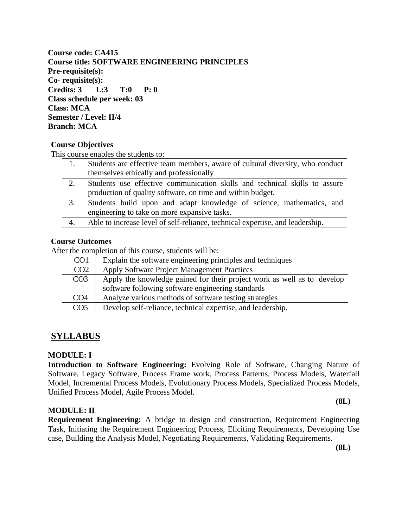**Course code: CA415 Course title: SOFTWARE ENGINEERING PRINCIPLES Pre-requisite(s): Co- requisite(s): Credits: 3 L:3 T:0 P: 0 Class schedule per week: 03 Class: MCA Semester / Level: II/4 Branch: MCA**

#### **Course Objectives**

This course enables the students to:

|    | Students are effective team members, aware of cultural diversity, who conduct |
|----|-------------------------------------------------------------------------------|
|    | themselves ethically and professionally                                       |
| 2. | Students use effective communication skills and technical skills to assure    |
|    | production of quality software, on time and within budget.                    |
| 3. | Students build upon and adapt knowledge of science, mathematics, and          |
|    | engineering to take on more expansive tasks.                                  |
| 4. | Able to increase level of self-reliance, technical expertise, and leadership. |

#### **Course Outcomes**

After the completion of this course, students will be:

| CO <sub>1</sub> | Explain the software engineering principles and techniques                                                                   |
|-----------------|------------------------------------------------------------------------------------------------------------------------------|
| CO <sub>2</sub> | Apply Software Project Management Practices                                                                                  |
| CO <sub>3</sub> | Apply the knowledge gained for their project work as well as to develop<br>software following software engineering standards |
| CO <sub>4</sub> | Analyze various methods of software testing strategies                                                                       |
| CO <sub>5</sub> | Develop self-reliance, technical expertise, and leadership.                                                                  |

### **SYLLABUS**

#### **MODULE: I**

**Introduction to Software Engineering:** Evolving Role of Software, Changing Nature of Software, Legacy Software, Process Frame work, Process Patterns, Process Models, Waterfall Model, Incremental Process Models, Evolutionary Process Models, Specialized Process Models, Unified Process Model, Agile Process Model.

#### **MODULE: II**

**(8L)**

**Requirement Engineering:** A bridge to design and construction, Requirement Engineering Task, Initiating the Requirement Engineering Process, Eliciting Requirements, Developing Use case, Building the Analysis Model, Negotiating Requirements, Validating Requirements.

**(8L)**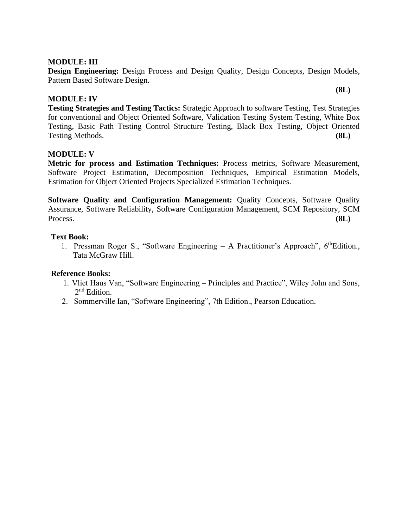#### **MODULE: III**

**Design Engineering:** Design Process and Design Quality, Design Concepts, Design Models, Pattern Based Software Design.

#### **MODULE: IV**

**(8L)**

**Testing Strategies and Testing Tactics:** Strategic Approach to software Testing, Test Strategies for conventional and Object Oriented Software, Validation Testing System Testing, White Box Testing, Basic Path Testing Control Structure Testing, Black Box Testing, Object Oriented Testing Methods. **(8L)**

#### **MODULE: V**

**Metric for process and Estimation Techniques:** Process metrics, Software Measurement, Software Project Estimation, Decomposition Techniques, Empirical Estimation Models, Estimation for Object Oriented Projects Specialized Estimation Techniques.

**Software Quality and Configuration Management:** Quality Concepts, Software Quality Assurance, Software Reliability, Software Configuration Management, SCM Repository, SCM Process. **(8L)**

#### **Text Book:**

1. Pressman Roger S., "Software Engineering – A Practitioner's Approach", 6<sup>th</sup>Edition., Tata McGraw Hill.

#### **Reference Books:**

- 1. Vliet Haus Van, "Software Engineering Principles and Practice", Wiley John and Sons, 2<sup>nd</sup> Edition.
- 2. Sommerville Ian, "Software Engineering", 7th Edition., Pearson Education.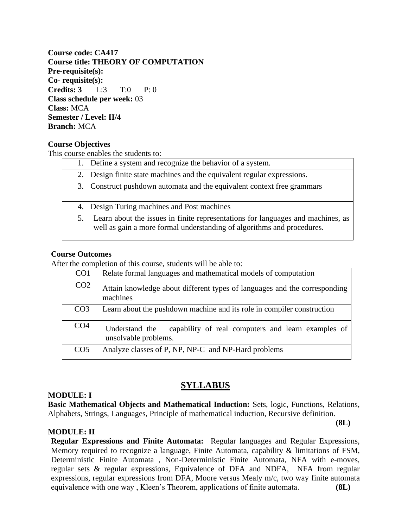**Course code: CA417 Course title: THEORY OF COMPUTATION Pre-requisite(s): Co- requisite(s): Credits: 3** L:3 T:0 P: 0 **Class schedule per week:** 03 **Class:** MCA **Semester / Level: II/4 Branch:** MCA

#### **Course Objectives**

This course enables the students to:

|     | 1. Define a system and recognize the behavior of a system.                                                                                                |
|-----|-----------------------------------------------------------------------------------------------------------------------------------------------------------|
| 2.1 | Design finite state machines and the equivalent regular expressions.                                                                                      |
|     | 3. Construct pushdown automata and the equivalent context free grammars                                                                                   |
|     | Design Turing machines and Post machines                                                                                                                  |
| 5.  | Learn about the issues in finite representations for languages and machines, as<br>well as gain a more formal understanding of algorithms and procedures. |

#### **Course Outcomes**

After the completion of this course, students will be able to:

| CO <sub>1</sub> | Relate formal languages and mathematical models of computation                               |
|-----------------|----------------------------------------------------------------------------------------------|
| CO <sub>2</sub> | Attain knowledge about different types of languages and the corresponding<br>machines        |
| CO <sub>3</sub> | Learn about the pushdown machine and its role in compiler construction                       |
| CO <sub>4</sub> | capability of real computers and learn examples of<br>Understand the<br>unsolvable problems. |
| CO <sub>5</sub> | Analyze classes of P, NP, NP-C and NP-Hard problems                                          |

### **SYLLABUS**

#### **MODULE: I**

**Basic Mathematical Objects and Mathematical Induction:** Sets, logic, Functions, Relations, Alphabets, Strings, Languages, Principle of mathematical induction, Recursive definition.

**(8L)**

#### **MODULE: II**

**Regular Expressions and Finite Automata:** Regular languages and Regular Expressions, Memory required to recognize a language, Finite Automata, capability & limitations of FSM, Deterministic Finite Automata , Non-Deterministic Finite Automata, NFA with e-moves, regular sets & regular expressions, Equivalence of DFA and NDFA, NFA from regular expressions, regular expressions from DFA, Moore versus Mealy m/c, two way finite automata equivalence with one way , Kleen's Theorem, applications of finite automata. **(8L)**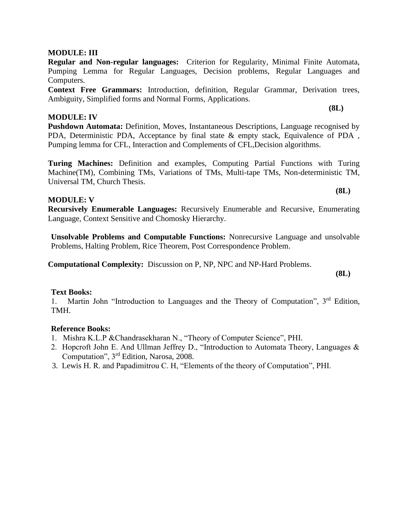#### **MODULE: III**

**Regular and Non-regular languages:** Criterion for Regularity, Minimal Finite Automata, Pumping Lemma for Regular Languages, Decision problems, Regular Languages and Computers.

**Context Free Grammars:** Introduction, definition, Regular Grammar, Derivation trees, Ambiguity, Simplified forms and Normal Forms, Applications.

#### **MODULE: IV**

**Pushdown Automata:** Definition, Moves, Instantaneous Descriptions, Language recognised by PDA, Deterministic PDA, Acceptance by final state & empty stack, Equivalence of PDA , Pumping lemma for CFL, Interaction and Complements of CFL,Decision algorithms.

**Turing Machines:** Definition and examples, Computing Partial Functions with Turing Machine(TM), Combining TMs, Variations of TMs, Multi-tape TMs, Non-deterministic TM, Universal TM, Church Thesis.

#### **MODULE: V**

**Recursively Enumerable Languages:** Recursively Enumerable and Recursive, Enumerating Language, Context Sensitive and Chomosky Hierarchy.

**Unsolvable Problems and Computable Functions:** Nonrecursive Language and unsolvable Problems, Halting Problem, Rice Theorem, Post Correspondence Problem.

**Computational Complexity:** Discussion on P, NP, NPC and NP-Hard Problems.

#### **Text Books:**

1. Martin John "Introduction to Languages and the Theory of Computation", 3<sup>rd</sup> Edition, TMH.

#### **Reference Books:**

- 1. Mishra K.L.P &Chandrasekharan N., "Theory of Computer Science", PHI.
- 2. Hopcroft John E. And Ullman Jeffrey D., "Introduction to Automata Theory, Languages & Computation", 3rd Edition, Narosa, 2008.
- 3. Lewis H. R. and Papadimitrou C. H, "Elements of the theory of Computation", PHI.

**(8L)**

**(8L)**

**(8L)**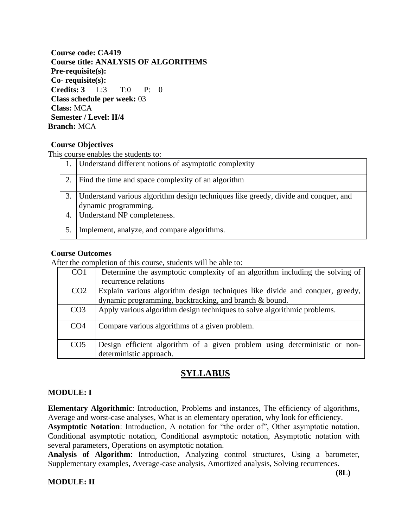**Course code: CA419 Course title: ANALYSIS OF ALGORITHMS Pre-requisite(s): Co- requisite(s): Credits: 3** L:3 T:0 P: 0 **Class schedule per week:** 03 **Class:** MCA **Semester / Level: II/4 Branch:** MCA

#### **Course Objectives**

This course enables the students to:

|    | Understand different notions of asymptotic complexity                                                       |
|----|-------------------------------------------------------------------------------------------------------------|
|    | Find the time and space complexity of an algorithm                                                          |
| 3. | Understand various algorithm design techniques like greedy, divide and conquer, and<br>dynamic programming. |
| 4. | Understand NP completeness.                                                                                 |
|    | Implement, analyze, and compare algorithms.                                                                 |

#### **Course Outcomes**

After the completion of this course, students will be able to:

| CO <sub>1</sub> | Determine the asymptotic complexity of an algorithm including the solving of                         |
|-----------------|------------------------------------------------------------------------------------------------------|
|                 | recurrence relations                                                                                 |
| CO <sub>2</sub> | Explain various algorithm design techniques like divide and conquer, greedy,                         |
|                 | dynamic programming, backtracking, and branch & bound.                                               |
| CO <sub>3</sub> | Apply various algorithm design techniques to solve algorithmic problems.                             |
| CO <sub>4</sub> | Compare various algorithms of a given problem.                                                       |
| CO <sub>5</sub> | Design efficient algorithm of a given problem using deterministic or non-<br>deterministic approach. |

### **SYLLABUS**

#### **MODULE: I**

**Elementary Algorithmic**: Introduction, Problems and instances, The efficiency of algorithms, Average and worst-case analyses, What is an elementary operation, why look for efficiency.

**Asymptotic Notation**: Introduction, A notation for "the order of", Other asymptotic notation, Conditional asymptotic notation, Conditional asymptotic notation, Asymptotic notation with several parameters, Operations on asymptotic notation.

**Analysis of Algorithm**: Introduction, Analyzing control structures, Using a barometer, Supplementary examples, Average-case analysis, Amortized analysis, Solving recurrences.

#### **MODULE: II**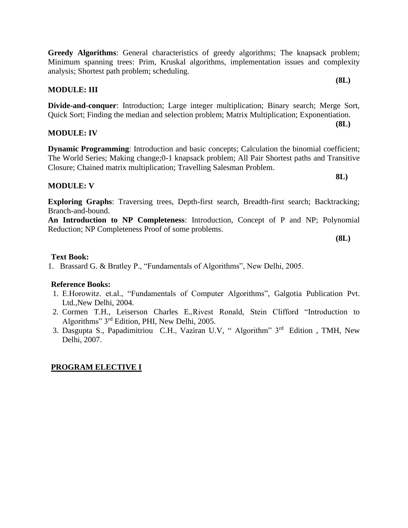#### **MODULE: III**

analysis; Shortest path problem; scheduling.

**Divide-and-conquer**: Introduction; Large integer multiplication; Binary search; Merge Sort, Quick Sort; Finding the median and selection problem; Matrix Multiplication; Exponentiation.

**Greedy Algorithms**: General characteristics of greedy algorithms; The knapsack problem;

#### **MODULE: IV**

**Dynamic Programming:** Introduction and basic concepts; Calculation the binomial coefficient; The World Series; Making change;0-1 knapsack problem; All Pair Shortest paths and Transitive Closure; Chained matrix multiplication; Travelling Salesman Problem.

#### **MODULE: V**

**Exploring Graphs**: Traversing trees, Depth-first search, Breadth-first search; Backtracking; Branch-and-bound.

**An Introduction to NP Completeness**: Introduction, Concept of P and NP; Polynomial Reduction; NP Completeness Proof of some problems.

**(8L)**

#### **Text Book:**

1. Brassard G. & Bratley P., "Fundamentals of Algorithms", New Delhi, 2005.

#### **Reference Books:**

- 1. E.Horowitz. et.al., "Fundamentals of Computer Algorithms", Galgotia Publication Pvt. Ltd.,New Delhi, 2004.
- 2. Cormen T.H., Leiserson Charles E.*,*Rivest Ronald, Stein Clifford "Introduction to Algorithms" 3rd Edition, PHI, New Delhi, 2005.
- 3. Dasgupta S., Papadimitriou C.H., Vaziran U.V, " Algorithm" 3rd Edition , TMH, New Delhi, 2007.

#### **PROGRAM ELECTIVE I**

**(8L)**

**(8L)**

**8L)**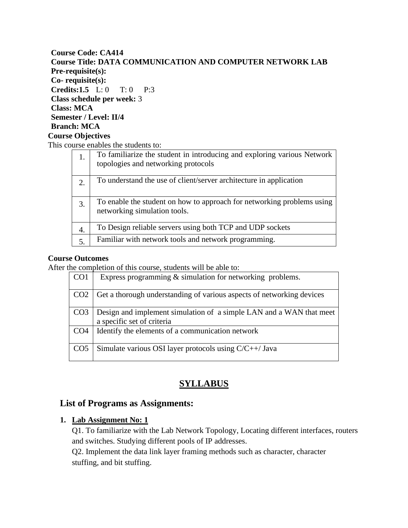#### **Course Code: CA414 Course Title: DATA COMMUNICATION AND COMPUTER NETWORK LAB Pre-requisite(s): Co- requisite(s): Credits:1.5** L: 0 T: 0 P:3 **Class schedule per week:** 3 **Class: MCA Semester / Level: II/4 Branch: MCA Course Objectives**

This course enables the students to:

| 1. | To familiarize the student in introducing and exploring various Network<br>topologies and networking protocols |
|----|----------------------------------------------------------------------------------------------------------------|
| 2. | To understand the use of client/server architecture in application                                             |
| 3. | To enable the student on how to approach for networking problems using<br>networking simulation tools.         |
| 4. | To Design reliable servers using both TCP and UDP sockets                                                      |
| 5. | Familiar with network tools and network programming.                                                           |

#### **Course Outcomes**

After the completion of this course, students will be able to:

| CO <sub>1</sub> | Express programming $\&$ simulation for networking problems.                                      |
|-----------------|---------------------------------------------------------------------------------------------------|
| CO <sub>2</sub> | Get a thorough understanding of various aspects of networking devices                             |
| CO <sub>3</sub> | Design and implement simulation of a simple LAN and a WAN that meet<br>a specific set of criteria |
| CO <sub>4</sub> | Identify the elements of a communication network                                                  |
| CO <sub>5</sub> | Simulate various OSI layer protocols using $C/C++/$ Java                                          |

### **SYLLABUS**

#### **List of Programs as Assignments:**

### **1. Lab Assignment No: 1**

Q1. To familiarize with the Lab Network Topology, Locating different interfaces, routers and switches. Studying different pools of IP addresses.

Q2. Implement the data link layer framing methods such as character, character stuffing, and bit stuffing.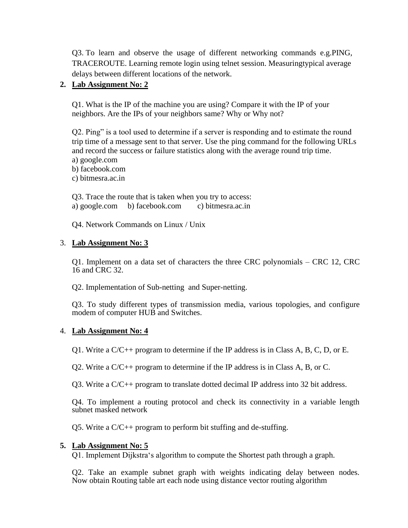Q3. To learn and observe the usage of different networking commands e.g.PING, TRACEROUTE. Learning remote login using telnet session. Measuringtypical average delays between different locations of the network.

#### **2. Lab Assignment No: 2**

Q1. What is the IP of the machine you are using? Compare it with the IP of your neighbors. Are the IPs of your neighbors same? Why or Why not?

Q2. Ping" is a tool used to determine if a server is responding and to estimate the round trip time of a message sent to that server. Use the ping command for the following URLs and record the success or failure statistics along with the average round trip time.

a) google.com

b) facebook.com

c) bitmesra.ac.in

Q3. Trace the route that is taken when you try to access: a) google.com b) facebook.com c) bitmesra.ac.in

Q4. Network Commands on Linux / Unix

#### 3. **Lab Assignment No: 3**

Q1. Implement on a data set of characters the three CRC polynomials – CRC 12, CRC 16 and CRC 32.

Q2. Implementation of Sub-netting and Super-netting.

Q3. To study different types of transmission media, various topologies, and configure modem of computer HUB and Switches.

#### 4. **Lab Assignment No: 4**

Q1. Write a  $C/C_{++}$  program to determine if the IP address is in Class A, B, C, D, or E.

Q2. Write a C/C++ program to determine if the IP address is in Class A, B, or C.

Q3. Write a C/C++ program to translate dotted decimal IP address into 32 bit address.

Q4. To implement a routing protocol and check its connectivity in a variable length subnet masked network

Q5. Write a C/C++ program to perform bit stuffing and de-stuffing.

#### **5. Lab Assignment No: 5**

Q1. Implement Dijkstra's algorithm to compute the Shortest path through a graph.

Q2. Take an example subnet graph with weights indicating delay between nodes. Now obtain Routing table art each node using distance vector routing algorithm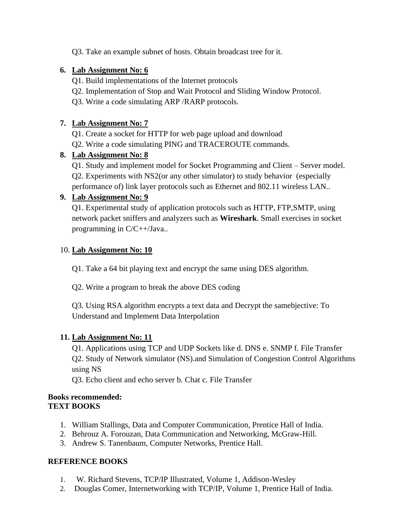Q3. Take an example subnet of hosts. Obtain broadcast tree for it.

### **6. Lab Assignment No: 6**

- Q1. Build implementations of the Internet protocols
- Q2. Implementation of Stop and Wait Protocol and Sliding Window Protocol.
- Q3. Write a code simulating ARP /RARP protocols.

### **7. Lab Assignment No: 7**

Q1. Create a socket for HTTP for web page upload and download

Q2. Write a code simulating PING and TRACEROUTE commands.

### **8. Lab Assignment No: 8**

Q1. Study and implement model for Socket Programming and Client – Server model. Q2. Experiments with NS2(or any other simulator) to study behavior (especially performance of) link layer protocols such as Ethernet and 802.11 wireless LAN..

### **9. Lab Assignment No: 9**

Q1. Experimental study of application protocols such as HTTP, FTP,SMTP, using network packet sniffers and analyzers such as **Wireshark**. Small exercises in socket programming in C/C++/Java..

### 10. **Lab Assignment No: 10**

Q1. Take a 64 bit playing text and encrypt the same using DES algorithm.

Q2. Write a program to break the above DES coding

Q3. Using RSA algorithm encrypts a text data and Decrypt the samebjective: To Understand and Implement Data Interpolation

### **11. Lab Assignment No: 11**

Q1. Applications using TCP and UDP Sockets like d. DNS e. SNMP f. File Transfer Q2. Study of Network simulator (NS).and Simulation of Congestion Control Algorithms using NS

Q3. Echo client and echo server b. Chat c. File Transfer

#### **Books recommended: TEXT BOOKS**

- 1. William Stallings, Data and Computer Communication, Prentice Hall of India.
- 2. Behrouz A. Forouzan, Data Communication and Networking, McGraw-Hill.
- 3. Andrew S. Tanenbaum, Computer Networks, Prentice Hall.

### **REFERENCE BOOKS**

- 1. W. Richard Stevens, TCP/IP Illustrated, Volume 1, Addison-Wesley
- 2. Douglas Comer, Internetworking with TCP/IP, Volume 1, Prentice Hall of India.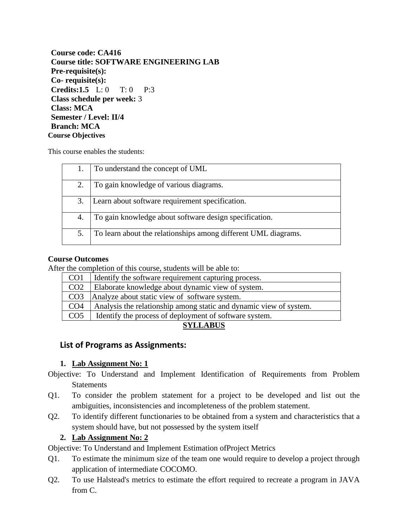| Course code: CA416                                              |
|-----------------------------------------------------------------|
| <b>Course title: SOFTWARE ENGINEERING LAB</b>                   |
| Pre-requisite(s):                                               |
| $Co$ - requisite $(s)$ :                                        |
| <b>Credits:1.5</b> $L: 0$ T: 0<br>$\mathbf{p} \cdot \mathbf{q}$ |
| Class schedule per week: 3                                      |
| <b>Class: MCA</b>                                               |
| <b>Semester / Level: II/4</b>                                   |
| <b>Branch: MCA</b>                                              |
| <b>Course Objectives</b>                                        |

This course enables the students:

|    | To understand the concept of UML                               |
|----|----------------------------------------------------------------|
| 2. | To gain knowledge of various diagrams.                         |
| 3. | Learn about software requirement specification.                |
| 4. | To gain knowledge about software design specification.         |
| 5. | To learn about the relationships among different UML diagrams. |

#### **Course Outcomes**

After the completion of this course, students will be able to:

| CO <sub>1</sub>                                                | Identify the software requirement capturing process.               |  |
|----------------------------------------------------------------|--------------------------------------------------------------------|--|
| CO <sub>2</sub>                                                | Elaborate knowledge about dynamic view of system.                  |  |
| CO <sub>3</sub>                                                | Analyze about static view of software system.                      |  |
| CO <sub>4</sub>                                                | Analysis the relationship among static and dynamic view of system. |  |
| CO <sub>5</sub>                                                | Identify the process of deployment of software system.             |  |
| $\alpha$ $\alpha$ $\alpha$ $\alpha$ $\alpha$ $\alpha$ $\alpha$ |                                                                    |  |

#### **SYLLABUS**

#### **List of Programs as Assignments:**

#### **1. Lab Assignment No: 1**

- Objective: To Understand and Implement Identification of Requirements from Problem **Statements**
- Q1. To consider the problem statement for a project to be developed and list out the ambiguities, inconsistencies and incompleteness of the problem statement.
- Q2. To identify different functionaries to be obtained from a system and characteristics that a system should have, but not possessed by the system itself

#### **2. Lab Assignment No: 2**

Objective: To Understand and Implement Estimation ofProject Metrics

- Q1. To estimate the minimum size of the team one would require to develop a project through application of intermediate COCOMO.
- Q2. To use Halstead's metrics to estimate the effort required to recreate a program in JAVA from C.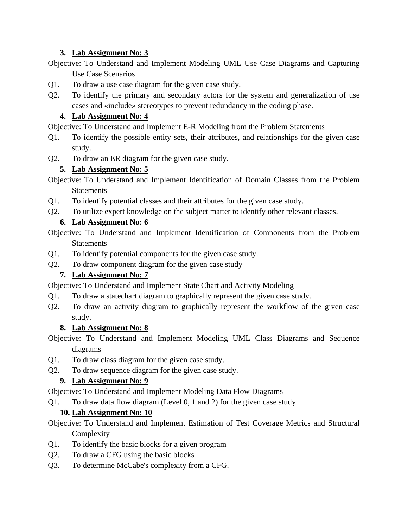### **3. Lab Assignment No: 3**

- Objective: To Understand and Implement Modeling UML Use Case Diagrams and Capturing Use Case Scenarios
- Q1. To draw a use case diagram for the given case study.
- Q2. To identify the primary and secondary actors for the system and generalization of use cases and «include» stereotypes to prevent redundancy in the coding phase.

### **4. Lab Assignment No: 4**

Objective: To Understand and Implement E-R Modeling from the Problem Statements

- Q1. To identify the possible entity sets, their attributes, and relationships for the given case study.
- Q2. To draw an ER diagram for the given case study.

### **5. Lab Assignment No: 5**

- Objective: To Understand and Implement Identification of Domain Classes from the Problem Statements
- Q1. To identify potential classes and their attributes for the given case study.
- Q2. To utilize expert knowledge on the subject matter to identify other relevant classes.

### **6. Lab Assignment No: 6**

Objective: To Understand and Implement Identification of Components from the Problem **Statements** 

- Q1. To identify potential components for the given case study.
- Q2. To draw component diagram for the given case study

### **7. Lab Assignment No: 7**

Objective: To Understand and Implement State Chart and Activity Modeling

- Q1. To draw a statechart diagram to graphically represent the given case study.
- Q2. To draw an activity diagram to graphically represent the workflow of the given case study.

### **8. Lab Assignment No: 8**

- Objective: To Understand and Implement Modeling UML Class Diagrams and Sequence diagrams
- Q1. To draw class diagram for the given case study.
- Q2. To draw sequence diagram for the given case study.

### **9. Lab Assignment No: 9**

Objective: To Understand and Implement Modeling Data Flow Diagrams

Q1. To draw data flow diagram (Level 0, 1 and 2) for the given case study.

### **10. Lab Assignment No: 10**

Objective: To Understand and Implement Estimation of Test Coverage Metrics and Structural **Complexity** 

- Q1. To identify the basic blocks for a given program
- Q2. To draw a CFG using the basic blocks
- Q3. To determine McCabe's complexity from a CFG.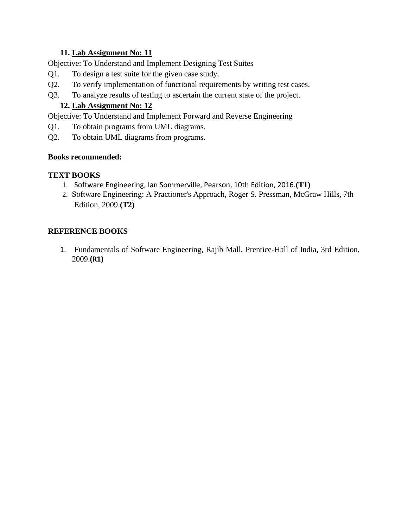### **11. Lab Assignment No: 11**

Objective: To Understand and Implement Designing Test Suites

- Q1. To design a test suite for the given case study.
- Q2. To verify implementation of functional requirements by writing test cases.
- Q3. To analyze results of testing to ascertain the current state of the project.

### **12. Lab Assignment No: 12**

Objective: To Understand and Implement Forward and Reverse Engineering

- Q1. To obtain programs from UML diagrams.
- Q2. To obtain UML diagrams from programs.

### **Books recommended:**

### **TEXT BOOKS**

- 1. Software Engineering, Ian Sommerville, Pearson, 10th Edition, 2016.**(T1)**
- 2. Software Engineering: A Practioner's Approach, Roger S. Pressman, McGraw Hills, 7th Edition, 2009.**(T2)**

### **REFERENCE BOOKS**

1. Fundamentals of Software Engineering, Rajib Mall, Prentice-Hall of India, 3rd Edition, 2009.**(R1)**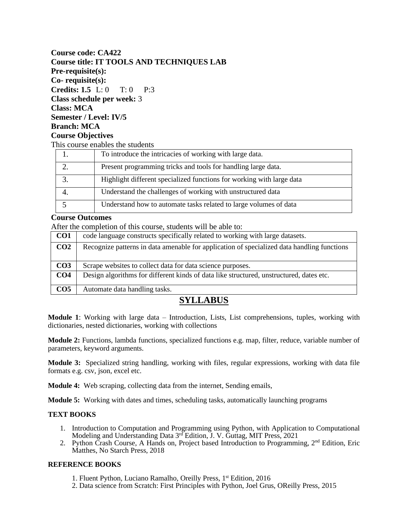#### **Course code: CA422 Course title: IT TOOLS AND TECHNIQUES LAB Pre-requisite(s): Co- requisite(s): Credits: 1.5** L: 0 T: 0 P:3 **Class schedule per week:** 3 **Class: MCA Semester / Level: IV/5 Branch: MCA Course Objectives** This course enables the students

| To introduce the intricacies of working with large data.              |
|-----------------------------------------------------------------------|
| Present programming tricks and tools for handling large data.         |
| Highlight different specialized functions for working with large data |
| Understand the challenges of working with unstructured data           |
| Understand how to automate tasks related to large volumes of data     |

#### **Course Outcomes**

After the completion of this course, students will be able to:

| CO <sub>1</sub> | code language constructs specifically related to working with large datasets.              |  |
|-----------------|--------------------------------------------------------------------------------------------|--|
| CO <sub>2</sub> | Recognize patterns in data amenable for application of specialized data handling functions |  |
|                 |                                                                                            |  |
| CO <sub>3</sub> | Scrape websites to collect data for data science purposes.                                 |  |
| CO <sub>4</sub> | Design algorithms for different kinds of data like structured, unstructured, dates etc.    |  |
| CO <sub>5</sub> | Automate data handling tasks.                                                              |  |
|                 |                                                                                            |  |

### **SYLLABUS**

**Module 1**: Working with large data – Introduction, Lists, List comprehensions, tuples, working with dictionaries, nested dictionaries, working with collections

**Module 2:** Functions, lambda functions, specialized functions e.g. map, filter, reduce, variable number of parameters, keyword arguments.

**Module 3:** Specialized string handling, working with files, regular expressions, working with data file formats e.g. csv, json, excel etc.

**Module 4:** Web scraping, collecting data from the internet, Sending emails,

**Module 5:** Working with dates and times, scheduling tasks, automatically launching programs

#### **TEXT BOOKS**

- 1. Introduction to Computation and Programming using Python, with Application to Computational Modeling and Understanding Data 3<sup>rd</sup> Edition, J. V. Guttag, MIT Press, 2021
- 2. Python Crash Course, A Hands on, Project based Introduction to Programming, 2<sup>nd</sup> Edition, Eric Matthes, No Starch Press, 2018

#### **REFERENCE BOOKS**

- 1. Fluent Python, Luciano Ramalho, Oreilly Press, 1st Edition, 2016
- 2. Data science from Scratch: First Principles with Python, Joel Grus, OReilly Press, 2015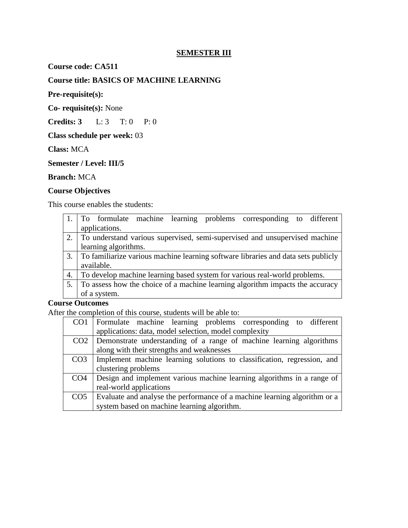### **SEMESTER III**

**Course code: CA511**

### **Course title: BASICS OF MACHINE LEARNING**

**Pre-requisite(s):**

**Co- requisite(s):** None

**Credits: 3** L: 3 T: 0 P: 0

**Class schedule per week:** 03

**Class:** MCA

**Semester / Level: III/5**

#### **Branch:** MCA

#### **Course Objectives**

This course enables the students:

|    | To formulate machine learning problems corresponding to different                 |  |  |
|----|-----------------------------------------------------------------------------------|--|--|
|    | applications.                                                                     |  |  |
|    | 2. To understand various supervised, semi-supervised and unsupervised machine     |  |  |
|    | learning algorithms.                                                              |  |  |
| 3. | To familiarize various machine learning software libraries and data sets publicly |  |  |
|    | available.                                                                        |  |  |
| 4. | To develop machine learning based system for various real-world problems.         |  |  |
| 5. | To assess how the choice of a machine learning algorithm impacts the accuracy     |  |  |
|    | of a system.                                                                      |  |  |
|    | $\mathbf{a}$ $\mathbf{a}$ $\mathbf{b}$ $\mathbf{a}$ $\mathbf{b}$                  |  |  |

#### **Course Outcomes**

After the completion of this course, students will be able to:

| CO <sub>1</sub> | Formulate machine learning problems corresponding to different            |  |  |
|-----------------|---------------------------------------------------------------------------|--|--|
|                 | applications: data, model selection, model complexity                     |  |  |
| CO <sub>2</sub> | Demonstrate understanding of a range of machine learning algorithms       |  |  |
|                 | along with their strengths and weaknesses                                 |  |  |
| CO <sub>3</sub> | Implement machine learning solutions to classification, regression, and   |  |  |
|                 | clustering problems                                                       |  |  |
| CO <sub>4</sub> | Design and implement various machine learning algorithms in a range of    |  |  |
|                 | real-world applications                                                   |  |  |
| CO <sub>5</sub> | Evaluate and analyse the performance of a machine learning algorithm or a |  |  |
|                 | system based on machine learning algorithm.                               |  |  |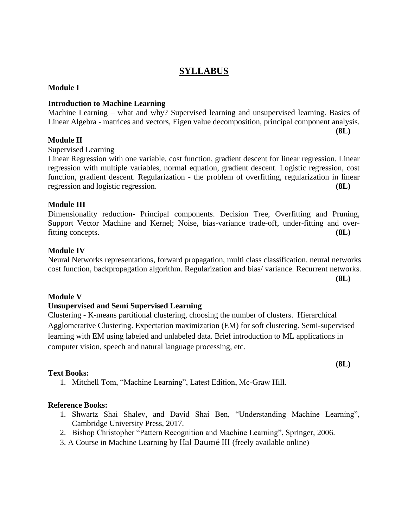### **SYLLABUS**

#### **Module I**

#### **Introduction to Machine Learning**

Machine Learning – what and why? Supervised learning and unsupervised learning. Basics of Linear Algebra - matrices and vectors, Eigen value decomposition, principal component analysis.

#### **Module II**

Supervised Learning

Linear Regression with one variable, cost function, gradient descent for linear regression. Linear regression with multiple variables, normal equation, gradient descent. Logistic regression, cost function, gradient descent. Regularization - the problem of overfitting, regularization in linear regression and logistic regression. **(8L)**

#### **Module III**

Dimensionality reduction- Principal components. Decision Tree, Overfitting and Pruning, Support Vector Machine and Kernel; Noise, bias-variance trade-off, under-fitting and overfitting concepts. **(8L)**

#### **Module IV**

Neural Networks representations, forward propagation, multi class classification. neural networks cost function, backpropagation algorithm. Regularization and bias/ variance. Recurrent networks.

#### **Module V**

#### **Unsupervised and Semi Supervised Learning**

Clustering - K-means partitional clustering, choosing the number of clusters. Hierarchical Agglomerative Clustering. Expectation maximization (EM) for soft clustering. Semi-supervised learning with EM using labeled and unlabeled data. Brief introduction to ML applications in computer vision, speech and natural language processing, etc.

#### **Text Books:**

1. Mitchell Tom, "Machine Learning", Latest Edition, Mc-Graw Hill.

#### **Reference Books:**

- 1. Shwartz Shai Shalev, and David Shai Ben, "Understanding Machine Learning", Cambridge University Press, 2017.
- 2. Bishop Christopher "Pattern Recognition and Machine Learning", Springer, 2006.
- 3. A Course in Machine Learning by [Hal Daumé III](http://hal3.name/) (freely available online)

**(8L)**

**(8L)**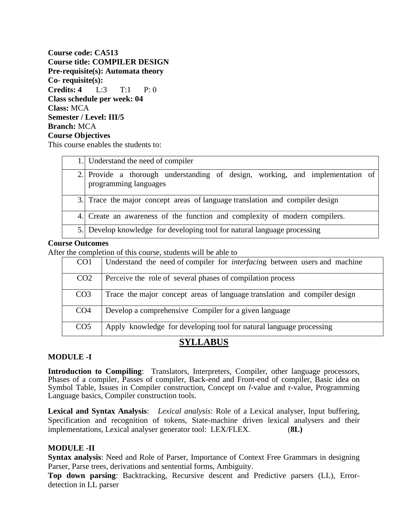**Course code: CA513 Course title: COMPILER DESIGN Pre-requisite(s): Automata theory Co- requisite(s): Credits: 4** L:3 T:1 P: 0 **Class schedule per week: 04 Class:** MCA **Semester / Level: III/5 Branch:** MCA **Course Objectives** 

This course enables the students to:

| 1. Understand the need of compiler                                                                     |  |  |
|--------------------------------------------------------------------------------------------------------|--|--|
| 2. Provide a thorough understanding of design, working, and implementation of<br>programming languages |  |  |
| 3. Trace the major concept areas of language translation and compiler design                           |  |  |
| 4. Create an awareness of the function and complexity of modern compilers.                             |  |  |
| 5. Develop knowledge for developing tool for natural language processing                               |  |  |

#### **Course Outcomes**

After the completion of this course, students will be able to

| CO <sub>1</sub> | Understand the need of compiler for <i>interfacing</i> between users and machine |  |
|-----------------|----------------------------------------------------------------------------------|--|
| CO <sub>2</sub> | Perceive the role of several phases of compilation process                       |  |
| CO <sub>3</sub> | Trace the major concept areas of language translation and compiler design        |  |
| CO <sub>4</sub> | Develop a comprehensive Compiler for a given language                            |  |
| CO <sub>5</sub> | Apply knowledge for developing tool for natural language processing              |  |

### **SYLLABUS**

#### **MODULE -I**

**Introduction to Compiling**: Translators, Interpreters, Compiler, other language processors, Phases of a compiler, Passes of compiler, Back-end and Front-end of compiler, Basic idea on Symbol Table, Issues in Compiler construction, Concept on *l*-value and r-value, Programming Language basics, Compiler construction tools.

**Lexical and Syntax Analysis**: *Lexical analysis*: Role of a Lexical analyser, Input buffering, Specification and recognition of tokens, State-machine driven lexical analysers and their implementations, Lexical analyser generator tool: LEX/FLEX. (**8L)**

#### **MODULE -II**

**Syntax analysis**: Need and Role of Parser, Importance of Context Free Grammars in designing Parser, Parse trees, derivations and sentential forms, Ambiguity.

**Top down parsing**: Backtracking, Recursive descent and Predictive parsers (LL), Errordetection in LL parser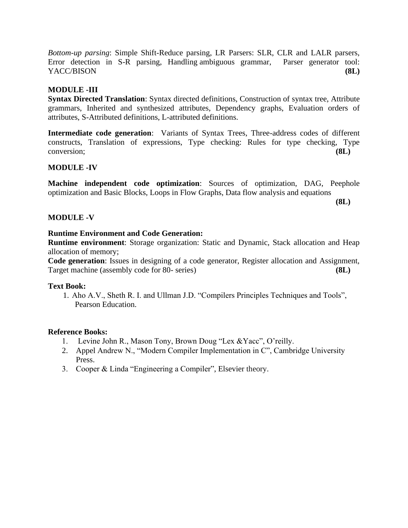*Bottom-up parsing*: Simple Shift-Reduce parsing, LR Parsers: SLR, CLR and LALR parsers, Error detection in S-R parsing, Handling ambiguous grammar, Parser generator tool: YACC/BISON **(8L)**

### **MODULE -III**

**Syntax Directed Translation**: Syntax directed definitions, Construction of syntax tree, Attribute grammars, Inherited and synthesized attributes, Dependency graphs, Evaluation orders of attributes, S-Attributed definitions, L-attributed definitions.

**Intermediate code generation**: Variants of Syntax Trees, Three-address codes of different constructs, Translation of expressions, Type checking: Rules for type checking, Type conversion; **(8L)**

#### **MODULE -IV**

**Machine independent code optimization**: Sources of optimization, DAG, Peephole optimization and Basic Blocks, Loops in Flow Graphs, Data flow analysis and equations

**(8L)**

#### **MODULE -V**

#### **Runtime Environment and Code Generation:**

**Runtime environment**: Storage organization: Static and Dynamic, Stack allocation and Heap allocation of memory;

**Code generation**: Issues in designing of a code generator, Register allocation and Assignment, Target machine (assembly code for 80- series) **(8L)**

#### **Text Book:**

1. Aho A.V., Sheth R. I. and Ullman J.D. "Compilers Principles Techniques and Tools", Pearson Education.

#### **Reference Books:**

- 1. Levine John R., Mason Tony, Brown Doug "Lex &Yacc", O'reilly.
- 2. Appel Andrew N., "Modern Compiler Implementation in C", Cambridge University Press.
- 3. Cooper & Linda "Engineering a Compiler", Elsevier theory.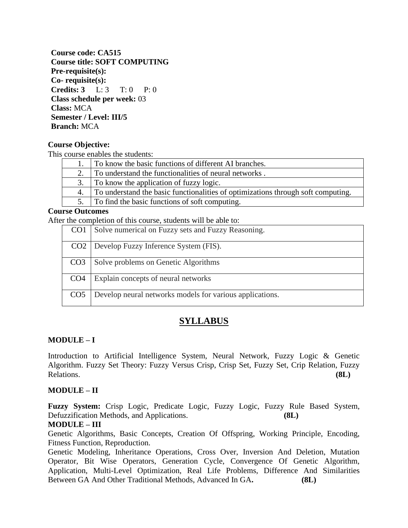**Course code: CA515 Course title: SOFT COMPUTING Pre-requisite(s): Co- requisite(s): Credits: 3** L: 3 T: 0 P: 0 **Class schedule per week:** 03 **Class:** MCA **Semester / Level: III/5 Branch:** MCA

#### **Course Objective:**

This course enables the students:

| To know the basic functions of different AI branches.                            |  |
|----------------------------------------------------------------------------------|--|
| To understand the functionalities of neural networks.                            |  |
| To know the application of fuzzy logic.                                          |  |
| To understand the basic functionalities of optimizations through soft computing. |  |
| 5. To find the basic functions of soft computing.                                |  |
|                                                                                  |  |

#### **Course Outcomes**

After the completion of this course, students will be able to:

| CO <sub>1</sub> | Solve numerical on Fuzzy sets and Fuzzy Reasoning.       |  |
|-----------------|----------------------------------------------------------|--|
|                 | CO2   Develop Fuzzy Inference System (FIS).              |  |
| CO <sub>3</sub> | Solve problems on Genetic Algorithms                     |  |
| CO <sub>4</sub> | Explain concepts of neural networks                      |  |
| CO <sub>5</sub> | Develop neural networks models for various applications. |  |

### **SYLLABUS**

#### **MODULE – I**

Introduction to Artificial Intelligence System, Neural Network, Fuzzy Logic & Genetic Algorithm. Fuzzy Set Theory: Fuzzy Versus Crisp, Crisp Set, Fuzzy Set, Crip Relation, Fuzzy Relations. **(8L)**

#### **MODULE – II**

**Fuzzy System:** Crisp Logic, Predicate Logic, Fuzzy Logic, Fuzzy Rule Based System, Defuzzification Methods, and Applications. **(8L)**

#### **MODULE – III**

Genetic Algorithms, Basic Concepts, Creation Of Offspring, Working Principle, Encoding, Fitness Function, Reproduction.

Genetic Modeling, Inheritance Operations, Cross Over, Inversion And Deletion, Mutation Operator, Bit Wise Operators, Generation Cycle, Convergence Of Genetic Algorithm, Application, Multi-Level Optimization, Real Life Problems, Difference And Similarities Between GA And Other Traditional Methods, Advanced In GA**. (8L)**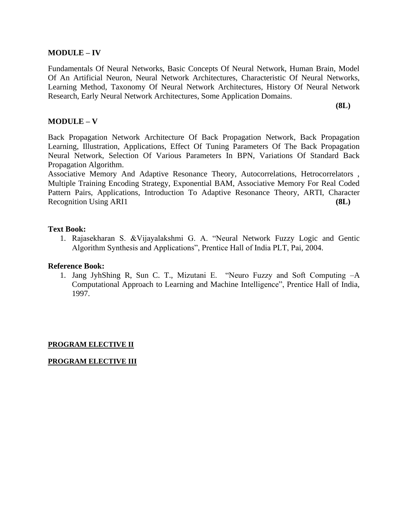#### **MODULE – IV**

Fundamentals Of Neural Networks, Basic Concepts Of Neural Network, Human Brain, Model Of An Artificial Neuron, Neural Network Architectures, Characteristic Of Neural Networks, Learning Method, Taxonomy Of Neural Network Architectures, History Of Neural Network Research, Early Neural Network Architectures, Some Application Domains.

**(8L)**

#### **MODULE – V**

Back Propagation Network Architecture Of Back Propagation Network, Back Propagation Learning, Illustration, Applications, Effect Of Tuning Parameters Of The Back Propagation Neural Network, Selection Of Various Parameters In BPN, Variations Of Standard Back Propagation Algorithm.

Associative Memory And Adaptive Resonance Theory, Autocorrelations, Hetrocorrelators , Multiple Training Encoding Strategy, Exponential BAM, Associative Memory For Real Coded Pattern Pairs, Applications, Introduction To Adaptive Resonance Theory, ARTI, Character Recognition Using ARI1 **(8L)**

#### **Text Book:**

1. Rajasekharan S. &Vijayalakshmi G. A. "Neural Network Fuzzy Logic and Gentic Algorithm Synthesis and Applications", Prentice Hall of India PLT, Pai, 2004.

#### **Reference Book:**

1. Jang JyhShing R, Sun C. T., Mizutani E. "Neuro Fuzzy and Soft Computing –A Computational Approach to Learning and Machine Intelligence", Prentice Hall of India, 1997.

#### **PROGRAM ELECTIVE II**

#### **PROGRAM ELECTIVE III**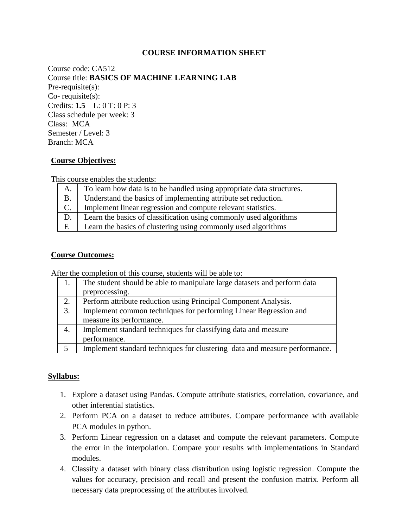#### **COURSE INFORMATION SHEET**

Course code: CA512 Course title: **BASICS OF MACHINE LEARNING LAB** Pre-requisite(s): Co- requisite(s): Credits: **1.5** L: 0 T: 0 P: 3 Class schedule per week: 3 Class: MCA Semester / Level: 3 Branch: MCA

#### **Course Objectives:**

This course enables the students:

| Α.              | To learn how data is to be handled using appropriate data structures. |  |
|-----------------|-----------------------------------------------------------------------|--|
| <b>B.</b>       | Understand the basics of implementing attribute set reduction.        |  |
| $\mathcal{C}$ . | Implement linear regression and compute relevant statistics.          |  |
| D.              | Learn the basics of classification using commonly used algorithms     |  |
| E               | Learn the basics of clustering using commonly used algorithms         |  |

#### **Course Outcomes:**

After the completion of this course, students will be able to:

|    | The student should be able to manipulate large datasets and perform data   |  |
|----|----------------------------------------------------------------------------|--|
|    | preprocessing.                                                             |  |
| 2. | Perform attribute reduction using Principal Component Analysis.            |  |
| 3. | Implement common techniques for performing Linear Regression and           |  |
|    | measure its performance.                                                   |  |
| 4. | Implement standard techniques for classifying data and measure             |  |
|    | performance.                                                               |  |
| 5  | Implement standard techniques for clustering data and measure performance. |  |

#### **Syllabus:**

- 1. Explore a dataset using Pandas. Compute attribute statistics, correlation, covariance, and other inferential statistics.
- 2. Perform PCA on a dataset to reduce attributes. Compare performance with available PCA modules in python.
- 3. Perform Linear regression on a dataset and compute the relevant parameters. Compute the error in the interpolation. Compare your results with implementations in Standard modules.
- 4. Classify a dataset with binary class distribution using logistic regression. Compute the values for accuracy, precision and recall and present the confusion matrix. Perform all necessary data preprocessing of the attributes involved.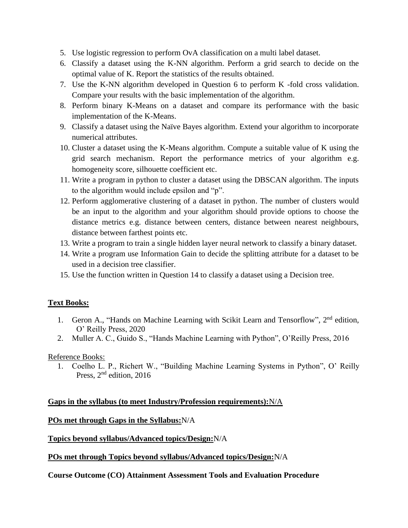- 5. Use logistic regression to perform OvA classification on a multi label dataset.
- 6. Classify a dataset using the K-NN algorithm. Perform a grid search to decide on the optimal value of K. Report the statistics of the results obtained.
- 7. Use the K-NN algorithm developed in Question 6 to perform K -fold cross validation. Compare your results with the basic implementation of the algorithm.
- 8. Perform binary K-Means on a dataset and compare its performance with the basic implementation of the K-Means.
- 9. Classify a dataset using the Naïve Bayes algorithm. Extend your algorithm to incorporate numerical attributes.
- 10. Cluster a dataset using the K-Means algorithm. Compute a suitable value of K using the grid search mechanism. Report the performance metrics of your algorithm e.g. homogeneity score, silhouette coefficient etc.
- 11. Write a program in python to cluster a dataset using the DBSCAN algorithm. The inputs to the algorithm would include epsilon and "p".
- 12. Perform agglomerative clustering of a dataset in python. The number of clusters would be an input to the algorithm and your algorithm should provide options to choose the distance metrics e.g. distance between centers, distance between nearest neighbours, distance between farthest points etc.
- 13. Write a program to train a single hidden layer neural network to classify a binary dataset.
- 14. Write a program use Information Gain to decide the splitting attribute for a dataset to be used in a decision tree classifier.
- 15. Use the function written in Question 14 to classify a dataset using a Decision tree.

### **Text Books:**

- 1. Geron A., "Hands on Machine Learning with Scikit Learn and Tensorflow", 2<sup>nd</sup> edition, O' Reilly Press, 2020
- 2. Muller A. C., Guido S., "Hands Machine Learning with Python", O'Reilly Press, 2016

### Reference Books:

1. Coelho L. P., Richert W., "Building Machine Learning Systems in Python", O' Reilly Press, 2<sup>nd</sup> edition, 2016

### **Gaps in the syllabus (to meet Industry/Profession requirements):**N/A

**POs met through Gaps in the Syllabus:**N/A

**Topics beyond syllabus/Advanced topics/Design:**N/A

**POs met through Topics beyond syllabus/Advanced topics/Design:**N/A

**Course Outcome (CO) Attainment Assessment Tools and Evaluation Procedure**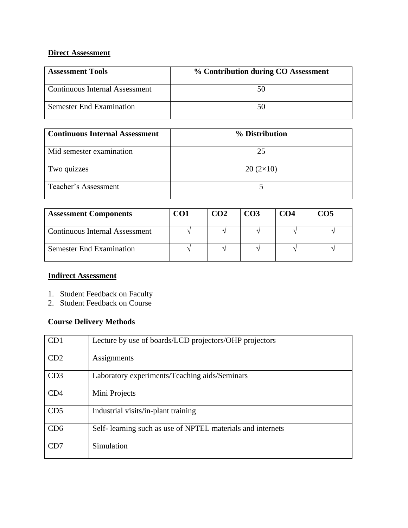### **Direct Assessment**

| <b>Assessment Tools</b>               | % Contribution during CO Assessment |
|---------------------------------------|-------------------------------------|
| <b>Continuous Internal Assessment</b> | 50                                  |
| <b>Semester End Examination</b>       |                                     |

| <b>Continuous Internal Assessment</b> | % Distribution  |
|---------------------------------------|-----------------|
| Mid semester examination              | 25              |
| Two quizzes                           | $20(2\times10)$ |
| Teacher's Assessment                  |                 |

| <b>Assessment Components</b>          | CO1 | CO <sub>2</sub> | CO <sub>3</sub> | CO <sub>4</sub> | CO <sub>5</sub> |
|---------------------------------------|-----|-----------------|-----------------|-----------------|-----------------|
| <b>Continuous Internal Assessment</b> |     |                 |                 |                 |                 |
| <b>Semester End Examination</b>       |     |                 |                 |                 |                 |

# **Indirect Assessment**

- 1. Student Feedback on Faculty
- 2. Student Feedback on Course

### **Course Delivery Methods**

| CD1             | Lecture by use of boards/LCD projectors/OHP projectors      |
|-----------------|-------------------------------------------------------------|
| CD2             | Assignments                                                 |
| CD3             | Laboratory experiments/Teaching aids/Seminars               |
| CD4             | Mini Projects                                               |
| CD <sub>5</sub> | Industrial visits/in-plant training                         |
| CD6             | Self- learning such as use of NPTEL materials and internets |
| CD7             | Simulation                                                  |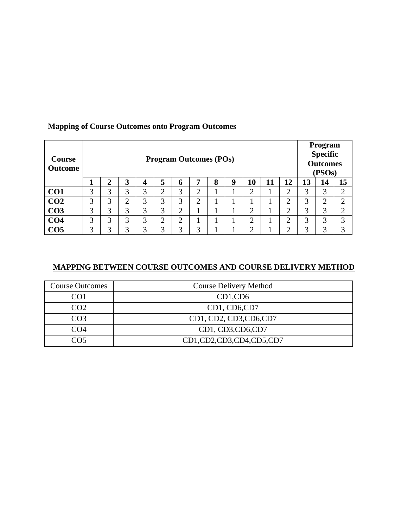| <b>Program Outcomes (POs)</b><br><b>Course</b><br><b>Outcome</b> |   |                |                      |   | Program<br><b>Specific</b><br><b>Outcomes</b><br>(PSOs) |           |                |   |    |                |    |                               |    |    |        |
|------------------------------------------------------------------|---|----------------|----------------------|---|---------------------------------------------------------|-----------|----------------|---|----|----------------|----|-------------------------------|----|----|--------|
|                                                                  |   | $\overline{2}$ | 3                    | 4 | 5                                                       | 6         | 7              | 8 | -9 | 10             | 11 | 12                            | 13 | 14 | 15     |
| CO <sub>1</sub>                                                  | 3 | 3              | 3                    | 3 | ◠                                                       | 3         | ി<br>∠         |   |    | റ<br>∠         |    | ⌒                             | 3  | 3  | ◠<br>∠ |
| CO <sub>2</sub>                                                  | 3 | 3              | $\bigcirc$<br>$\sim$ | 3 | 3                                                       | 3         | $\overline{2}$ |   |    |                |    | ◠                             | 3  | 2  | っ      |
| CO <sub>3</sub>                                                  | 3 | 3              | 3                    | 3 | 3                                                       | ◠         |                |   |    | $\overline{2}$ |    | ↑                             | 3  | 3  | ◠      |
| CO <sub>4</sub>                                                  | 3 | 3              | 3                    | 3 | ↑<br>∠                                                  | $\bigcap$ |                |   |    | $\overline{2}$ |    | ◠<br>$\overline{\phantom{a}}$ | 3  | 3  | 3      |
| CO <sub>5</sub>                                                  | 3 | 3              | 3                    | 3 | 3                                                       | 3         | 3              |   |    | っ              |    | ◠                             | 3  | 3  | 3      |

## **Mapping of Course Outcomes onto Program Outcomes**

### **MAPPING BETWEEN COURSE OUTCOMES AND COURSE DELIVERY METHOD**

| <b>Course Outcomes</b> | <b>Course Delivery Method</b> |
|------------------------|-------------------------------|
| CO1                    | $CD1$ , $CD6$                 |
| CO <sub>2</sub>        | CD1, CD6,CD7                  |
| CO <sub>3</sub>        | CD1, CD2, CD3, CD6, CD7       |
| CO <sub>4</sub>        | CD1, CD3, CD6, CD7            |
|                        | CD1,CD2,CD3,CD4,CD5,CD7       |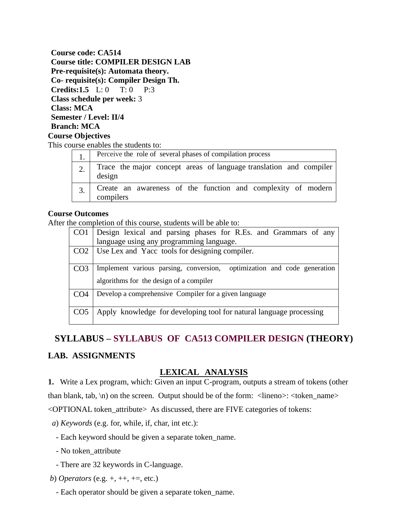**Course code: CA514 Course title: COMPILER DESIGN LAB Pre-requisite(s): Automata theory. Co- requisite(s): Compiler Design Th. Credits:1.5** L: 0 T: 0 P:3 **Class schedule per week:** 3 **Class: MCA Semester / Level: II/4 Branch: MCA Course Objectives**

This course enables the students to:

| Perceive the role of several phases of compilation process                   |
|------------------------------------------------------------------------------|
| Trace the major concept areas of language translation and compiler<br>design |
| Create an awareness of the function and complexity of modern<br>compilers    |

#### **Course Outcomes**

After the completion of this course, students will be able to:

| CO <sub>1</sub> | Design lexical and parsing phases for R.Es. and Grammars of any<br>language using any programming language. |
|-----------------|-------------------------------------------------------------------------------------------------------------|
|                 |                                                                                                             |
| CO <sub>2</sub> | Use Lex and Yacc tools for designing compiler.                                                              |
| CO <sub>3</sub> | optimization and code generation<br>Implement various parsing, conversion,                                  |
|                 | algorithms for the design of a compiler                                                                     |
| CO <sub>4</sub> | Develop a comprehensive Compiler for a given language                                                       |
| CO <sub>5</sub> | Apply knowledge for developing tool for natural language processing                                         |

### **SYLLABUS – SYLLABUS OF CA513 COMPILER DESIGN (THEORY)**

#### **LAB. ASSIGNMENTS**

#### **LEXICAL ANALYSIS**

**1.** Write a Lex program, which: Given an input C-program, outputs a stream of tokens (other than blank, tab, \n) on the screen. Output should be of the form: <lineno>: <token\_name> <OPTIONAL token\_attribute> As discussed, there are FIVE categories of tokens:

- *a*) *Keywords* (e.g. for, while, if, char, int etc.):
	- Each keyword should be given a separate token\_name.
	- No token\_attribute
	- There are 32 keywords in C-language.
- *b*) *Operators* (e.g. +, ++, +=, etc.)
	- Each operator should be given a separate token\_name.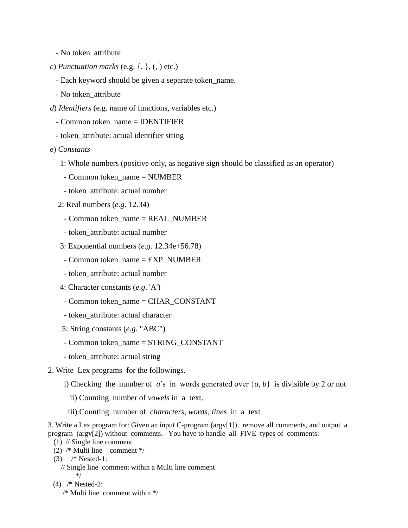- No token\_attribute
- *c*) *Punctuation marks* (e.g. {, }, (, ) etc.)
	- Each keyword should be given a separate token\_name.
	- No token\_attribute
- *d*) *Identifiers* (e.g. name of functions, variables etc.)
	- Common token\_name = IDENTIFIER
	- token\_attribute: actual identifier string
- *e*) *Constants*
	- 1: Whole numbers (positive only, as negative sign should be classified as an operator)
	- $-$  Common token name  $=$  NUMBER
	- token\_attribute: actual number
	- 2: Real numbers (*e.g*. 12.34)
		- Common token\_name = REAL\_NUMBER
		- token\_attribute: actual number
	- 3: Exponential numbers (*e.g.* 12.34e+56.78)
	- Common token\_name = EXP\_NUMBER
	- token\_attribute: actual number
	- 4: Character constants (*e.g*. 'A')
	- Common token\_name = CHAR\_CONSTANT
	- token\_attribute: actual character
	- 5: String constants (*e.g.* "ABC")
	- Common token\_name = STRING\_CONSTANT
	- token\_attribute: actual string
- 2. Write Lex programs for the followings.
	- i) Checking the number of *a*'s in words generated over  $\{a, b\}$  is divisible by 2 or not
		- ii) Counting number of *vowels* in a text.
		- iii) Counting number of *characters*, *words*, *lines* in a text

3. Write a Lex program for: Given an input C-program (argv[1]), remove all comments, and output a program (argv[2]) without comments. You have to handle all FIVE types of comments:

- (1) // Single line comment
- (2) /\* Multi line comment \*/
- (3) /\* Nested-1:
	- // Single line comment within a Multi line comment \*/
- (4) /\* Nested-2:
	- /\* Multi line comment within \*/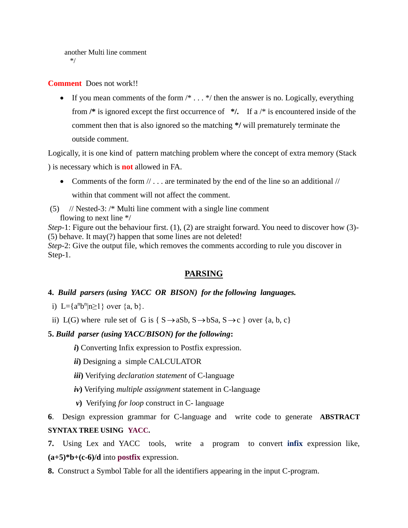```
 another Multi line comment
*/
```
#### **Comment** Does not work!!

• If you mean comments of the form  $/* \dots */$  then the answer is no. Logically, everything from **/\*** is ignored except the first occurrence of **\*/.** If a /\* is encountered inside of the comment then that is also ignored so the matching **\*/** will prematurely terminate the outside comment.

Logically, it is one kind of pattern matching problem where the concept of extra memory (Stack

) is necessary which is **not** allowed in FA.

- Comments of the form  $// \dots$  are terminated by the end of the line so an additional  $//$ within that comment will not affect the comment.
- (5) // Nested-3: /\* Multi line comment with a single line comment flowing to next line \*/

*Step*-1: Figure out the behaviour first. (1), (2) are straight forward. You need to discover how (3)-(5) behave. It may(?) happen that some lines are not deleted! *Step*-2: Give the output file, which removes the comments according to rule you discover in Step-1.

### **PARSING**

#### **4.** *Build parsers (using YACC OR BISON) for the following languages.*

- i) L={ $a^n b^n |n \ge 1$ } over  $\{a, b\}$ .
- ii) L(G) where rule set of G is { $S \rightarrow aSb$ ,  $S \rightarrow bSa$ ,  $S \rightarrow c$ } over {a, b, c}

#### **5.** *Build parser (using YACC/BISON) for the following***:**

*i***)** Converting Infix expression to Postfix expression.

- *ii***)** Designing a simple CALCULATOR
- *iii***)** Verifying *declaration statement* of C-language
- *iv***)** Verifying *multiple assignment* statement in C-language
- *v***)** Verifying *for loop* construct in C- language

**6**. Design expression grammar for C-language and write code to generate **ABSTRACT SYNTAX TREE USING YACC.**

**7.** Using Lex and YACC tools, write a program to convert **infix** expression like, **(a+5)\*b+(c-6)/d** into **postfix** expression.

**8.** Construct a Symbol Table for all the identifiers appearing in the input C-program.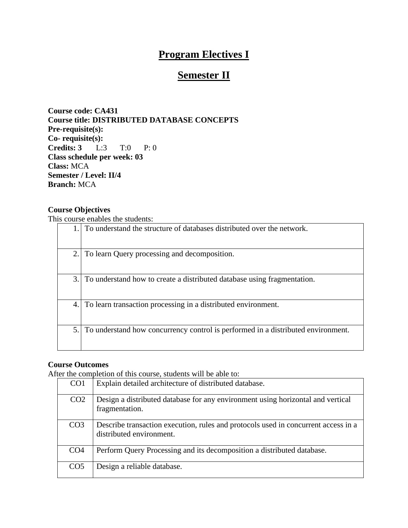# **Program Electives I**

# **Semester II**

**Course code: CA431 Course title: DISTRIBUTED DATABASE CONCEPTS Pre-requisite(s): Co- requisite(s): Credits: 3** L:3 T:0 P: 0 **Class schedule per week: 03 Class:** MCA **Semester / Level: II/4 Branch:** MCA

#### **Course Objectives**

This course enables the students:

|    | To understand the structure of databases distributed over the network.           |
|----|----------------------------------------------------------------------------------|
| 2. | To learn Query processing and decomposition.                                     |
| 3. | To understand how to create a distributed database using fragmentation.          |
| 4. | To learn transaction processing in a distributed environment.                    |
| 5. | To understand how concurrency control is performed in a distributed environment. |

### **Course Outcomes**

After the completion of this course, students will be able to:

| CO <sub>1</sub> | Explain detailed architecture of distributed database.                                                         |
|-----------------|----------------------------------------------------------------------------------------------------------------|
| CO <sub>2</sub> | Design a distributed database for any environment using horizontal and vertical<br>fragmentation.              |
| CO <sub>3</sub> | Describe transaction execution, rules and protocols used in concurrent access in a<br>distributed environment. |
| CO <sub>4</sub> | Perform Query Processing and its decomposition a distributed database.                                         |
| CO <sub>5</sub> | Design a reliable database.                                                                                    |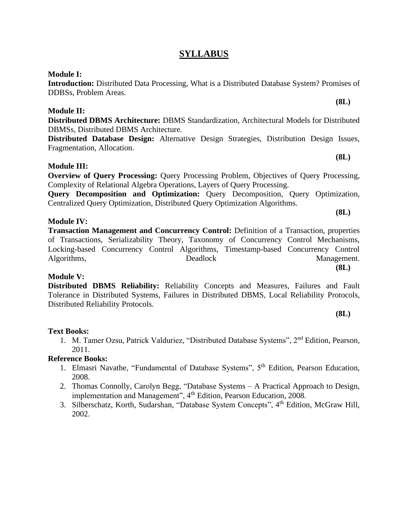### **SYLLABUS**

#### **Module I:**

**Introduction:** Distributed Data Processing, What is a Distributed Database System? Promises of DDBSs, Problem Areas.

#### **Module II:**

**Distributed DBMS Architecture:** DBMS Standardization, Architectural Models for Distributed DBMSs, Distributed DBMS Architecture.

**Distributed Database Design:** Alternative Design Strategies, Distribution Design Issues, Fragmentation, Allocation.

#### **Module III:**

**Overview of Query Processing:** Query Processing Problem, Objectives of Query Processing, Complexity of Relational Algebra Operations, Layers of Query Processing.

**Query Decomposition and Optimization:** Query Decomposition, Query Optimization, Centralized Query Optimization, Distributed Query Optimization Algorithms.

#### **Module IV:**

**Transaction Management and Concurrency Control:** Definition of a Transaction, properties of Transactions, Serializability Theory, Taxonomy of Concurrency Control Mechanisms, Locking-based Concurrency Control Algorithms, Timestamp-based Concurrency Control Algorithms, Deadlock Management.

#### **Module V:**

**Distributed DBMS Reliability:** Reliability Concepts and Measures, Failures and Fault Tolerance in Distributed Systems, Failures in Distributed DBMS, Local Reliability Protocols, Distributed Reliability Protocols.

#### **Text Books:**

1. M. Tamer Ozsu, Patrick Valduriez, "Distributed Database Systems", 2nd Edition, Pearson, 2011.

#### **Reference Books:**

- 1. Elmasri Navathe, "Fundamental of Database Systems", 5<sup>th</sup> Edition, Pearson Education, 2008.
- 2. Thomas Connolly, Carolyn Begg, "Database Systems A Practical Approach to Design, implementation and Management", 4<sup>th</sup> Edition, Pearson Education, 2008.
- 3. Silberschatz, Korth, Sudarshan, "Database System Concepts", 4th Edition, McGraw Hill, 2002.

**(8L)**

**(8L)**

**(8L)**

**(8L)**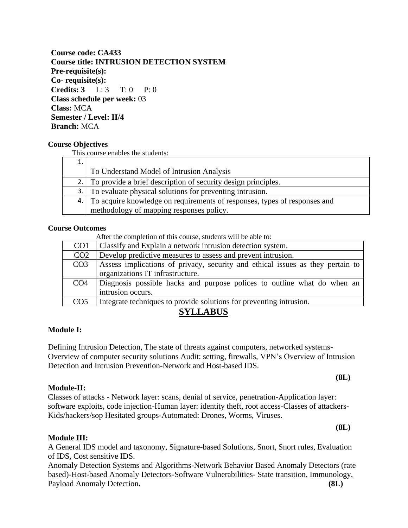**Course code: CA433 Course title: INTRUSION DETECTION SYSTEM Pre-requisite(s): Co- requisite(s): Credits: 3** L: 3 T: 0 P: 0 **Class schedule per week:** 03 **Class:** MCA **Semester / Level: II/4 Branch:** MCA

#### **Course Objectives**

This course enables the students:

| ⊥. |                                                                              |
|----|------------------------------------------------------------------------------|
|    | To Understand Model of Intrusion Analysis                                    |
|    | 2. To provide a brief description of security design principles.             |
|    | 3. To evaluate physical solutions for preventing intrusion.                  |
|    | 4. To acquire knowledge on requirements of responses, types of responses and |
|    | methodology of mapping responses policy.                                     |

#### **Course Outcomes**

After the completion of this course, students will be able to:

| CO <sub>1</sub> | Classify and Explain a network intrusion detection system.                     |
|-----------------|--------------------------------------------------------------------------------|
| CO <sub>2</sub> | Develop predictive measures to assess and prevent intrusion.                   |
| CO <sub>3</sub> | Assess implications of privacy, security and ethical issues as they pertain to |
|                 | organizations IT infrastructure.                                               |
| CO <sub>4</sub> | Diagnosis possible hacks and purpose polices to outline what do when an        |
|                 | intrusion occurs.                                                              |
| CO <sub>5</sub> | Integrate techniques to provide solutions for preventing intrusion.            |

### **SYLLABUS**

#### **Module I:**

Defining Intrusion Detection, The state of threats against computers, networked systems-Overview of computer security solutions Audit: setting, firewalls, VPN's Overview of Intrusion Detection and Intrusion Prevention-Network and Host-based IDS.

#### **Module-II:**

Classes of attacks - Network layer: scans, denial of service, penetration-Application layer: software exploits, code injection-Human layer: identity theft, root access-Classes of attackers-Kids/hackers/sop Hesitated groups-Automated: Drones, Worms, Viruses.

**(8L)** 

**(8L)** 

#### **Module III:**

A General IDS model and taxonomy, Signature-based Solutions, Snort, Snort rules, Evaluation of IDS, Cost sensitive IDS.

Anomaly Detection Systems and Algorithms-Network Behavior Based Anomaly Detectors (rate based)-Host-based Anomaly Detectors-Software Vulnerabilities- State transition, Immunology, Payload Anomaly Detection**. (8L)**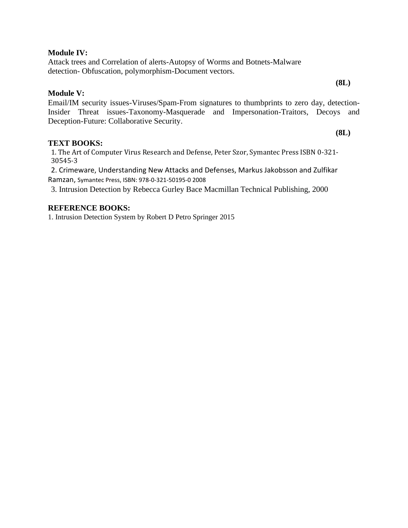#### **Module IV:**

Attack trees and Correlation of alerts-Autopsy of Worms and Botnets-Malware detection- Obfuscation, polymorphism-Document vectors.

#### **Module V:**

Email/IM security issues-Viruses/Spam-From signatures to thumbprints to zero day, detection-Insider Threat issues-Taxonomy-Masquerade and Impersonation-Traitors, Decoys and Deception-Future: Collaborative Security.

#### **TEXT BOOKS:**

1. The Art of Computer Virus Research and Defense, Peter Szor, Symantec Press ISBN 0-321- 30545-3

2. Crimeware, Understanding New Attacks and Defenses, Markus Jakobsson and Zulfikar Ramzan, Symantec Press, ISBN: 978-0-321-50195-0 2008

3. Intrusion Detection by Rebecca Gurley Bace Macmillan Technical Publishing, 2000

#### **REFERENCE BOOKS:**

1. Intrusion Detection System by Robert D Petro Springer 2015

**(8L)**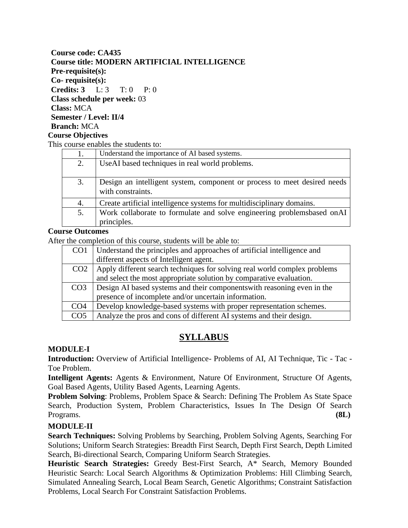#### **Course code: CA435 Course title: MODERN ARTIFICIAL INTELLIGENCE Pre-requisite(s): Co- requisite(s): Credits: 3** L: 3 T: 0 P: 0 **Class schedule per week:** 03 **Class:** MCA **Semester / Level: II/4 Branch:** MCA **Course Objectives**

This course enables the students to:

| 1. | Understand the importance of AI based systems.                                                |
|----|-----------------------------------------------------------------------------------------------|
| 2. | UseAI based techniques in real world problems.                                                |
| 3. | Design an intelligent system, component or process to meet desired needs<br>with constraints. |
| 4. | Create artificial intelligence systems for multidisciplinary domains.                         |
| 5. | Work collaborate to formulate and solve engineering problemsbased onAI<br>principles.         |

#### **Course Outcomes**

After the completion of this course, students will be able to:

| CO <sub>1</sub> | Understand the principles and approaches of artificial intelligence and   |
|-----------------|---------------------------------------------------------------------------|
|                 | different aspects of Intelligent agent.                                   |
| CO <sub>2</sub> | Apply different search techniques for solving real world complex problems |
|                 | and select the most appropriate solution by comparative evaluation.       |
| CO <sub>3</sub> | Design AI based systems and their components with reasoning even in the   |
|                 | presence of incomplete and/or uncertain information.                      |
| CO <sub>4</sub> | Develop knowledge-based systems with proper representation schemes.       |
| CO <sub>5</sub> | Analyze the pros and cons of different AI systems and their design.       |

### **SYLLABUS**

#### **MODULE-I**

**Introduction:** Overview of Artificial Intelligence- Problems of AI, AI Technique, Tic - Tac -Toe Problem.

**Intelligent Agents:** Agents & Environment, Nature Of Environment, Structure Of Agents, Goal Based Agents, Utility Based Agents, Learning Agents.

**Problem Solving**: Problems, Problem Space & Search: Defining The Problem As State Space Search, Production System, Problem Characteristics, Issues In The Design Of Search Programs. **(8L)**

### **MODULE-II**

**Search Techniques:** Solving Problems by Searching, Problem Solving Agents, Searching For Solutions; Uniform Search Strategies: Breadth First Search, Depth First Search, Depth Limited Search, Bi-directional Search, Comparing Uniform Search Strategies.

**Heuristic Search Strategies:** Greedy Best-First Search, A\* Search, Memory Bounded Heuristic Search: Local Search Algorithms & Optimization Problems: Hill Climbing Search, Simulated Annealing Search, Local Beam Search, Genetic Algorithms; Constraint Satisfaction Problems, Local Search For Constraint Satisfaction Problems.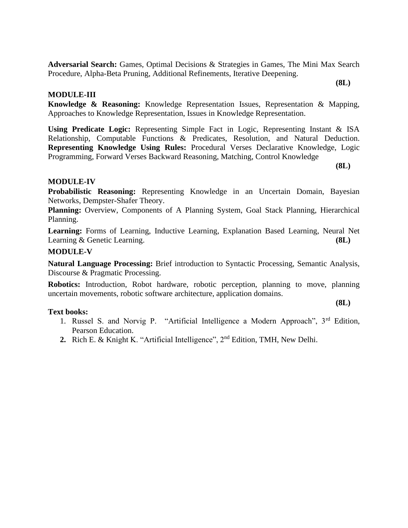**Adversarial Search:** Games, Optimal Decisions & Strategies in Games, The Mini Max Search Procedure, Alpha-Beta Pruning, Additional Refinements, Iterative Deepening.

#### **MODULE-III**

**Knowledge & Reasoning:** Knowledge Representation Issues, Representation & Mapping, Approaches to Knowledge Representation, Issues in Knowledge Representation.

**Using Predicate Logic:** Representing Simple Fact in Logic, Representing Instant & ISA Relationship, Computable Functions & Predicates, Resolution, and Natural Deduction. **Representing Knowledge Using Rules:** Procedural Verses Declarative Knowledge, Logic Programming, Forward Verses Backward Reasoning, Matching, Control Knowledge

**(8L)**

**(8L)**

**(8L)** 

#### **MODULE-IV**

**Probabilistic Reasoning:** Representing Knowledge in an Uncertain Domain, Bayesian Networks, Dempster-Shafer Theory.

Planning: Overview, Components of A Planning System, Goal Stack Planning, Hierarchical Planning.

**Learning:** Forms of Learning, Inductive Learning, Explanation Based Learning, Neural Net Learning & Genetic Learning. **(8L)** 

#### **MODULE-V**

**Natural Language Processing:** Brief introduction to Syntactic Processing, Semantic Analysis, Discourse & Pragmatic Processing.

**Robotics:** Introduction, Robot hardware, robotic perception, planning to move, planning uncertain movements, robotic software architecture, application domains.

#### **Text books:**

- 1. Russel S. and Norvig P. "Artificial Intelligence a Modern Approach", 3rd Edition, Pearson Education.
- **2.** Rich E. & Knight K. "Artificial Intelligence", 2nd Edition, TMH, New Delhi.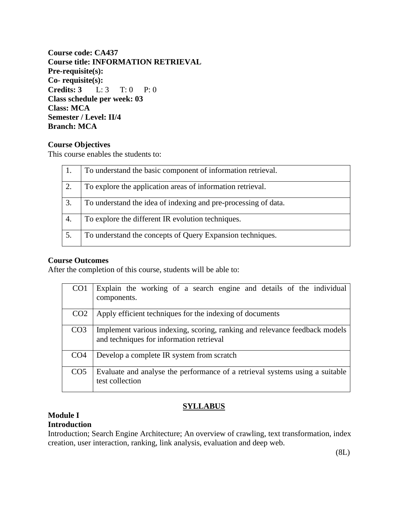**Course code: CA437 Course title: INFORMATION RETRIEVAL Pre-requisite(s): Co- requisite(s): Credits: 3** L: 3 T: 0 P: 0 **Class schedule per week: 03 Class: MCA Semester / Level: II/4 Branch: MCA**

#### **Course Objectives**

This course enables the students to:

|    | To understand the basic component of information retrieval.    |
|----|----------------------------------------------------------------|
| 2. | To explore the application areas of information retrieval.     |
| 3. | To understand the idea of indexing and pre-processing of data. |
| 4. | To explore the different IR evolution techniques.              |
| 5. | To understand the concepts of Query Expansion techniques.      |

### **Course Outcomes**

After the completion of this course, students will be able to:

| CO <sub>1</sub> | Explain the working of a search engine and details of the individual<br>components.                                    |
|-----------------|------------------------------------------------------------------------------------------------------------------------|
| CO <sub>2</sub> | Apply efficient techniques for the indexing of documents                                                               |
| CO <sub>3</sub> | Implement various indexing, scoring, ranking and relevance feedback models<br>and techniques for information retrieval |
| CO <sub>4</sub> | Develop a complete IR system from scratch                                                                              |
| CO <sub>5</sub> | Evaluate and analyse the performance of a retrieval systems using a suitable<br>test collection                        |

#### **Module I Introduction**

### **SYLLABUS**

Introduction; Search Engine Architecture; An overview of crawling, text transformation, index creation, user interaction, ranking, link analysis, evaluation and deep web.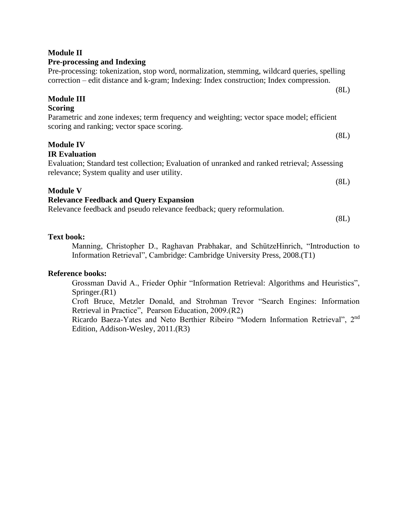# correction – edit distance and k-gram; Indexing: Index construction; Index compression. **Module III Scoring**

Parametric and zone indexes; term frequency and weighting; vector space model; efficient scoring and ranking; vector space scoring. (8L)

Pre-processing: tokenization, stop word, normalization, stemming, wildcard queries, spelling

# **Module IV**

### **IR Evaluation**

Evaluation; Standard test collection; Evaluation of unranked and ranked retrieval; Assessing relevance; System quality and user utility.

### **Module V**

### **Relevance Feedback and Query Expansion**

Relevance feedback and pseudo relevance feedback; query reformulation.

(8L)

### **Text book:**

Manning, Christopher D., Raghavan Prabhakar, and SchützeHinrich, "Introduction to Information Retrieval", Cambridge: Cambridge University Press, 2008.(T1)

### **Reference books:**

Grossman David A., Frieder Ophir "Information Retrieval: Algorithms and Heuristics", Springer.(R1)

Croft Bruce, Metzler Donald, and Strohman Trevor "Search Engines: Information Retrieval in Practice", Pearson Education, 2009.(R2)

Ricardo Baeza-Yates and Neto Berthier Ribeiro "Modern Information Retrieval", 2nd Edition, Addison-Wesley, 2011.(R3)

**Module II**

### **Pre-processing and Indexing**

(8L)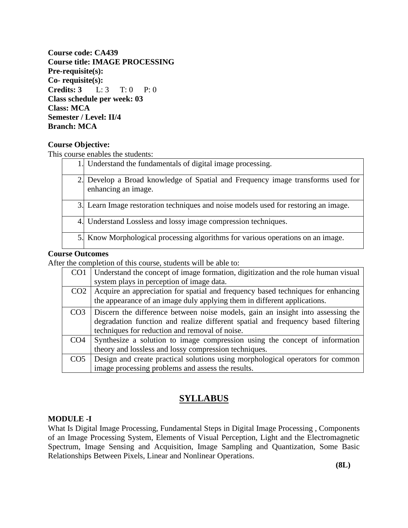**Course code: CA439 Course title: IMAGE PROCESSING Pre-requisite(s): Co- requisite(s): Credits: 3** L: 3 T: 0 P: 0 **Class schedule per week: 03 Class: MCA Semester / Level: II/4 Branch: MCA**

#### **Course Objective:**

This course enables the students:

| 1. Understand the fundamentals of digital image processing.                                         |
|-----------------------------------------------------------------------------------------------------|
| Develop a Broad knowledge of Spatial and Frequency image transforms used for<br>enhancing an image. |
| 3. Learn Image restoration techniques and noise models used for restoring an image.                 |
| 4. Understand Lossless and lossy image compression techniques.                                      |
| 5. Know Morphological processing algorithms for various operations on an image.                     |

#### **Course Outcomes**

After the completion of this course, students will be able to:

| CO <sub>1</sub> | Understand the concept of image formation, digitization and the role human visual<br>system plays in perception of image data.                                                                                        |
|-----------------|-----------------------------------------------------------------------------------------------------------------------------------------------------------------------------------------------------------------------|
| CO <sub>2</sub> | Acquire an appreciation for spatial and frequency based techniques for enhancing<br>the appearance of an image duly applying them in different applications.                                                          |
| CO3.            | Discern the difference between noise models, gain an insight into assessing the<br>degradation function and realize different spatial and frequency based filtering<br>techniques for reduction and removal of noise. |
| CO4             | Synthesize a solution to image compression using the concept of information<br>theory and lossless and lossy compression techniques.                                                                                  |
| CO <sub>5</sub> | Design and create practical solutions using morphological operators for common<br>image processing problems and assess the results.                                                                                   |

### **SYLLABUS**

#### **MODULE -I**

What Is Digital Image Processing, Fundamental Steps in Digital Image Processing , Components of an Image Processing System, Elements of Visual Perception, Light and the Electromagnetic Spectrum, Image Sensing and Acquisition, Image Sampling and Quantization, Some Basic Relationships Between Pixels, Linear and Nonlinear Operations.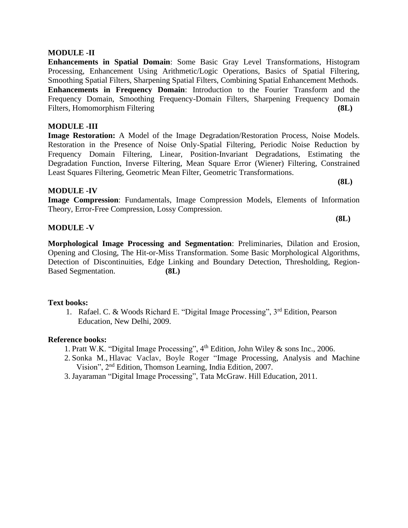#### **MODULE -II**

**Enhancements in Spatial Domain**: Some Basic Gray Level Transformations, Histogram Processing, Enhancement Using Arithmetic/Logic Operations, Basics of Spatial Filtering, Smoothing Spatial Filters, Sharpening Spatial Filters, Combining Spatial Enhancement Methods. **Enhancements in Frequency Domain**: Introduction to the Fourier Transform and the Frequency Domain, Smoothing Frequency-Domain Filters, Sharpening Frequency Domain Filters, Homomorphism Filtering **(8L)**

#### **MODULE -III**

**Image Restoration:** A Model of the Image Degradation/Restoration Process, Noise Models. Restoration in the Presence of Noise Only-Spatial Filtering, Periodic Noise Reduction by Frequency Domain Filtering, Linear, Position-Invariant Degradations, Estimating the Degradation Function, Inverse Filtering, Mean Square Error (Wiener) Filtering, Constrained Least Squares Filtering, Geometric Mean Filter, Geometric Transformations.

#### **MODULE -IV**

**Image Compression**: Fundamentals, Image Compression Models, Elements of Information Theory, Error-Free Compression, Lossy Compression.

#### **MODULE -V**

**Morphological Image Processing and Segmentation**: Preliminaries, Dilation and Erosion, Opening and Closing, The Hit-or-Miss Transformation. Some Basic Morphological Algorithms, Detection of Discontinuities, Edge Linking and Boundary Detection, Thresholding, Region-Based Segmentation. **(8L)**

#### **Text books:**

1. Rafael. C. & Woods Richard E. "Digital Image Processing", 3rd Edition, Pearson Education, New Delhi, 2009.

#### **Reference books:**

- 1. Pratt W.K. "Digital Image Processing", 4th Edition, John Wiley & sons Inc., 2006.
- 2. Sonka M., Hlavac Vaclav, Boyle Roger "Image Processing, Analysis and Machine Vision", 2nd Edition, Thomson Learning, India Edition, 2007.
- 3. Jayaraman "Digital Image Processing", Tata McGraw. Hill Education, 2011.

**(8L)**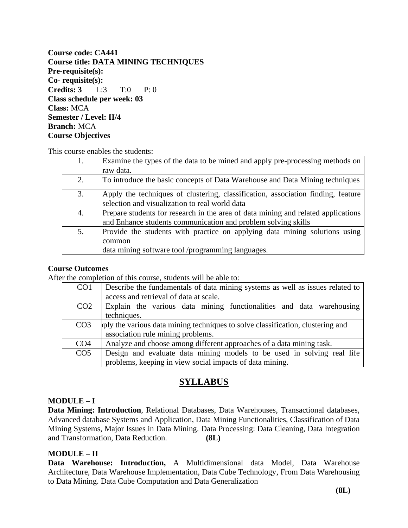**Course code: CA441 Course title: DATA MINING TECHNIQUES Pre-requisite(s): Co- requisite(s): Credits: 3** L:3 T:0 P: 0 **Class schedule per week: 03 Class:** MCA **Semester / Level: II/4 Branch:** MCA **Course Objectives** 

This course enables the students:

| 1. | Examine the types of the data to be mined and apply pre-processing methods on     |
|----|-----------------------------------------------------------------------------------|
|    | raw data.                                                                         |
| 2. | To introduce the basic concepts of Data Warehouse and Data Mining techniques      |
| 3. | Apply the techniques of clustering, classification, association finding, feature  |
|    | selection and visualization to real world data                                    |
| 4. | Prepare students for research in the area of data mining and related applications |
|    | and Enhance students communication and problem solving skills                     |
| 5. | Provide the students with practice on applying data mining solutions using        |
|    | common                                                                            |
|    | data mining software tool /programming languages.                                 |

#### **Course Outcomes**

After the completion of this course, students will be able to:

| CO <sub>1</sub> | Describe the fundamentals of data mining systems as well as issues related to  |
|-----------------|--------------------------------------------------------------------------------|
|                 | access and retrieval of data at scale.                                         |
| CO <sub>2</sub> | Explain the various data mining functionalities and data warehousing           |
|                 | techniques.                                                                    |
| CO <sub>3</sub> | ply the various data mining techniques to solve classification, clustering and |
|                 | association rule mining problems.                                              |
| CO <sub>4</sub> | Analyze and choose among different approaches of a data mining task.           |
| CO <sub>5</sub> | Design and evaluate data mining models to be used in solving real life         |
|                 | problems, keeping in view social impacts of data mining.                       |

### **SYLLABUS**

#### **MODULE – I**

**Data Mining: Introduction**, Relational Databases, Data Warehouses, Transactional databases, Advanced database Systems and Application, Data Mining Functionalities, Classification of Data Mining Systems, Major Issues in Data Mining. Data Processing: Data Cleaning, Data Integration and Transformation, Data Reduction. **(8L)**

#### **MODULE – II**

**Data Warehouse: Introduction,** A Multidimensional data Model, Data Warehouse Architecture, Data Warehouse Implementation, Data Cube Technology, From Data Warehousing to Data Mining. Data Cube Computation and Data Generalization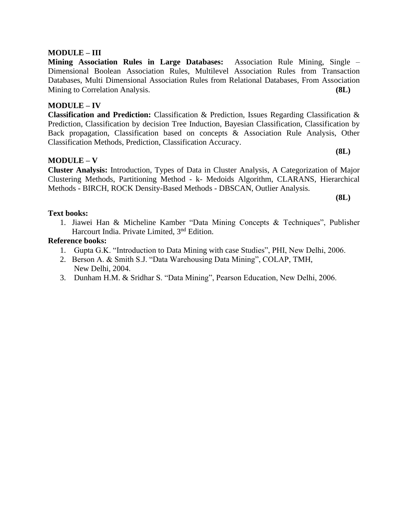#### **MODULE – III**

**Mining Association Rules in Large Databases:** Association Rule Mining, Single – Dimensional Boolean Association Rules, Multilevel Association Rules from Transaction Databases, Multi Dimensional Association Rules from Relational Databases, From Association Mining to Correlation Analysis. **(8L)**

#### **MODULE – IV**

**Classification and Prediction:** Classification & Prediction, Issues Regarding Classification & Prediction, Classification by decision Tree Induction, Bayesian Classification, Classification by Back propagation, Classification based on concepts & Association Rule Analysis, Other Classification Methods, Prediction, Classification Accuracy.

#### **MODULE – V**

**Cluster Analysis:** Introduction, Types of Data in Cluster Analysis, A Categorization of Major Clustering Methods, Partitioning Method - k- Medoids Algorithm, CLARANS, Hierarchical Methods - BIRCH, ROCK Density-Based Methods - DBSCAN, Outlier Analysis.

**(8L)**

**(8L)**

#### **Text books:**

1. Jiawei Han & Micheline Kamber "Data Mining Concepts & Techniques", Publisher Harcourt India. Private Limited, 3<sup>nd</sup> Edition.

#### **Reference books:**

- 1. Gupta G.K. "Introduction to Data Mining with case Studies", PHI, New Delhi, 2006.
- 2. Berson A. & Smith S.J. "Data Warehousing Data Mining", COLAP, TMH, New Delhi, 2004.
- 3. Dunham H.M. & Sridhar S. "Data Mining", Pearson Education, New Delhi, 2006.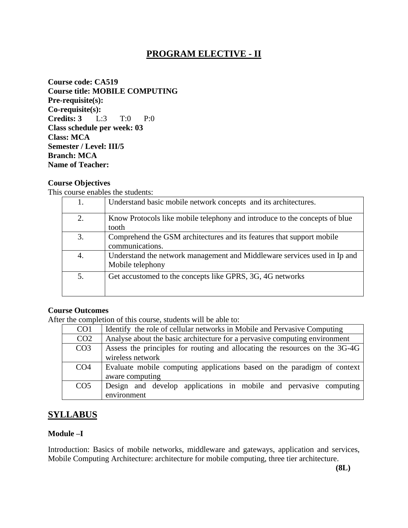### **PROGRAM ELECTIVE - II**

**Course code: CA519 Course title: MOBILE COMPUTING Pre-requisite(s): Co-requisite(s): Credits: 3** L:3 T:0 P:0 **Class schedule per week: 03 Class: MCA Semester / Level: III/5 Branch: MCA Name of Teacher:** 

#### **Course Objectives**

This course enables the students:

| 1. | Understand basic mobile network concepts and its architectures.                              |
|----|----------------------------------------------------------------------------------------------|
| 2. | Know Protocols like mobile telephony and introduce to the concepts of blue<br>tooth          |
| 3. | Comprehend the GSM architectures and its features that support mobile<br>communications.     |
| 4. | Understand the network management and Middleware services used in Ip and<br>Mobile telephony |
| 5. | Get accustomed to the concepts like GPRS, 3G, 4G networks                                    |

#### **Course Outcomes**

After the completion of this course, students will be able to:

| CO <sub>1</sub> | Identify the role of cellular networks in Mobile and Pervasive Computing    |
|-----------------|-----------------------------------------------------------------------------|
| CO <sub>2</sub> | Analyse about the basic architecture for a pervasive computing environment  |
| CO <sub>3</sub> | Assess the principles for routing and allocating the resources on the 3G-4G |
|                 | wireless network                                                            |
| CO <sub>4</sub> | Evaluate mobile computing applications based on the paradigm of context     |
|                 | aware computing                                                             |
| CO <sub>5</sub> | Design and develop applications in mobile and pervasive computing           |
|                 | environment                                                                 |

### **SYLLABUS**

#### **Module –I**

Introduction: Basics of mobile networks, middleware and gateways, application and services, Mobile Computing Architecture: architecture for mobile computing, three tier architecture.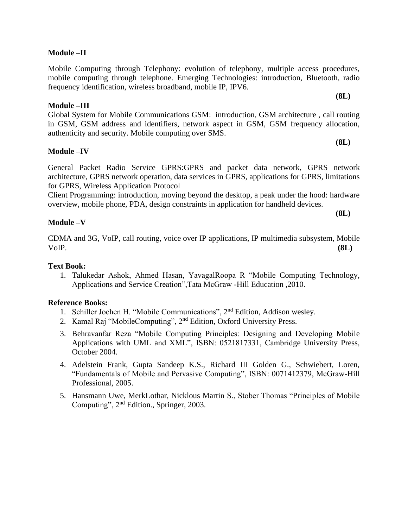#### **Module –II**

Mobile Computing through Telephony: evolution of telephony, multiple access procedures, mobile computing through telephone. Emerging Technologies: introduction, Bluetooth, radio frequency identification, wireless broadband, mobile IP, IPV6.

#### **Module –III**

Global System for Mobile Communications GSM: introduction, GSM architecture , call routing in GSM, GSM address and identifiers, network aspect in GSM, GSM frequency allocation, authenticity and security. Mobile computing over SMS.

#### **Module –IV**

General Packet Radio Service GPRS:GPRS and packet data network, GPRS network architecture, GPRS network operation, data services in GPRS, applications for GPRS, limitations for GPRS, Wireless Application Protocol

Client Programming: introduction, moving beyond the desktop, a peak under the hood: hardware overview, mobile phone, PDA, design constraints in application for handheld devices.

**Module –V** 

CDMA and 3G, VoIP, call routing, voice over IP applications, IP multimedia subsystem, Mobile VoIP. **(8L)** 

#### **Text Book:**

1. Talukedar Ashok, Ahmed Hasan, YavagalRoopa R "Mobile Computing Technology, Applications and Service Creation",Tata McGraw -Hill Education ,2010.

#### **Reference Books:**

- 1. Schiller Jochen H. "Mobile Communications", 2nd Edition, Addison wesley.
- 2. Kamal Raj "MobileComputing", 2<sup>nd</sup> Edition, Oxford University Press.
- 3. Behravanfar Reza "Mobile Computing Principles: Designing and Developing Mobile Applications with UML and XML", ISBN: 0521817331, Cambridge University Press, October 2004.
- 4. Adelstein Frank, Gupta Sandeep K.S., Richard III Golden G., Schwiebert, Loren, "Fundamentals of Mobile and Pervasive Computing", ISBN: 0071412379, McGraw-Hill Professional, 2005.
- 5. Hansmann Uwe, MerkLothar, Nicklous Martin S., Stober Thomas "Principles of Mobile Computing", 2nd Edition., Springer, 2003.

**(8L)**

**(8L)**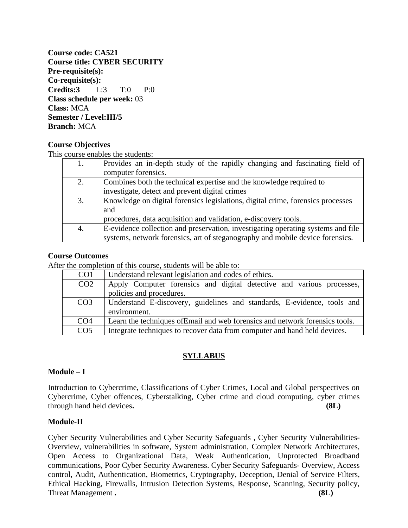**Course code: CA521 Course title: CYBER SECURITY Pre-requisite(s): Co-requisite(s): Credits:3** L:3 T:0 P:0 **Class schedule per week:** 03 **Class:** MCA **Semester / Level:III/5 Branch:** MCA

#### **Course Objectives**

This course enables the students:

| 1. | Provides an in-depth study of the rapidly changing and fascinating field of      |
|----|----------------------------------------------------------------------------------|
|    | computer forensics.                                                              |
| 2. | Combines both the technical expertise and the knowledge required to              |
|    | investigate, detect and prevent digital crimes                                   |
| 3. | Knowledge on digital forensics legislations, digital crime, forensics processes  |
|    | and                                                                              |
|    | procedures, data acquisition and validation, e-discovery tools.                  |
| 4. | E-evidence collection and preservation, investigating operating systems and file |
|    | systems, network forensics, art of steganography and mobile device forensics.    |

#### **Course Outcomes**

After the completion of this course, students will be able to:

| CO <sub>1</sub> | Understand relevant legislation and codes of ethics.                         |
|-----------------|------------------------------------------------------------------------------|
| CO <sub>2</sub> | Apply Computer forensics and digital detective and various processes,        |
|                 | policies and procedures.                                                     |
| CO <sub>3</sub> | Understand E-discovery, guidelines and standards, E-evidence, tools and      |
|                 | environment.                                                                 |
| CO <sub>4</sub> | Learn the techniques of Email and web forensics and network forensics tools. |
| CO <sub>5</sub> | Integrate techniques to recover data from computer and hand held devices.    |

### **SYLLABUS**

#### **Module – I**

Introduction to Cybercrime, Classifications of Cyber Crimes, Local and Global perspectives on Cybercrime, Cyber offences, Cyberstalking, Cyber crime and cloud computing, cyber crimes through hand held devices**. (8L)**

#### **Module-II**

Cyber Security Vulnerabilities and Cyber Security Safeguards , Cyber Security Vulnerabilities-Overview, vulnerabilities in software, System administration, Complex Network Architectures, Open Access to Organizational Data, Weak Authentication, Unprotected Broadband communications, Poor Cyber Security Awareness. Cyber Security Safeguards- Overview, Access control, Audit, Authentication, Biometrics, Cryptography, Deception, Denial of Service Filters, Ethical Hacking, Firewalls, Intrusion Detection Systems, Response, Scanning, Security policy, Threat Management **.** (8L)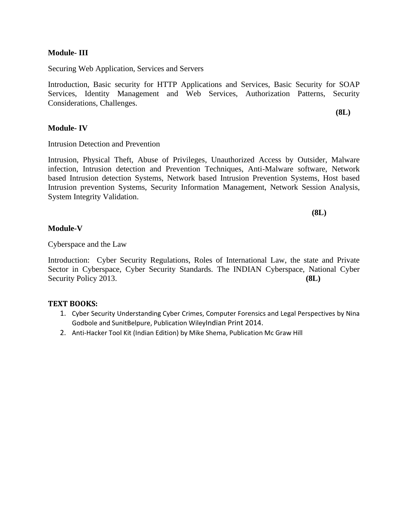#### **Module- III**

Securing Web Application, Services and Servers

Introduction, Basic security for HTTP Applications and Services, Basic Security for SOAP Services, Identity Management and Web Services, Authorization Patterns, Security Considerations, Challenges.

**Module- IV**

Intrusion Detection and Prevention

Intrusion, Physical Theft, Abuse of Privileges, Unauthorized Access by Outsider, Malware infection, Intrusion detection and Prevention Techniques, Anti-Malware software, Network based Intrusion detection Systems, Network based Intrusion Prevention Systems, Host based Intrusion prevention Systems, Security Information Management, Network Session Analysis, System Integrity Validation.

**(8L)**

**(8L)**

#### **Module-V**

Cyberspace and the Law

Introduction: Cyber Security Regulations, Roles of International Law, the state and Private Sector in Cyberspace, Cyber Security Standards. The INDIAN Cyberspace, National Cyber Security Policy 2013. **(8L)** 

#### **TEXT BOOKS:**

- 1. Cyber Security Understanding Cyber Crimes, Computer Forensics and Legal Perspectives by Nina Godbole and SunitBelpure, Publication WileyIndian Print 2014.
- 2. Anti-Hacker Tool Kit (Indian Edition) by Mike Shema, Publication Mc Graw Hill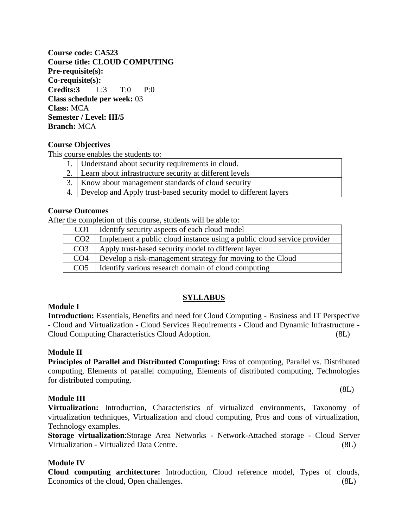**Course code: CA523 Course title: CLOUD COMPUTING Pre-requisite(s): Co-requisite(s): Credits:3** L:3 T:0 P:0 **Class schedule per week:** 03 **Class:** MCA **Semester / Level: III/5 Branch:** MCA

#### **Course Objectives**

This course enables the students to:

| 1.   Understand about security requirements in cloud.               |
|---------------------------------------------------------------------|
| 2. Learn about infrastructure security at different levels          |
| 3.   Know about management standards of cloud security              |
| 4. Develop and Apply trust-based security model to different layers |
|                                                                     |

#### **Course Outcomes**

After the completion of this course, students will be able to:

| CO <sub>1</sub> | I Identify security aspects of each cloud model                         |
|-----------------|-------------------------------------------------------------------------|
| CO <sub>2</sub> | Implement a public cloud instance using a public cloud service provider |
| CO <sub>3</sub> | Apply trust-based security model to different layer                     |
| CO <sub>4</sub> | Develop a risk-management strategy for moving to the Cloud              |
| CO <sub>5</sub> | I Identify various research domain of cloud computing                   |

#### **SYLLABUS**

#### **Module I**

**Introduction:** Essentials, Benefits and need for Cloud Computing - Business and IT Perspective - Cloud and Virtualization - Cloud Services Requirements - Cloud and Dynamic Infrastructure - Cloud Computing Characteristics Cloud Adoption. (8L)

#### **Module II**

**Principles of Parallel and Distributed Computing:** Eras of computing, Parallel vs. Distributed computing, Elements of parallel computing, Elements of distributed computing, Technologies for distributed computing.

#### **Module III**

**Virtualization:** Introduction, Characteristics of virtualized environments, Taxonomy of virtualization techniques, Virtualization and cloud computing, Pros and cons of virtualization, Technology examples.

**Storage virtualization**:Storage Area Networks - Network-Attached storage - Cloud Server Virtualization - Virtualized Data Centre. (8L)

#### **Module IV**

**Cloud computing architecture:** Introduction, Cloud reference model, Types of clouds, Economics of the cloud, Open challenges. (8L)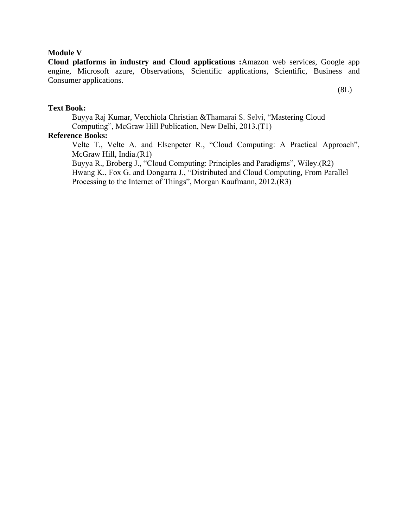#### **Module V**

**Cloud platforms in industry and Cloud applications :**Amazon web services, Google app engine, Microsoft azure, Observations, Scientific applications, Scientific, Business and Consumer applications.

(8L)

#### **Text Book:**

Buyya Raj Kumar, Vecchiola Christian &Thamarai S. Selvi, "Mastering Cloud Computing", McGraw Hill Publication, New Delhi, 2013.(T1)

### **Reference Books:**

Velte T., Velte A. and Elsenpeter R., "Cloud Computing: A Practical Approach", McGraw Hill, India.(R1)

Buyya R., Broberg J., "Cloud Computing: Principles and Paradigms", Wiley.(R2) Hwang K., Fox G. and Dongarra J., "Distributed and Cloud Computing*,* From Parallel Processing to the Internet of Things", Morgan Kaufmann, 2012.(R3)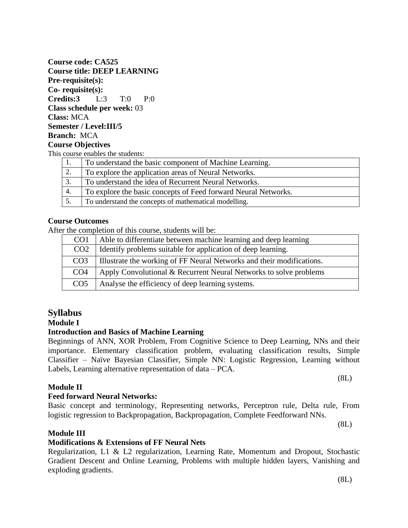(8L)

#### **Course code: CA525 Course title: DEEP LEARNING Pre-requisite(s): Co- requisite(s): Credits:3** L:3 T:0 P:0 **Class schedule per week:** 03 **Class:** MCA **Semester / Level:III/5 Branch:** MCA **Course Objectives** This course enables the students:

|    | To understand the basic component of Machine Learning.         |
|----|----------------------------------------------------------------|
| 2. | To explore the application areas of Neural Networks.           |
| 3. | To understand the idea of Recurrent Neural Networks.           |
| 4. | To explore the basic concepts of Feed forward Neural Networks. |
|    | To understand the concepts of mathematical modelling.          |

### **Course Outcomes**

After the completion of this course, students will be:

| CO <sub>1</sub> | Able to differentiate between machine learning and deep learning      |
|-----------------|-----------------------------------------------------------------------|
| CO <sub>2</sub> | Identify problems suitable for application of deep learning.          |
| CO <sub>3</sub> | Illustrate the working of FF Neural Networks and their modifications. |
| CO <sub>4</sub> | Apply Convolutional & Recurrent Neural Networks to solve problems     |
| CO <sub>5</sub> | Analyse the efficiency of deep learning systems.                      |

### **Syllabus**

### **Module I**

### **Introduction and Basics of Machine Learning**

Beginnings of ANN, XOR Problem, From Cognitive Science to Deep Learning, NNs and their importance. Elementary classification problem, evaluating classification results, Simple Classifier – Naïve Bayesian Classifier, Simple NN: Logistic Regression, Learning without Labels, Learning alternative representation of data – PCA.

Basic concept and terminology, Representing networks, Perceptron rule, Delta rule, From

logistic regression to Backpropagation, Backpropagation, Complete Feedforward NNs.

(8L)

### **Module II**

### **Feed forward Neural Networks:**

### **Module III**

### **Modifications & Extensions of FF Neural Nets**

Regularization, L1 & L2 regularization, Learning Rate, Momentum and Dropout, Stochastic Gradient Descent and Online Learning, Problems with multiple hidden layers, Vanishing and exploding gradients.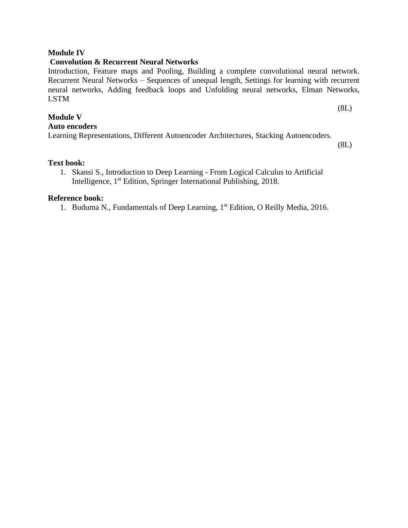#### **Module IV**

#### **Convolution & Recurrent Neural Networks**

Introduction, Feature maps and Pooling, Building a complete convolutional neural network. Recurrent Neural Networks – Sequences of unequal length, Settings for learning with recurrent neural networks, Adding feedback loops and Unfolding neural networks, Elman Networks, LSTM

(8L)

**Module V** 

**Auto encoders**

Learning Representations, Different Autoencoder Architectures, Stacking Autoencoders.

(8L)

#### **Text book:**

1. Skansi S., Introduction to Deep Learning - From Logical Calculus to Artificial Intelligence, 1st Edition, Springer International Publishing, 2018.

#### **Reference book:**

1. Buduma N., Fundamentals of Deep Learning, 1<sup>st</sup> Edition, O Reilly Media, 2016.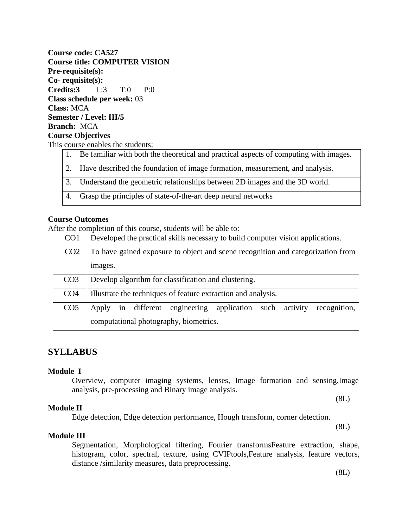**Course code: CA527 Course title: COMPUTER VISION Pre-requisite(s): Co- requisite(s): Credits:3** L:3 T:0 P:0 **Class schedule per week:** 03 **Class:** MCA **Semester / Level: III/5 Branch:** MCA **Course Objectives**  This course enables the students:

| 1. Be familiar with both the theoretical and practical aspects of computing with images. |
|------------------------------------------------------------------------------------------|
| 2. Have described the foundation of image formation, measurement, and analysis.          |
| 3. Understand the geometric relationships between 2D images and the 3D world.            |
| 4. Grasp the principles of state-of-the-art deep neural networks                         |

#### **Course Outcomes**

After the completion of this course, students will be able to:

| CO <sub>1</sub> | Developed the practical skills necessary to build computer vision applications.         |
|-----------------|-----------------------------------------------------------------------------------------|
| CO <sub>2</sub> | To have gained exposure to object and scene recognition and categorization from         |
|                 | images.                                                                                 |
| CO <sub>3</sub> | Develop algorithm for classification and clustering.                                    |
| CO <sub>4</sub> | Illustrate the techniques of feature extraction and analysis.                           |
| CO <sub>5</sub> | engineering<br>recognition,<br>activity<br>application<br>in different<br>such<br>Apply |
|                 | computational photography, biometrics.                                                  |

### **SYLLABUS**

#### **Module I**

Overview, computer imaging systems, lenses, Image formation and sensing,Image analysis, pre-processing and Binary image analysis.

#### **Module II**

Edge detection, Edge detection performance, Hough transform, corner detection.

(8L)

(8L)

#### **Module III**

Segmentation, Morphological filtering, Fourier transformsFeature extraction, shape, histogram, color, spectral, texture, using CVIPtools,Feature analysis, feature vectors, distance /similarity measures, data preprocessing.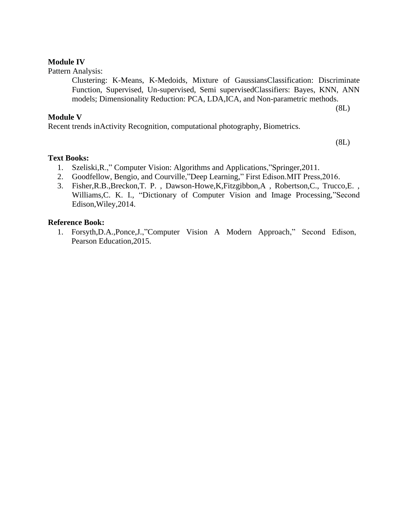## **Module IV**

Pattern Analysis:

Clustering: K-Means, K-Medoids, Mixture of GaussiansClassification: Discriminate Function, Supervised, Un-supervised, Semi supervisedClassifiers: Bayes, KNN, ANN models; Dimensionality Reduction: PCA, LDA,ICA, and Non-parametric methods.

## **Module V**

Recent trends inActivity Recognition, computational photography, Biometrics.

(8L)

(8L)

# **Text Books:**

- 1. Szeliski,R.," Computer Vision: Algorithms and Applications,"Springer,2011.
- 2. Goodfellow, Bengio, and Courville,"Deep Learning," First Edison.MIT Press,2016.
- 3. Fisher,R.B.,Breckon,T. P. , Dawson-Howe,K,Fitzgibbon,A , Robertson,C., Trucco,E. , Williams,C. K. I., "Dictionary of Computer Vision and Image Processing,"Second Edison,Wiley,2014.

## **Reference Book:**

1. Forsyth,D.A.,Ponce,J.,"Computer Vision A Modern Approach," Second Edison, Pearson Education,2015.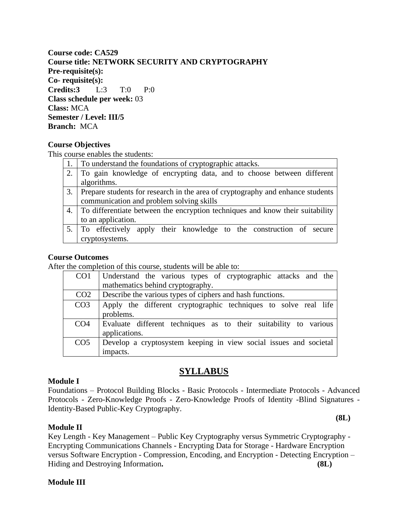# **Course code: CA529 Course title: NETWORK SECURITY AND CRYPTOGRAPHY Pre-requisite(s): Co- requisite(s): Credits:3** L:3 T:0 P:0 **Class schedule per week:** 03 **Class:** MCA **Semester / Level: III/5 Branch:** MCA

## **Course Objectives**

This course enables the students:

|    | To understand the foundations of cryptographic attacks.                          |  |
|----|----------------------------------------------------------------------------------|--|
|    | To gain knowledge of encrypting data, and to choose between different            |  |
|    | algorithms.                                                                      |  |
| 3. | Prepare students for research in the area of cryptography and enhance students   |  |
|    | communication and problem solving skills                                         |  |
|    | 4. To differentiate between the encryption techniques and know their suitability |  |
|    | to an application.                                                               |  |
|    | 5. To effectively apply their knowledge to the construction of secure            |  |
|    | cryptosystems.                                                                   |  |

#### **Course Outcomes**

After the completion of this course, students will be able to:

| CO <sub>1</sub> | Understand the various types of cryptographic attacks and the                     |
|-----------------|-----------------------------------------------------------------------------------|
|                 | mathematics behind cryptography.                                                  |
| CO <sub>2</sub> | Describe the various types of ciphers and hash functions.                         |
| CO <sub>3</sub> | Apply the different cryptographic techniques to solve real life<br>problems.      |
| CO <sub>4</sub> | Evaluate different techniques as to their suitability to various<br>applications. |
| CO <sub>5</sub> | Develop a cryptosystem keeping in view social issues and societal<br>impacts.     |

# **SYLLABUS**

## **Module I**

Foundations – Protocol Building Blocks - Basic Protocols - Intermediate Protocols - Advanced Protocols - Zero-Knowledge Proofs - Zero-Knowledge Proofs of Identity -Blind Signatures - Identity-Based Public-Key Cryptography.

#### **Module II**

Key Length - Key Management – Public Key Cryptography versus Symmetric Cryptography - Encrypting Communications Channels - Encrypting Data for Storage - Hardware Encryption versus Software Encryption - Compression, Encoding, and Encryption - Detecting Encryption – Hiding and Destroying Information. **(8L) (8L)** 

#### **Module III**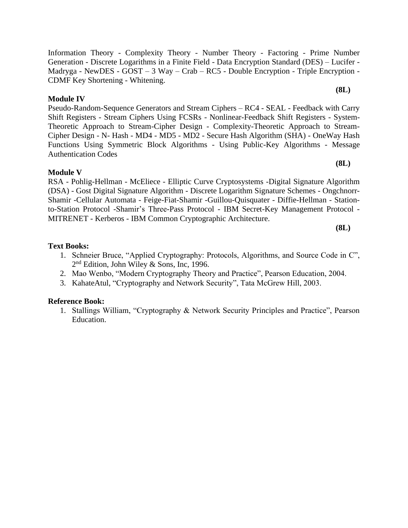Information Theory - Complexity Theory - Number Theory - Factoring - Prime Number Generation - Discrete Logarithms in a Finite Field - Data Encryption Standard (DES) – Lucifer - Madryga - NewDES - GOST – 3 Way – Crab – RC5 - Double Encryption - Triple Encryption - CDMF Key Shortening - Whitening. **(8L)**

# **Module IV**

Pseudo-Random-Sequence Generators and Stream Ciphers – RC4 - SEAL - Feedback with Carry Shift Registers - Stream Ciphers Using FCSRs - Nonlinear-Feedback Shift Registers - System-Theoretic Approach to Stream-Cipher Design - Complexity-Theoretic Approach to Stream-Cipher Design - N- Hash - MD4 - MD5 - MD2 - Secure Hash Algorithm (SHA) - OneWay Hash Functions Using Symmetric Block Algorithms - Using Public-Key Algorithms - Message Authentication Codes

# **Module V**

RSA - Pohlig-Hellman - McEliece - Elliptic Curve Cryptosystems -Digital Signature Algorithm (DSA) - Gost Digital Signature Algorithm - Discrete Logarithm Signature Schemes - Ongchnorr-Shamir -Cellular Automata - Feige-Fiat-Shamir -Guillou-Quisquater - Diffie-Hellman - Stationto-Station Protocol -Shamir's Three-Pass Protocol - IBM Secret-Key Management Protocol - MITRENET - Kerberos - IBM Common Cryptographic Architecture.

**(8L)**

**(8L)**

# **Text Books:**

- 1. Schneier Bruce, "Applied Cryptography: Protocols, Algorithms, and Source Code in C", 2<sup>nd</sup> Edition, John Wiley & Sons, Inc, 1996.
- 2. Mao Wenbo, "Modern Cryptography Theory and Practice", Pearson Education, 2004.
- 3. KahateAtul, "Cryptography and Network Security", Tata McGrew Hill, 2003.

# **Reference Book:**

1. Stallings William, "Cryptography & Network Security Principles and Practice", Pearson Education.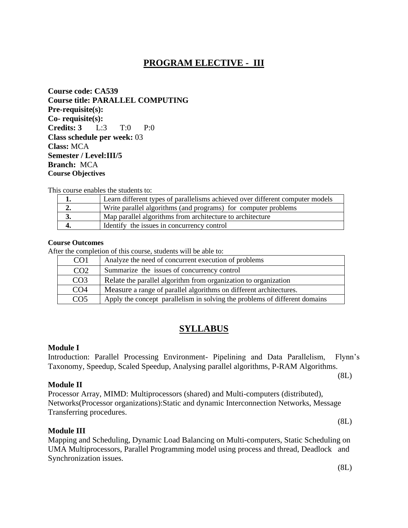# **PROGRAM ELECTIVE - III**

**Course code: CA539 Course title: PARALLEL COMPUTING Pre-requisite(s): Co- requisite(s): Credits: 3** L:3 T:0 P:0 **Class schedule per week:** 03 **Class:** MCA **Semester / Level:III/5 Branch:** MCA **Course Objectives** 

This course enables the students to:

|    | Learn different types of parallelisms achieved over different computer models |
|----|-------------------------------------------------------------------------------|
|    | Write parallel algorithms (and programs) for computer problems                |
| J. | Map parallel algorithms from architecture to architecture                     |
|    | Identify the issues in concurrency control                                    |

## **Course Outcomes**

After the completion of this course, students will be able to:

| CO <sub>1</sub> | Analyze the need of concurrent execution of problems                       |
|-----------------|----------------------------------------------------------------------------|
| CO <sub>2</sub> | Summarize the issues of concurrency control                                |
| CO <sub>3</sub> | Relate the parallel algorithm from organization to organization            |
| CO <sub>4</sub> | Measure a range of parallel algorithms on different architectures.         |
| CO <sub>5</sub> | Apply the concept parallelism in solving the problems of different domains |

# **SYLLABUS**

#### **Module I**

Introduction: Parallel Processing Environment- Pipelining and Data Parallelism, Flynn's Taxonomy, Speedup, Scaled Speedup, Analysing parallel algorithms, P-RAM Algorithms.

(8L)

(8L)

#### **Module II**

Processor Array, MIMD: Multiprocessors (shared) and Multi-computers (distributed), Networks(Processor organizations):Static and dynamic Interconnection Networks, Message Transferring procedures.

#### **Module III**

Mapping and Scheduling, Dynamic Load Balancing on Multi-computers, Static Scheduling on UMA Multiprocessors, Parallel Programming model using process and thread, Deadlock and Synchronization issues.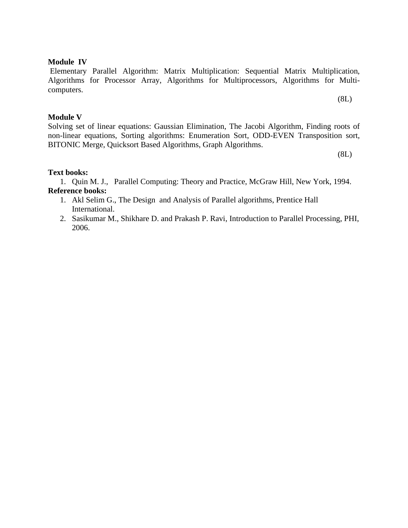## **Module IV**

Elementary Parallel Algorithm: Matrix Multiplication: Sequential Matrix Multiplication, Algorithms for Processor Array, Algorithms for Multiprocessors, Algorithms for Multicomputers.

(8L)

## **Module V**

Solving set of linear equations: Gaussian Elimination, The Jacobi Algorithm, Finding roots of non-linear equations, Sorting algorithms: Enumeration Sort, ODD-EVEN Transposition sort, BITONIC Merge, Quicksort Based Algorithms, Graph Algorithms.

(8L)

## **Text books:**

1. Quin M. J., Parallel Computing: Theory and Practice, McGraw Hill, New York, 1994. **Reference books:** 

- 1. Akl Selim G., The Design and Analysis of Parallel algorithms, Prentice Hall International.
- 2. Sasikumar M., Shikhare D. and Prakash P. Ravi, Introduction to Parallel Processing, PHI, 2006.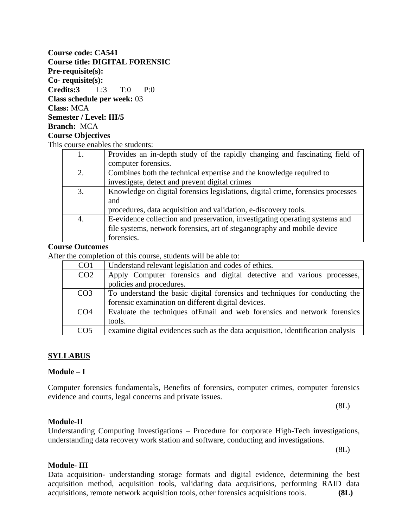# **Course code: CA541 Course title: DIGITAL FORENSIC Pre-requisite(s): Co- requisite(s): Credits:3** L:3 T:0 P:0 **Class schedule per week:** 03 **Class:** MCA **Semester / Level: III/5 Branch:** MCA **Course Objectives**  This course enables the students:

| 1. | Provides an in-depth study of the rapidly changing and fascinating field of     |  |
|----|---------------------------------------------------------------------------------|--|
|    | computer forensics.                                                             |  |
| 2. | Combines both the technical expertise and the knowledge required to             |  |
|    | investigate, detect and prevent digital crimes                                  |  |
| 3. | Knowledge on digital forensics legislations, digital crime, forensics processes |  |
|    | and                                                                             |  |
|    | procedures, data acquisition and validation, e-discovery tools.                 |  |
| 4. | E-evidence collection and preservation, investigating operating systems and     |  |
|    | file systems, network forensics, art of steganography and mobile device         |  |
|    | forensics.                                                                      |  |

#### **Course Outcomes**

After the completion of this course, students will be able to:

| CO <sub>1</sub> | Understand relevant legislation and codes of ethics.                            |
|-----------------|---------------------------------------------------------------------------------|
| CO <sub>2</sub> | Apply Computer forensics and digital detective and various processes,           |
|                 | policies and procedures.                                                        |
| CO <sub>3</sub> | To understand the basic digital forensics and techniques for conducting the     |
|                 | forensic examination on different digital devices.                              |
| CO <sub>4</sub> | Evaluate the techniques of Email and web forensics and network forensics        |
|                 | tools.                                                                          |
| CO <sub>5</sub> | examine digital evidences such as the data acquisition, identification analysis |

## **SYLLABUS**

#### **Module – I**

Computer forensics fundamentals, Benefits of forensics, computer crimes, computer forensics evidence and courts, legal concerns and private issues.

(8L)

#### **Module-II**

Understanding Computing Investigations – Procedure for corporate High-Tech investigations, understanding data recovery work station and software, conducting and investigations.

(8L)

#### **Module- III**

Data acquisition- understanding storage formats and digital evidence, determining the best acquisition method, acquisition tools, validating data acquisitions, performing RAID data acquisitions, remote network acquisition tools, other forensics acquisitions tools. **(8L)**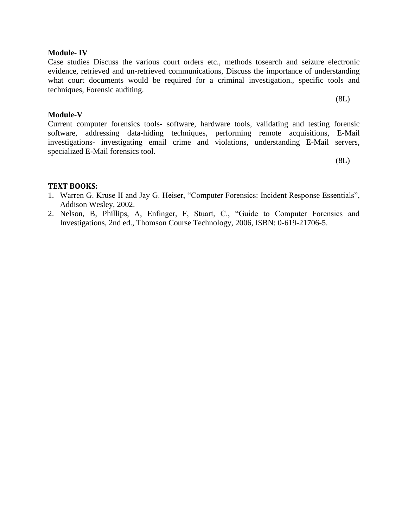#### **Module- IV**

Case studies Discuss the various court orders etc., methods tosearch and seizure electronic evidence, retrieved and un-retrieved communications, Discuss the importance of understanding what court documents would be required for a criminal investigation., specific tools and techniques, Forensic auditing.

#### (8L)

## **Module-V**

Current computer forensics tools- software, hardware tools, validating and testing forensic software, addressing data-hiding techniques, performing remote acquisitions, E-Mail investigations- investigating email crime and violations, understanding E-Mail servers, specialized E-Mail forensics tool.

(8L)

## **TEXT BOOKS:**

- 1. Warren G. Kruse II and Jay G. Heiser, "Computer Forensics: Incident Response Essentials", Addison Wesley, 2002.
- 2. Nelson, B, Phillips, A, Enfinger, F, Stuart, C., "Guide to Computer Forensics and Investigations, 2nd ed., Thomson Course Technology, 2006, ISBN: 0-619-21706-5.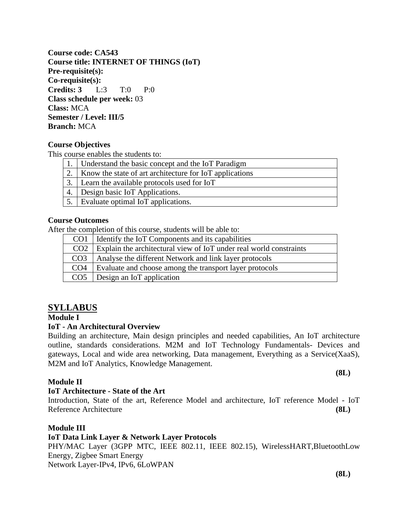**Course code: CA543 Course title: INTERNET OF THINGS (IoT) Pre-requisite(s): Co-requisite(s): Credits: 3** L:3 T:0 P:0 **Class schedule per week:** 03 **Class:** MCA **Semester / Level: III/5 Branch:** MCA

## **Course Objectives**

This course enables the students to:

|    | Understand the basic concept and the IoT Paradigm       |
|----|---------------------------------------------------------|
|    | Know the state of art architecture for IoT applications |
|    | Learn the available protocols used for IoT              |
| 4. | Design basic IoT Applications.                          |
|    | 5. Evaluate optimal IoT applications.                   |
|    |                                                         |

## **Course Outcomes**

After the completion of this course, students will be able to:

| CO <sub>1</sub> | Identify the IoT Components and its capabilities                   |
|-----------------|--------------------------------------------------------------------|
| CO <sub>2</sub> | Explain the architectural view of IoT under real world constraints |
| CO <sub>3</sub> | Analyse the different Network and link layer protocols             |
| CO <sub>4</sub> | Evaluate and choose among the transport layer protocols            |
|                 | $CO5$ Design an IoT application                                    |

# **SYLLABUS**

# **Module I**

#### **IoT - An Architectural Overview**

Building an architecture, Main design principles and needed capabilities, An IoT architecture outline, standards considerations. M2M and IoT Technology Fundamentals- Devices and gateways, Local and wide area networking, Data management, Everything as a Service(XaaS), M2M and IoT Analytics, Knowledge Management.

## **Module II**

#### **IoT Architecture - State of the Art**

Introduction, State of the art, Reference Model and architecture, IoT reference Model - IoT Reference Architecture **(8L)**

## **Module III**

## **IoT Data Link Layer & Network Layer Protocols**

PHY/MAC Layer (3GPP MTC, IEEE 802.11, IEEE 802.15), WirelessHART, BluetoothLow Energy, Zigbee Smart Energy

Network Layer-IPv4, IPv6, 6LoWPAN

**(8L)**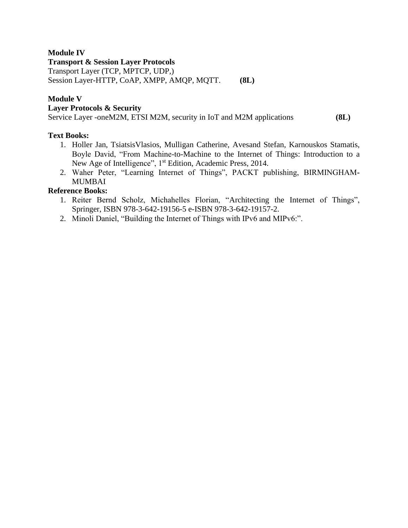# **Module IV**

## **Transport & Session Layer Protocols**

Transport Layer (TCP, MPTCP, UDP,)

Session Layer-HTTP, CoAP, XMPP, AMQP, MQTT. **(8L)**

# **Module V**

## **Layer Protocols & Security**

Service Layer -oneM2M, ETSI M2M, security in IoT and M2M applications **(8L)**

# **Text Books:**

- 1. Holler Jan, TsiatsisVlasios, Mulligan Catherine, Avesand Stefan, Karnouskos Stamatis, Boyle David, "From Machine-to-Machine to the Internet of Things: Introduction to a New Age of Intelligence", 1<sup>st</sup> Edition, Academic Press, 2014.
- 2. Waher Peter, "Learning Internet of Things", PACKT publishing, BIRMINGHAM**-**MUMBAI

# **Reference Books:**

- 1. Reiter Bernd Scholz, Michahelles Florian, "Architecting the Internet of Things", Springer, ISBN 978-3-642-19156-5 e-ISBN 978-3-642-19157-2.
- 2. Minoli Daniel, "Building the Internet of Things with IPv6 and MIPv6:".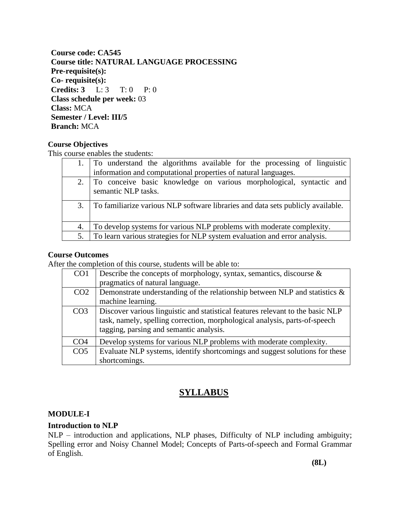**Course code: CA545 Course title: NATURAL LANGUAGE PROCESSING Pre-requisite(s): Co- requisite(s): Credits: 3** L: 3 T: 0 P: 0 **Class schedule per week:** 03 **Class:** MCA **Semester / Level: III/5 Branch:** MCA

# **Course Objectives**

This course enables the students:

|     | 1. To understand the algorithms available for the processing of linguistic                    |
|-----|-----------------------------------------------------------------------------------------------|
|     | information and computational properties of natural languages.                                |
|     | 2. To conceive basic knowledge on various morphological, syntactic and<br>semantic NLP tasks. |
| 3.1 | To familiarize various NLP software libraries and data sets publicly available.               |
| 4.  | To develop systems for various NLP problems with moderate complexity.                         |
| 5.  | To learn various strategies for NLP system evaluation and error analysis.                     |

## **Course Outcomes**

After the completion of this course, students will be able to:

| CO <sub>1</sub> | Describe the concepts of morphology, syntax, semantics, discourse $\&$         |
|-----------------|--------------------------------------------------------------------------------|
|                 | pragmatics of natural language.                                                |
| CO <sub>2</sub> | Demonstrate understanding of the relationship between NLP and statistics $\&$  |
|                 | machine learning.                                                              |
| CO <sub>3</sub> | Discover various linguistic and statistical features relevant to the basic NLP |
|                 | task, namely, spelling correction, morphological analysis, parts-of-speech     |
|                 | tagging, parsing and semantic analysis.                                        |
| CO <sub>4</sub> | Develop systems for various NLP problems with moderate complexity.             |
| CO <sub>5</sub> | Evaluate NLP systems, identify shortcomings and suggest solutions for these    |
|                 | shortcomings.                                                                  |

# **SYLLABUS**

#### **MODULE-I**

## **Introduction to NLP**

NLP – introduction and applications, NLP phases, Difficulty of NLP including ambiguity; Spelling error and Noisy Channel Model; Concepts of Parts-of-speech and Formal Grammar of English.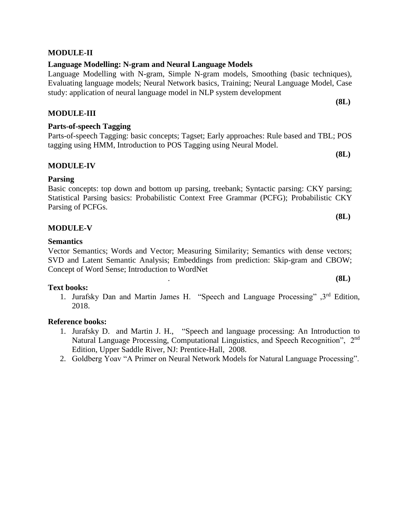# **MODULE-III**

# **Parts-of-speech Tagging**

Parts-of-speech Tagging: basic concepts; Tagset; Early approaches: Rule based and TBL; POS tagging using HMM, Introduction to POS Tagging using Neural Model.

# **MODULE-IV**

# **Parsing**

Basic concepts: top down and bottom up parsing, treebank; Syntactic parsing: CKY parsing; Statistical Parsing basics: Probabilistic Context Free Grammar (PCFG); Probabilistic CKY Parsing of PCFGs.

# **MODULE-V**

# **Semantics**

Vector Semantics; Words and Vector; Measuring Similarity; Semantics with dense vectors; SVD and Latent Semantic Analysis; Embeddings from prediction: Skip-gram and CBOW; Concept of Word Sense; Introduction to WordNet

# **Text books:**

1. Jurafsky Dan and Martin James H. "Speech and Language Processing" ,3rd Edition, 2018.

# **Reference books:**

- 1. Jurafsky D. and Martin J. H., ["Speech and language processing: An Introduction to](http://www.cs.colorado.edu/~martin/slp2.html) [Natural Language Processing, Computational Linguistics, and Speech Recognition", 2](http://www.cs.colorado.edu/~martin/slp2.html)nd [Edition,](http://www.cs.colorado.edu/~martin/slp2.html) Upper Saddle River, NJ: Prentice-Hall, 2008.
- 2. Goldberg Yoav "A Primer on Neural Network Models for Natural Language Processing".

# **MODULE-II**

# **Language Modelling: N-gram and Neural Language Models**

Language Modelling with N-gram, Simple N-gram models, Smoothing (basic techniques), Evaluating language models; Neural Network basics, Training; Neural Language Model, Case study: application of neural language model in NLP system development

**(8L)**

**(8L)**

**(8L)**

. **(8L)**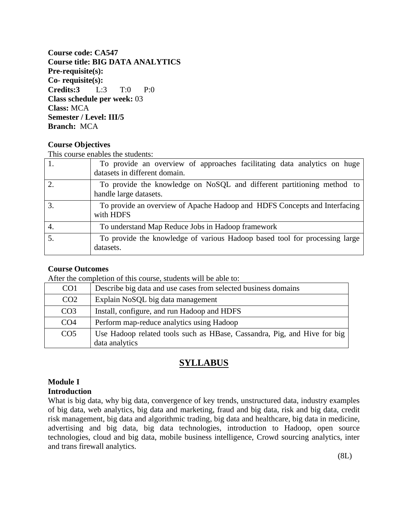**Course code: CA547 Course title: BIG DATA ANALYTICS Pre-requisite(s): Co- requisite(s): Credits:3** L:3 T:0 P:0 **Class schedule per week:** 03 **Class:** MCA **Semester / Level: III/5 Branch:** MCA

## **Course Objectives**

This course enables the students:

|    | To provide an overview of approaches facilitating data analytics on huge<br>datasets in different domain. |
|----|-----------------------------------------------------------------------------------------------------------|
|    | To provide the knowledge on NoSQL and different partitioning method to<br>handle large datasets.          |
| 3. | To provide an overview of Apache Hadoop and HDFS Concepts and Interfacing<br>with HDFS                    |
| 4. | To understand Map Reduce Jobs in Hadoop framework                                                         |
|    | To provide the knowledge of various Hadoop based tool for processing large<br>datasets.                   |

#### **Course Outcomes**

After the completion of this course, students will be able to:

| CO <sub>1</sub> | Describe big data and use cases from selected business domains                             |
|-----------------|--------------------------------------------------------------------------------------------|
| CO <sub>2</sub> | Explain NoSQL big data management                                                          |
| CO <sub>3</sub> | Install, configure, and run Hadoop and HDFS                                                |
| CO <sub>4</sub> | Perform map-reduce analytics using Hadoop                                                  |
| CO <sub>5</sub> | Use Hadoop related tools such as HBase, Cassandra, Pig, and Hive for big<br>data analytics |

# **SYLLABUS**

## **Module I Introduction**

What is big data, why big data, convergence of key trends, unstructured data, industry examples of big data, web analytics, big data and marketing, fraud and big data, risk and big data, credit risk management, big data and algorithmic trading, big data and healthcare, big data in medicine, advertising and big data, big data technologies, introduction to Hadoop, open source technologies, cloud and big data, mobile business intelligence, Crowd sourcing analytics, inter and trans firewall analytics.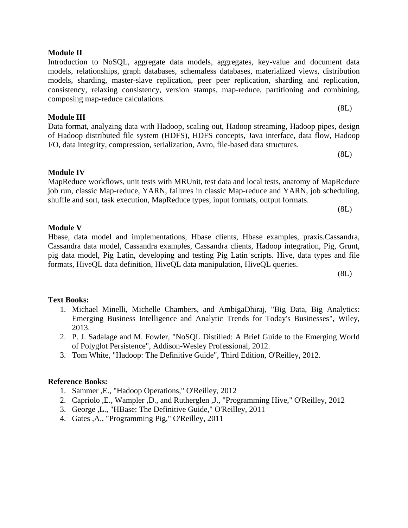## **Module II**

Introduction to NoSQL, aggregate data models, aggregates, key-value and document data models, relationships, graph databases, schemaless databases, materialized views, distribution models, sharding, master-slave replication, peer peer replication, sharding and replication, consistency, relaxing consistency, version stamps, map-reduce, partitioning and combining, composing map-reduce calculations.

(8L)

# **Module III**

Data format, analyzing data with Hadoop, scaling out, Hadoop streaming, Hadoop pipes, design of Hadoop distributed file system (HDFS), HDFS concepts, Java interface, data flow, Hadoop I/O, data integrity, compression, serialization, Avro, file-based data structures.

(8L)

# **Module IV**

MapReduce workflows, unit tests with MRUnit, test data and local tests, anatomy of MapReduce job run, classic Map-reduce, YARN, failures in classic Map-reduce and YARN, job scheduling, shuffle and sort, task execution, MapReduce types, input formats, output formats.

(8L)

# **Module V**

Hbase, data model and implementations, Hbase clients, Hbase examples, praxis.Cassandra, Cassandra data model, Cassandra examples, Cassandra clients, Hadoop integration, Pig, Grunt, pig data model, Pig Latin, developing and testing Pig Latin scripts. Hive, data types and file formats, HiveQL data definition, HiveQL data manipulation, HiveQL queries.

(8L)

# **Text Books:**

- 1. Michael Minelli, Michelle Chambers, and AmbigaDhiraj, "Big Data, Big Analytics: Emerging Business Intelligence and Analytic Trends for Today's Businesses", Wiley, 2013.
- 2. P. J. Sadalage and M. Fowler, "NoSQL Distilled: A Brief Guide to the Emerging World of Polyglot Persistence", Addison-Wesley Professional, 2012.
- 3. Tom White, "Hadoop: The Definitive Guide", Third Edition, O'Reilley, 2012.

# **Reference Books:**

- 1. Sammer ,E., "Hadoop Operations," O'Reilley, 2012
- 2. Capriolo ,E., Wampler ,D., and Rutherglen ,J., "Programming Hive," O'Reilley, 2012
- 3. George ,L., "HBase: The Definitive Guide," O'Reilley, 2011
- 4. Gates ,A., "Programming Pig," O'Reilley, 2011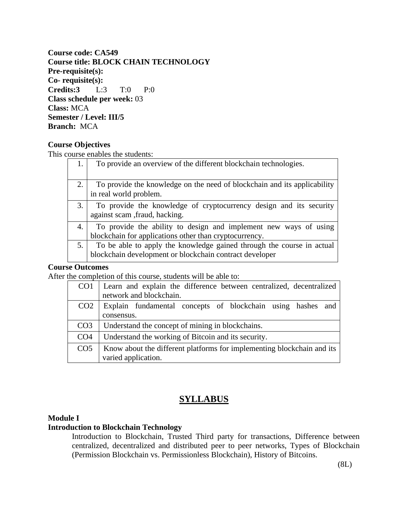**Course code: CA549 Course title: BLOCK CHAIN TECHNOLOGY Pre-requisite(s): Co- requisite(s): Credits:3** L:3 T:0 P:0 **Class schedule per week:** 03 **Class:** MCA **Semester / Level: III/5 Branch:** MCA

## **Course Objectives**

This course enables the students:

|    | To provide an overview of the different blockchain technologies.                                                                 |
|----|----------------------------------------------------------------------------------------------------------------------------------|
|    | To provide the knowledge on the need of blockchain and its applicability<br>in real world problem.                               |
| 3. | To provide the knowledge of cryptocurrency design and its security<br>against scam , fraud, hacking.                             |
| 4. | To provide the ability to design and implement new ways of using<br>blockchain for applications other than cryptocurrency.       |
| 5. | To be able to apply the knowledge gained through the course in actual<br>blockchain development or blockchain contract developer |

#### **Course Outcomes**

After the completion of this course, students will be able to:

| CO <sub>1</sub> | Learn and explain the difference between centralized, decentralized    |
|-----------------|------------------------------------------------------------------------|
|                 | network and blockchain.                                                |
| CO <sub>2</sub> | Explain fundamental concepts of blockchain using hashes<br>and         |
|                 | consensus.                                                             |
| CO <sub>3</sub> | Understand the concept of mining in blockchains.                       |
| CO <sub>4</sub> | Understand the working of Bitcoin and its security.                    |
| CO <sub>5</sub> | Know about the different platforms for implementing blockchain and its |
|                 | varied application.                                                    |

# **SYLLABUS**

## **Module I**

#### **Introduction to Blockchain Technology**

Introduction to Blockchain, Trusted Third party for transactions, Difference between centralized, decentralized and distributed peer to peer networks, Types of Blockchain (Permission Blockchain vs. Permissionless Blockchain), History of Bitcoins.